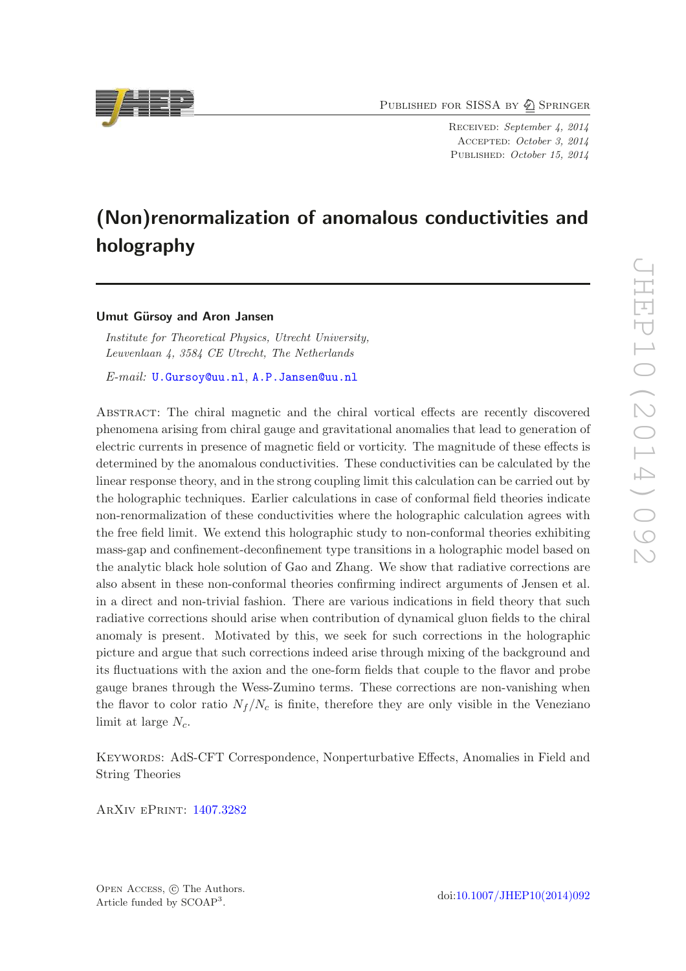PUBLISHED FOR SISSA BY 2 SPRINGER

Received: September 4, 2014 Accepted: October 3, 2014 PUBLISHED: October 15, 2014

# (Non)renormalization of anomalous conductivities and holography

#### Umut Gürsoy and Aron Jansen

Institute for Theoretical Physics, Utrecht University, Leuvenlaan 4, 3584 CE Utrecht, The Netherlands

E-mail: [U.Gursoy@uu.nl](mailto:U.Gursoy@uu.nl), [A.P.Jansen@uu.nl](mailto:A.P.Jansen@uu.nl)

Abstract: The chiral magnetic and the chiral vortical effects are recently discovered phenomena arising from chiral gauge and gravitational anomalies that lead to generation of electric currents in presence of magnetic field or vorticity. The magnitude of these effects is determined by the anomalous conductivities. These conductivities can be calculated by the linear response theory, and in the strong coupling limit this calculation can be carried out by the holographic techniques. Earlier calculations in case of conformal field theories indicate non-renormalization of these conductivities where the holographic calculation agrees with the free field limit. We extend this holographic study to non-conformal theories exhibiting mass-gap and confinement-deconfinement type transitions in a holographic model based on the analytic black hole solution of Gao and Zhang. We show that radiative corrections are also absent in these non-conformal theories confirming indirect arguments of Jensen et al. in a direct and non-trivial fashion. There are various indications in field theory that such radiative corrections should arise when contribution of dynamical gluon fields to the chiral anomaly is present. Motivated by this, we seek for such corrections in the holographic picture and argue that such corrections indeed arise through mixing of the background and its fluctuations with the axion and the one-form fields that couple to the flavor and probe gauge branes through the Wess-Zumino terms. These corrections are non-vanishing when the flavor to color ratio  $N_f/N_c$  is finite, therefore they are only visible in the Veneziano limit at large  $N_c$ .

Keywords: AdS-CFT Correspondence, Nonperturbative Effects, Anomalies in Field and String Theories

ArXiv ePrint: [1407.3282](http://arxiv.org/abs/1407.3282)

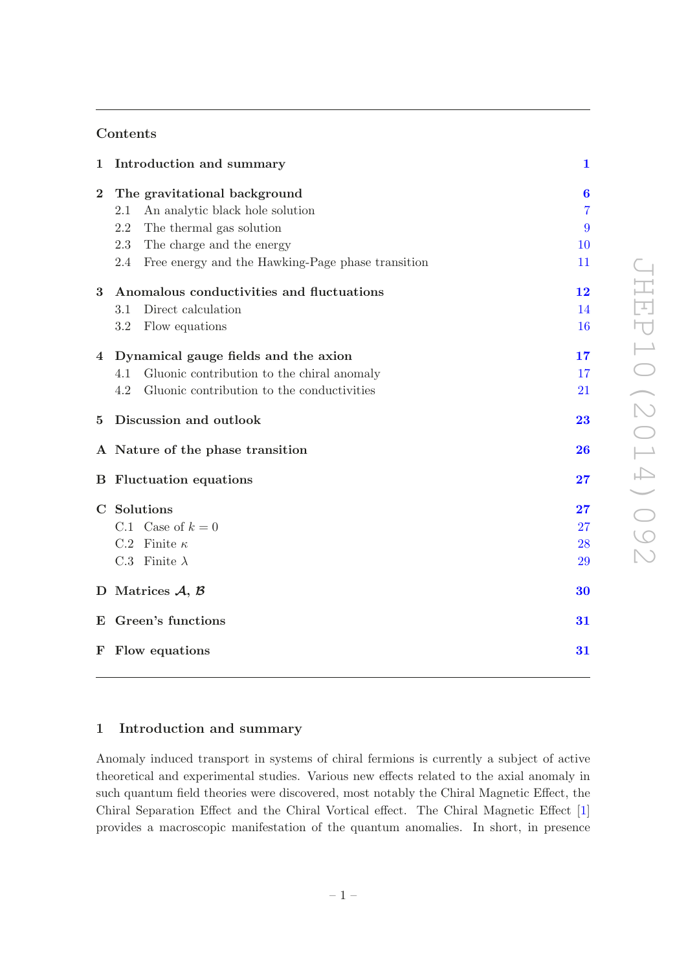# Contents

| $\mathbf{1}$   | Introduction and summary                                 | $\mathbf{1}$   |
|----------------|----------------------------------------------------------|----------------|
| $\overline{2}$ | The gravitational background                             | 6              |
|                | An analytic black hole solution<br>2.1                   | $\overline{7}$ |
|                | 2.2<br>The thermal gas solution                          | 9              |
|                | 2.3<br>The charge and the energy                         | 10             |
|                | Free energy and the Hawking-Page phase transition<br>2.4 | 11             |
| 3              | Anomalous conductivities and fluctuations                | 12             |
|                | Direct calculation<br>3.1                                | 14             |
|                | Flow equations<br>3.2                                    | 16             |
| $\overline{4}$ | Dynamical gauge fields and the axion                     | 17             |
|                | 4.1<br>Gluonic contribution to the chiral anomaly        | 17             |
|                | 4.2<br>Gluonic contribution to the conductivities        | 21             |
| $\overline{5}$ | Discussion and outlook                                   | 23             |
|                | A Nature of the phase transition                         | 26             |
|                | <b>B</b> Fluctuation equations                           | 27             |
|                | C Solutions                                              | 27             |
|                | C.1 Case of $k=0$                                        | 27             |
|                | C.2 Finite $\kappa$                                      | 28             |
|                | C.3 Finite $\lambda$                                     | 29             |
|                | D Matrices $A, B$                                        | 30             |
|                | E Green's functions                                      | 31             |
| F              | Flow equations                                           | 31             |
|                |                                                          |                |

# <span id="page-1-0"></span>1 Introduction and summary

Anomaly induced transport in systems of chiral fermions is currently a subject of active theoretical and experimental studies. Various new effects related to the axial anomaly in such quantum field theories were discovered, most notably the Chiral Magnetic Effect, the Chiral Separation Effect and the Chiral Vortical effect. The Chiral Magnetic Effect [\[1\]](#page-32-0) provides a macroscopic manifestation of the quantum anomalies. In short, in presence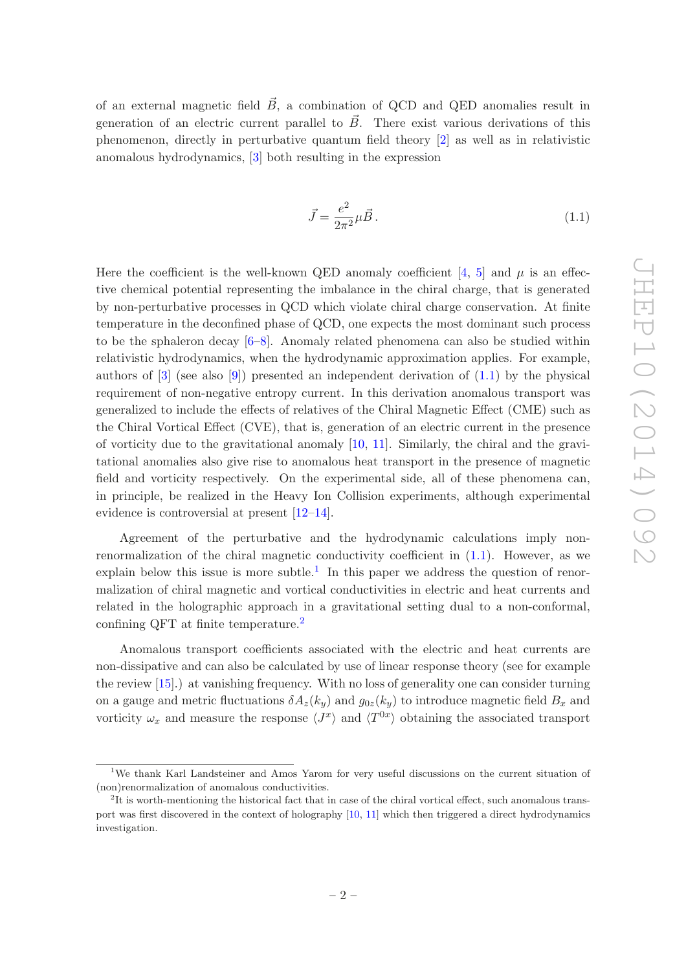of an external magnetic field  $\vec{B}$ , a combination of QCD and QED anomalies result in generation of an electric current parallel to  $\vec{B}$ . There exist various derivations of this phenomenon, directly in perturbative quantum field theory [\[2](#page-32-1)] as well as in relativistic anomalous hydrodynamics, [\[3\]](#page-32-2) both resulting in the expression

<span id="page-2-0"></span>
$$
\vec{J} = \frac{e^2}{2\pi^2} \mu \vec{B} \,. \tag{1.1}
$$

Here the coefficient is the well-known QED anomaly coefficient [\[4](#page-32-3), [5](#page-32-4)] and  $\mu$  is an effective chemical potential representing the imbalance in the chiral charge, that is generated by non-perturbative processes in QCD which violate chiral charge conservation. At finite temperature in the deconfined phase of QCD, one expects the most dominant such process to be the sphaleron decay  $[6-8]$ . Anomaly related phenomena can also be studied within relativistic hydrodynamics, when the hydrodynamic approximation applies. For example, authors of  $[3]$  (see also  $[9]$ ) presented an independent derivation of  $(1.1)$  by the physical requirement of non-negative entropy current. In this derivation anomalous transport was generalized to include the effects of relatives of the Chiral Magnetic Effect (CME) such as the Chiral Vortical Effect (CVE), that is, generation of an electric current in the presence of vorticity due to the gravitational anomaly [\[10](#page-32-8), [11](#page-32-9)]. Similarly, the chiral and the gravitational anomalies also give rise to anomalous heat transport in the presence of magnetic field and vorticity respectively. On the experimental side, all of these phenomena can, in principle, be realized in the Heavy Ion Collision experiments, although experimental evidence is controversial at present [\[12](#page-32-10)[–14\]](#page-32-11).

Agreement of the perturbative and the hydrodynamic calculations imply nonrenormalization of the chiral magnetic conductivity coefficient in [\(1.1\)](#page-2-0). However, as we explain below this issue is more subtle.<sup>[1](#page-2-1)</sup> In this paper we address the question of renormalization of chiral magnetic and vortical conductivities in electric and heat currents and related in the holographic approach in a gravitational setting dual to a non-conformal, confining QFT at finite temperature.[2](#page-2-2)

Anomalous transport coefficients associated with the electric and heat currents are non-dissipative and can also be calculated by use of linear response theory (see for example the review [\[15](#page-32-12)].) at vanishing frequency. With no loss of generality one can consider turning on a gauge and metric fluctuations  $\delta A_z(k_y)$  and  $g_{0z}(k_y)$  to introduce magnetic field  $B_x$  and vorticity  $\omega_x$  and measure the response  $\langle J^x \rangle$  and  $\langle T^{0x} \rangle$  obtaining the associated transport

<span id="page-2-1"></span><sup>1</sup>We thank Karl Landsteiner and Amos Yarom for very useful discussions on the current situation of (non)renormalization of anomalous conductivities.

<span id="page-2-2"></span><sup>&</sup>lt;sup>2</sup>It is worth-mentioning the historical fact that in case of the chiral vortical effect, such anomalous transport was first discovered in the context of holography [\[10,](#page-32-8) [11\]](#page-32-9) which then triggered a direct hydrodynamics investigation.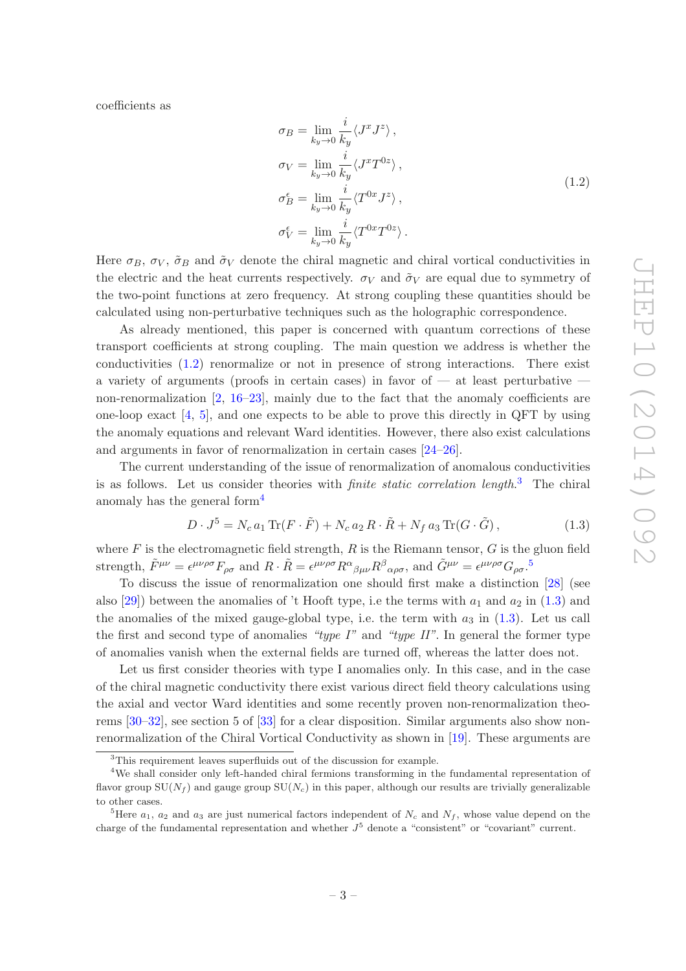<span id="page-3-0"></span>coefficients as

$$
\sigma_B = \lim_{k_y \to 0} \frac{i}{k_y} \langle J^x J^z \rangle ,
$$
  
\n
$$
\sigma_V = \lim_{k_y \to 0} \frac{i}{k_y} \langle J^x T^{0z} \rangle ,
$$
  
\n
$$
\sigma_B^{\epsilon} = \lim_{k_y \to 0} \frac{i}{k_y} \langle T^{0x} J^z \rangle ,
$$
  
\n
$$
\sigma_V^{\epsilon} = \lim_{k_y \to 0} \frac{i}{k_y} \langle T^{0x} T^{0z} \rangle .
$$
\n(1.2)

Here  $\sigma_B$ ,  $\sigma_V$ ,  $\tilde{\sigma}_B$  and  $\tilde{\sigma}_V$  denote the chiral magnetic and chiral vortical conductivities in the electric and the heat currents respectively.  $\sigma_V$  and  $\tilde{\sigma}_V$  are equal due to symmetry of the two-point functions at zero frequency. At strong coupling these quantities should be calculated using non-perturbative techniques such as the holographic correspondence.

As already mentioned, this paper is concerned with quantum corrections of these transport coefficients at strong coupling. The main question we address is whether the conductivities [\(1.2\)](#page-3-0) renormalize or not in presence of strong interactions. There exist a variety of arguments (proofs in certain cases) in favor of  $-$  at least perturbative  $$ non-renormalization  $[2, 16-23]$  $[2, 16-23]$  $[2, 16-23]$ , mainly due to the fact that the anomaly coefficients are one-loop exact  $[4, 5]$  $[4, 5]$ , and one expects to be able to prove this directly in QFT by using the anomaly equations and relevant Ward identities. However, there also exist calculations and arguments in favor of renormalization in certain cases [\[24](#page-33-1)[–26](#page-33-2)].

The current understanding of the issue of renormalization of anomalous conductivities is as follows. Let us consider theories with *finite static correlation length*.<sup>[3](#page-3-1)</sup> The chiral anomaly has the general form[4](#page-3-2)

<span id="page-3-4"></span>
$$
D \cdot J^5 = N_c a_1 \operatorname{Tr} (F \cdot \tilde{F}) + N_c a_2 R \cdot \tilde{R} + N_f a_3 \operatorname{Tr} (G \cdot \tilde{G}), \qquad (1.3)
$$

where  $F$  is the electromagnetic field strength,  $R$  is the Riemann tensor,  $G$  is the gluon field strength,  $\tilde{F}^{\mu\nu} = \epsilon^{\mu\nu\rho\sigma} F_{\rho\sigma}$  and  $R \cdot \tilde{R} = \epsilon^{\mu\nu\rho\sigma} R^{\alpha}{}_{\beta\mu\nu} R^{\beta}{}_{\alpha\rho\sigma}$ , and  $\tilde{G}^{\mu\nu} = \epsilon^{\mu\nu\rho\sigma} G_{\rho\sigma}$ .<sup>[5](#page-3-3)</sup>

To discuss the issue of renormalization one should first make a distinction [\[28](#page-33-3)] (see also [\[29\]](#page-33-4)) between the anomalies of 't Hooft type, i.e the terms with  $a_1$  and  $a_2$  in [\(1.3\)](#page-3-4) and the anomalies of the mixed gauge-global type, i.e. the term with  $a_3$  in  $(1.3)$ . Let us call the first and second type of anomalies "type  $I$ " and "type  $II$ ". In general the former type of anomalies vanish when the external fields are turned off, whereas the latter does not.

Let us first consider theories with type I anomalies only. In this case, and in the case of the chiral magnetic conductivity there exist various direct field theory calculations using the axial and vector Ward identities and some recently proven non-renormalization theorems [\[30](#page-33-5)[–32](#page-33-6)], see section 5 of [\[33\]](#page-33-7) for a clear disposition. Similar arguments also show nonrenormalization of the Chiral Vortical Conductivity as shown in [\[19\]](#page-33-8). These arguments are

<span id="page-3-1"></span><sup>3</sup>This requirement leaves superfluids out of the discussion for example.

<span id="page-3-2"></span><sup>4</sup>We shall consider only left-handed chiral fermions transforming in the fundamental representation of flavor group  $SU(N_f)$  and gauge group  $SU(N_c)$  in this paper, although our results are trivially generalizable to other cases.

<span id="page-3-3"></span><sup>&</sup>lt;sup>5</sup>Here  $a_1$ ,  $a_2$  and  $a_3$  are just numerical factors independent of  $N_c$  and  $N_f$ , whose value depend on the charge of the fundamental representation and whether  $J^5$  denote a "consistent" or "covariant" current.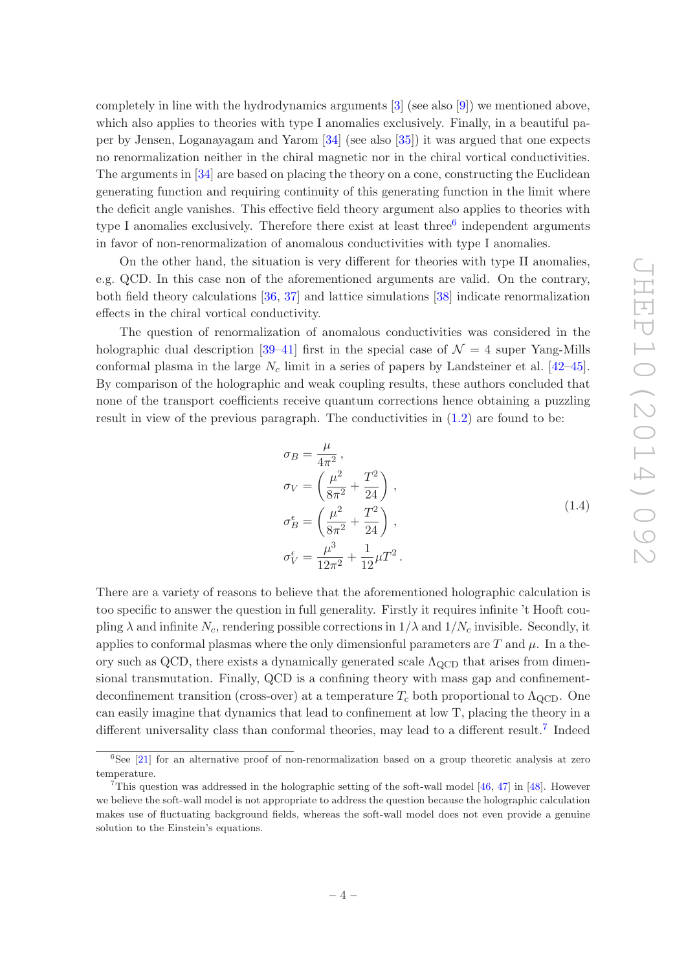completely in line with the hydrodynamics arguments [\[3](#page-32-2)] (see also [\[9\]](#page-32-7)) we mentioned above, which also applies to theories with type I anomalies exclusively. Finally, in a beautiful paper by Jensen, Loganayagam and Yarom [\[34](#page-33-9)] (see also [\[35\]](#page-33-10)) it was argued that one expects no renormalization neither in the chiral magnetic nor in the chiral vortical conductivities. The arguments in [\[34\]](#page-33-9) are based on placing the theory on a cone, constructing the Euclidean generating function and requiring continuity of this generating function in the limit where the deficit angle vanishes. This effective field theory argument also applies to theories with type I anomalies exclusively. Therefore there exist at least three<sup>[6](#page-4-0)</sup> independent arguments in favor of non-renormalization of anomalous conductivities with type I anomalies.

On the other hand, the situation is very different for theories with type II anomalies, e.g. QCD. In this case non of the aforementioned arguments are valid. On the contrary, both field theory calculations [\[36](#page-33-11), [37](#page-34-0)] and lattice simulations [\[38\]](#page-34-1) indicate renormalization effects in the chiral vortical conductivity.

The question of renormalization of anomalous conductivities was considered in the holographic dual description [\[39](#page-34-2)[–41](#page-34-3)] first in the special case of  $\mathcal{N}=4$  super Yang-Mills conformal plasma in the large  $N_c$  limit in a series of papers by Landsteiner et al. [\[42](#page-34-4)[–45\]](#page-34-5). By comparison of the holographic and weak coupling results, these authors concluded that none of the transport coefficients receive quantum corrections hence obtaining a puzzling result in view of the previous paragraph. The conductivities in [\(1.2\)](#page-3-0) are found to be:

$$
\sigma_B = \frac{\mu}{4\pi^2}, \n\sigma_V = \left(\frac{\mu^2}{8\pi^2} + \frac{T^2}{24}\right), \n\sigma_B^{\epsilon} = \left(\frac{\mu^2}{8\pi^2} + \frac{T^2}{24}\right), \n\sigma_V^{\epsilon} = \frac{\mu^3}{12\pi^2} + \frac{1}{12}\mu T^2.
$$
\n(1.4)

<span id="page-4-2"></span>There are a variety of reasons to believe that the aforementioned holographic calculation is too specific to answer the question in full generality. Firstly it requires infinite 't Hooft coupling  $\lambda$  and infinite  $N_c$ , rendering possible corrections in  $1/\lambda$  and  $1/N_c$  invisible. Secondly, it applies to conformal plasmas where the only dimensionful parameters are T and  $\mu$ . In a theory such as QCD, there exists a dynamically generated scale  $\Lambda_{\text{QCD}}$  that arises from dimensional transmutation. Finally, QCD is a confining theory with mass gap and confinementdeconfinement transition (cross-over) at a temperature  $T_c$  both proportional to  $\Lambda_{\rm QCD}$ . One can easily imagine that dynamics that lead to confinement at low T, placing the theory in a different universality class than conformal theories, may lead to a different result.<sup>[7](#page-4-1)</sup> Indeed

<span id="page-4-0"></span><sup>&</sup>lt;sup>6</sup>See [\[21\]](#page-33-12) for an alternative proof of non-renormalization based on a group theoretic analysis at zero temperature.

<span id="page-4-1"></span><sup>&</sup>lt;sup>7</sup>This question was addressed in the holographic setting of the soft-wall model  $[46, 47]$  $[46, 47]$  in  $[48]$ . However we believe the soft-wall model is not appropriate to address the question because the holographic calculation makes use of fluctuating background fields, whereas the soft-wall model does not even provide a genuine solution to the Einstein's equations.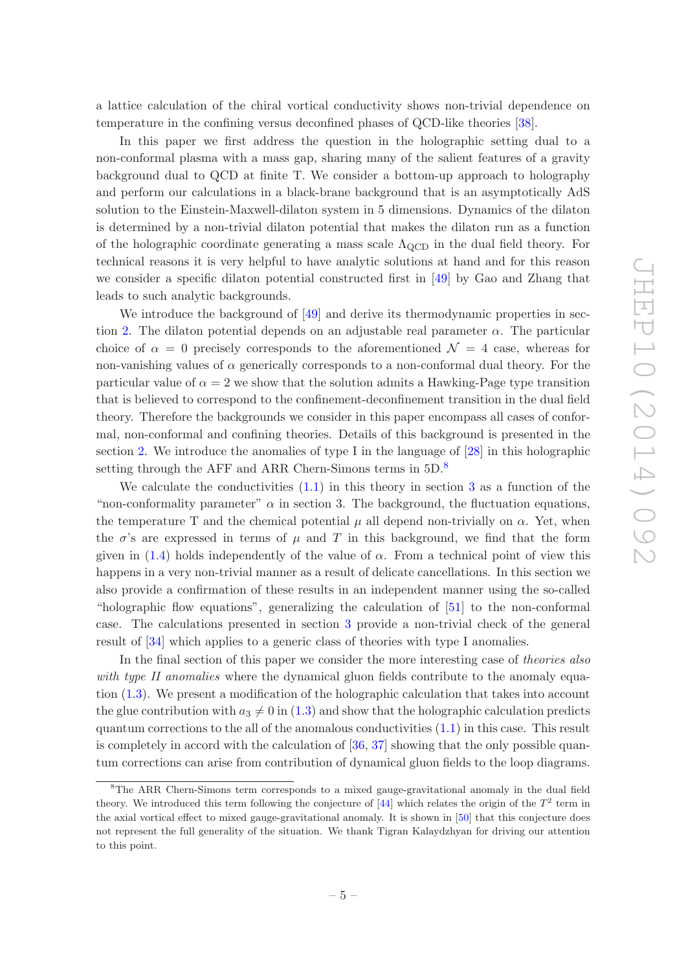a lattice calculation of the chiral vortical conductivity shows non-trivial dependence on temperature in the confining versus deconfined phases of QCD-like theories [\[38\]](#page-34-1).

In this paper we first address the question in the holographic setting dual to a non-conformal plasma with a mass gap, sharing many of the salient features of a gravity background dual to QCD at finite T. We consider a bottom-up approach to holography and perform our calculations in a black-brane background that is an asymptotically AdS solution to the Einstein-Maxwell-dilaton system in 5 dimensions. Dynamics of the dilaton is determined by a non-trivial dilaton potential that makes the dilaton run as a function of the holographic coordinate generating a mass scale  $\Lambda_{\text{QCD}}$  in the dual field theory. For technical reasons it is very helpful to have analytic solutions at hand and for this reason we consider a specific dilaton potential constructed first in [\[49](#page-34-9)] by Gao and Zhang that leads to such analytic backgrounds.

We introduce the background of  $[49]$  and derive its thermodynamic properties in sec-tion [2.](#page-6-0) The dilaton potential depends on an adjustable real parameter  $\alpha$ . The particular choice of  $\alpha = 0$  precisely corresponds to the aforementioned  $\mathcal{N} = 4$  case, whereas for non-vanishing values of  $\alpha$  generically corresponds to a non-conformal dual theory. For the particular value of  $\alpha = 2$  we show that the solution admits a Hawking-Page type transition that is believed to correspond to the confinement-deconfinement transition in the dual field theory. Therefore the backgrounds we consider in this paper encompass all cases of conformal, non-conformal and confining theories. Details of this background is presented in the section [2.](#page-6-0) We introduce the anomalies of type I in the language of [\[28](#page-33-3)] in this holographic setting through the AFF and ARR Chern-Simons terms in  $5D$ .<sup>[8](#page-5-0)</sup>

We calculate the conductivities  $(1.1)$  in this theory in section [3](#page-12-0) as a function of the "non-conformality parameter"  $\alpha$  in section 3. The background, the fluctuation equations, the temperature T and the chemical potential  $\mu$  all depend non-trivially on  $\alpha$ . Yet, when the  $\sigma$ 's are expressed in terms of  $\mu$  and T in this background, we find that the form given in  $(1.4)$  holds independently of the value of  $\alpha$ . From a technical point of view this happens in a very non-trivial manner as a result of delicate cancellations. In this section we also provide a confirmation of these results in an independent manner using the so-called "holographic flow equations", generalizing the calculation of [\[51\]](#page-34-10) to the non-conformal case. The calculations presented in section [3](#page-12-0) provide a non-trivial check of the general result of [\[34](#page-33-9)] which applies to a generic class of theories with type I anomalies.

In the final section of this paper we consider the more interesting case of theories also with type II anomalies where the dynamical gluon fields contribute to the anomaly equation [\(1.3\)](#page-3-4). We present a modification of the holographic calculation that takes into account the glue contribution with  $a_3 \neq 0$  in [\(1.3\)](#page-3-4) and show that the holographic calculation predicts quantum corrections to the all of the anomalous conductivities [\(1.1\)](#page-2-0) in this case. This result is completely in accord with the calculation of [\[36](#page-33-11), [37](#page-34-0)] showing that the only possible quantum corrections can arise from contribution of dynamical gluon fields to the loop diagrams.

<span id="page-5-0"></span><sup>8</sup>The ARR Chern-Simons term corresponds to a mixed gauge-gravitational anomaly in the dual field theory. We introduced this term following the conjecture of  $[44]$  which relates the origin of the  $T^2$  term in the axial vortical effect to mixed gauge-gravitational anomaly. It is shown in [\[50\]](#page-34-12) that this conjecture does not represent the full generality of the situation. We thank Tigran Kalaydzhyan for driving our attention to this point.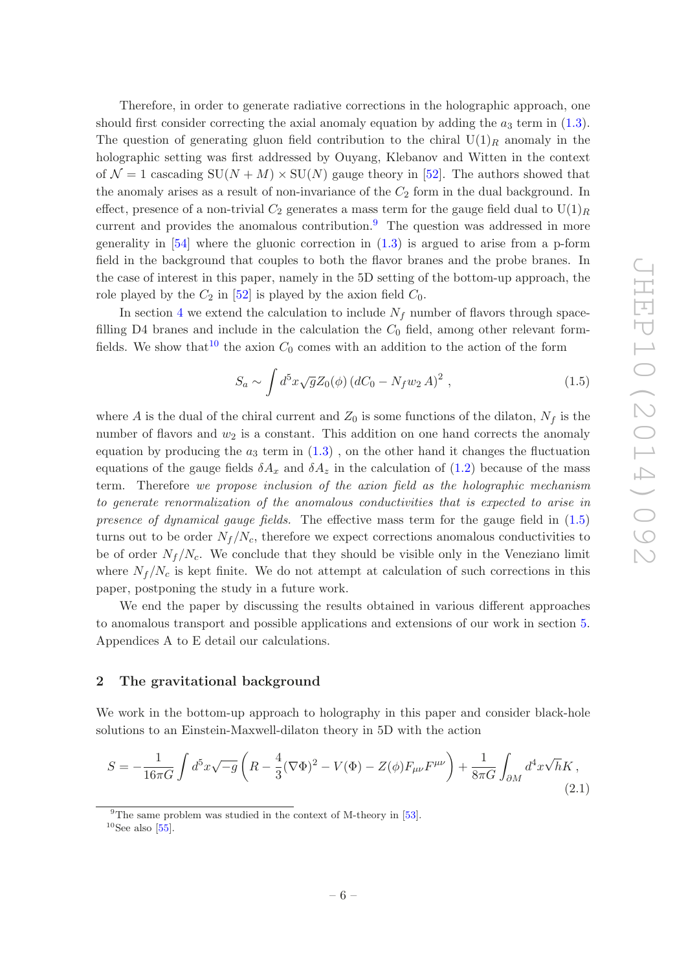Therefore, in order to generate radiative corrections in the holographic approach, one should first consider correcting the axial anomaly equation by adding the  $a_3$  term in [\(1.3\)](#page-3-4). The question of generating gluon field contribution to the chiral  $U(1)_R$  anomaly in the holographic setting was first addressed by Ouyang, Klebanov and Witten in the context of  $\mathcal{N} = 1$  cascading  $SU(N + M) \times SU(N)$  gauge theory in [\[52\]](#page-34-13). The authors showed that the anomaly arises as a result of non-invariance of the  $C_2$  form in the dual background. In effect, presence of a non-trivial  $C_2$  generates a mass term for the gauge field dual to  $U(1)_R$ current and provides the anomalous contribution. $9$  The question was addressed in more generality in  $[54]$  where the gluonic correction in  $(1.3)$  is argued to arise from a p-form field in the background that couples to both the flavor branes and the probe branes. In the case of interest in this paper, namely in the 5D setting of the bottom-up approach, the role played by the  $C_2$  in [\[52\]](#page-34-13) is played by the axion field  $C_0$ .

In section [4](#page-17-0) we extend the calculation to include  $N_f$  number of flavors through spacefilling D4 branes and include in the calculation the  $C_0$  field, among other relevant form-fields. We show that <sup>[10](#page-6-2)</sup> the axion  $C_0$  comes with an addition to the action of the form

<span id="page-6-3"></span>
$$
S_a \sim \int d^5 x \sqrt{g} Z_0(\phi) (dC_0 - N_f w_2 A)^2 , \qquad (1.5)
$$

where A is the dual of the chiral current and  $Z_0$  is some functions of the dilaton,  $N_f$  is the number of flavors and  $w_2$  is a constant. This addition on one hand corrects the anomaly equation by producing the  $a_3$  term in  $(1.3)$ , on the other hand it changes the fluctuation equations of the gauge fields  $\delta A_x$  and  $\delta A_z$  in the calculation of [\(1.2\)](#page-3-0) because of the mass term. Therefore we propose inclusion of the axion field as the holographic mechanism to generate renormalization of the anomalous conductivities that is expected to arise in presence of dynamical gauge fields. The effective mass term for the gauge field in  $(1.5)$ turns out to be order  $N_f/N_c$ , therefore we expect corrections anomalous conductivities to be of order  $N_f/N_c$ . We conclude that they should be visible only in the Veneziano limit where  $N_f/N_c$  is kept finite. We do not attempt at calculation of such corrections in this paper, postponing the study in a future work.

We end the paper by discussing the results obtained in various different approaches to anomalous transport and possible applications and extensions of our work in section [5.](#page-23-0) Appendices A to E detail our calculations.

#### <span id="page-6-0"></span>2 The gravitational background

We work in the bottom-up approach to holography in this paper and consider black-hole solutions to an Einstein-Maxwell-dilaton theory in 5D with the action

<span id="page-6-4"></span>
$$
S = -\frac{1}{16\pi G} \int d^5 x \sqrt{-g} \left( R - \frac{4}{3} (\nabla \Phi)^2 - V(\Phi) - Z(\phi) F_{\mu\nu} F^{\mu\nu} \right) + \frac{1}{8\pi G} \int_{\partial M} d^4 x \sqrt{h} K , \tag{2.1}
$$

 $9$ The same problem was studied in the context of M-theory in [\[53\]](#page-34-15).

<span id="page-6-2"></span><span id="page-6-1"></span> $10$ See also [\[55\]](#page-34-16).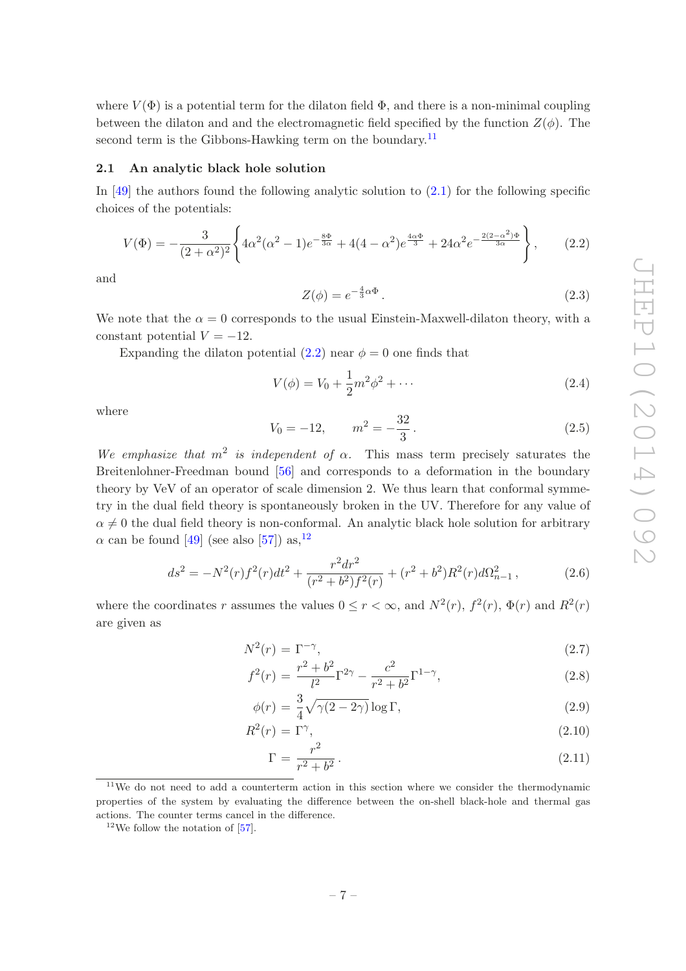where  $V(\Phi)$  is a potential term for the dilaton field  $\Phi$ , and there is a non-minimal coupling between the dilaton and and the electromagnetic field specified by the function  $Z(\phi)$ . The second term is the Gibbons-Hawking term on the boundary.<sup>[11](#page-7-1)</sup>

#### <span id="page-7-0"></span>2.1 An analytic black hole solution

In  $[49]$  the authors found the following analytic solution to  $(2.1)$  for the following specific choices of the potentials:

<span id="page-7-2"></span>
$$
V(\Phi) = -\frac{3}{(2+\alpha^2)^2} \left\{ 4\alpha^2(\alpha^2 - 1)e^{-\frac{8\Phi}{3\alpha}} + 4(4-\alpha^2)e^{\frac{4\alpha\Phi}{3}} + 24\alpha^2e^{-\frac{2(2-\alpha^2)\Phi}{3\alpha}} \right\},
$$
 (2.2)

and

$$
Z(\phi) = e^{-\frac{4}{3}\alpha\Phi}.
$$
\n(2.3)

We note that the  $\alpha = 0$  corresponds to the usual Einstein-Maxwell-dilaton theory, with a constant potential  $V = -12$ .

Expanding the dilaton potential  $(2.2)$  near  $\phi = 0$  one finds that

$$
V(\phi) = V_0 + \frac{1}{2}m^2\phi^2 + \cdots
$$
 (2.4)

where

$$
V_0 = -12, \qquad m^2 = -\frac{32}{3} \,. \tag{2.5}
$$

We emphasize that  $m^2$  is independent of  $\alpha$ . This mass term precisely saturates the Breitenlohner-Freedman bound [\[56\]](#page-35-0) and corresponds to a deformation in the boundary theory by VeV of an operator of scale dimension 2. We thus learn that conformal symmetry in the dual field theory is spontaneously broken in the UV. Therefore for any value of  $\alpha \neq 0$  the dual field theory is non-conformal. An analytic black hole solution for arbitrary  $\alpha$  can be found [\[49](#page-34-9)] (see also [\[57\]](#page-35-1)) as,  $^{12}$  $^{12}$  $^{12}$ 

<span id="page-7-5"></span>
$$
ds^{2} = -N^{2}(r)f^{2}(r)dt^{2} + \frac{r^{2}dr^{2}}{(r^{2} + b^{2})f^{2}(r)} + (r^{2} + b^{2})R^{2}(r)d\Omega_{n-1}^{2},
$$
\n(2.6)

where the coordinates r assumes the values  $0 \le r < \infty$ , and  $N^2(r)$ ,  $f^2(r)$ ,  $\Phi(r)$  and  $R^2(r)$ are given as

<span id="page-7-4"></span>
$$
N^2(r) = \Gamma^{-\gamma},\tag{2.7}
$$

$$
f^{2}(r) = \frac{r^{2} + b^{2}}{l^{2}} \Gamma^{2\gamma} - \frac{c^{2}}{r^{2} + b^{2}} \Gamma^{1-\gamma},
$$
\n(2.8)

$$
\phi(r) = \frac{3}{4}\sqrt{\gamma(2-2\gamma)}\log\Gamma,\tag{2.9}
$$

$$
R^2(r) = \Gamma^\gamma, \tag{2.10}
$$

$$
\Gamma = \frac{r^2}{r^2 + b^2} \,. \tag{2.11}
$$

<span id="page-7-1"></span><sup>&</sup>lt;sup>11</sup>We do not need to add a counterterm action in this section where we consider the thermodynamic properties of the system by evaluating the difference between the on-shell black-hole and thermal gas actions. The counter terms cancel in the difference.

<span id="page-7-3"></span> $12$ We follow the notation of [\[57](#page-35-1)].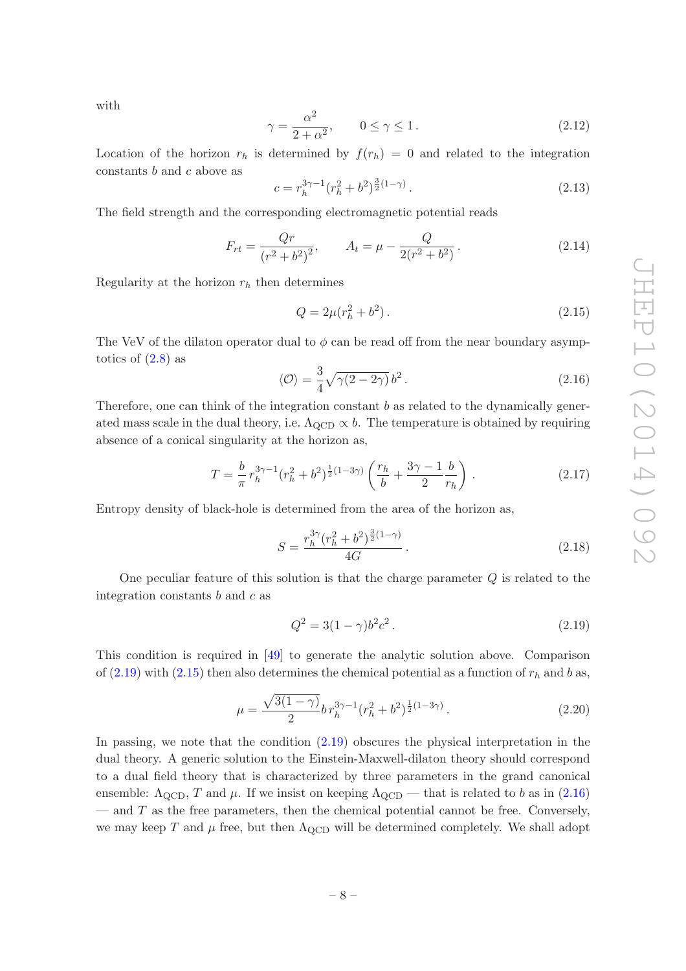with

<span id="page-8-7"></span>
$$
\gamma = \frac{\alpha^2}{2 + \alpha^2}, \qquad 0 \le \gamma \le 1.
$$
\n(2.12)

Location of the horizon  $r_h$  is determined by  $f(r_h) = 0$  and related to the integration constants  $b$  and  $c$  above as

<span id="page-8-3"></span>
$$
c = r_h^{3\gamma - 1} (r_h^2 + b^2)^{\frac{3}{2}(1 - \gamma)}.
$$
\n(2.13)

The field strength and the corresponding electromagnetic potential reads

$$
F_{rt} = \frac{Qr}{(r^2 + b^2)^2}, \qquad A_t = \mu - \frac{Q}{2(r^2 + b^2)}.
$$
\n(2.14)

Regularity at the horizon  $r_h$  then determines

<span id="page-8-1"></span>
$$
Q = 2\mu(r_h^2 + b^2). \tag{2.15}
$$

The VeV of the dilaton operator dual to  $\phi$  can be read off from the near boundary asymptotics of  $(2.8)$  as

<span id="page-8-2"></span>
$$
\langle \mathcal{O} \rangle = \frac{3}{4} \sqrt{\gamma (2 - 2\gamma)} b^2. \tag{2.16}
$$

Therefore, one can think of the integration constant  $b$  as related to the dynamically generated mass scale in the dual theory, i.e.  $\Lambda_{\text{QCD}} \propto b$ . The temperature is obtained by requiring absence of a conical singularity at the horizon as,

<span id="page-8-4"></span>
$$
T = \frac{b}{\pi} r_h^{3\gamma - 1} (r_h^2 + b^2)^{\frac{1}{2}(1 - 3\gamma)} \left( \frac{r_h}{b} + \frac{3\gamma - 1}{2} \frac{b}{r_h} \right) . \tag{2.17}
$$

Entropy density of black-hole is determined from the area of the horizon as,

<span id="page-8-5"></span>
$$
S = \frac{r_h^{3\gamma} (r_h^2 + b^2)^{\frac{3}{2}(1-\gamma)}}{4G} \,. \tag{2.18}
$$

One peculiar feature of this solution is that the charge parameter Q is related to the integration constants  $b$  and  $c$  as

<span id="page-8-0"></span>
$$
Q^2 = 3(1 - \gamma)b^2c^2.
$$
\n(2.19)

This condition is required in [\[49\]](#page-34-9) to generate the analytic solution above. Comparison of  $(2.19)$  with  $(2.15)$  then also determines the chemical potential as a function of  $r<sub>h</sub>$  and b as,

<span id="page-8-6"></span>
$$
\mu = \frac{\sqrt{3(1-\gamma)}}{2} b r_h^{3\gamma - 1} (r_h^2 + b^2)^{\frac{1}{2}(1-3\gamma)}.
$$
\n(2.20)

In passing, we note that the condition [\(2.19\)](#page-8-0) obscures the physical interpretation in the dual theory. A generic solution to the Einstein-Maxwell-dilaton theory should correspond to a dual field theory that is characterized by three parameters in the grand canonical ensemble:  $\Lambda_{\text{QCD}}$ , T and  $\mu$ . If we insist on keeping  $\Lambda_{\text{QCD}}$  — that is related to b as in [\(2.16\)](#page-8-2)  $-$  and  $T$  as the free parameters, then the chemical potential cannot be free. Conversely, we may keep T and  $\mu$  free, but then  $\Lambda_{\text{QCD}}$  will be determined completely. We shall adopt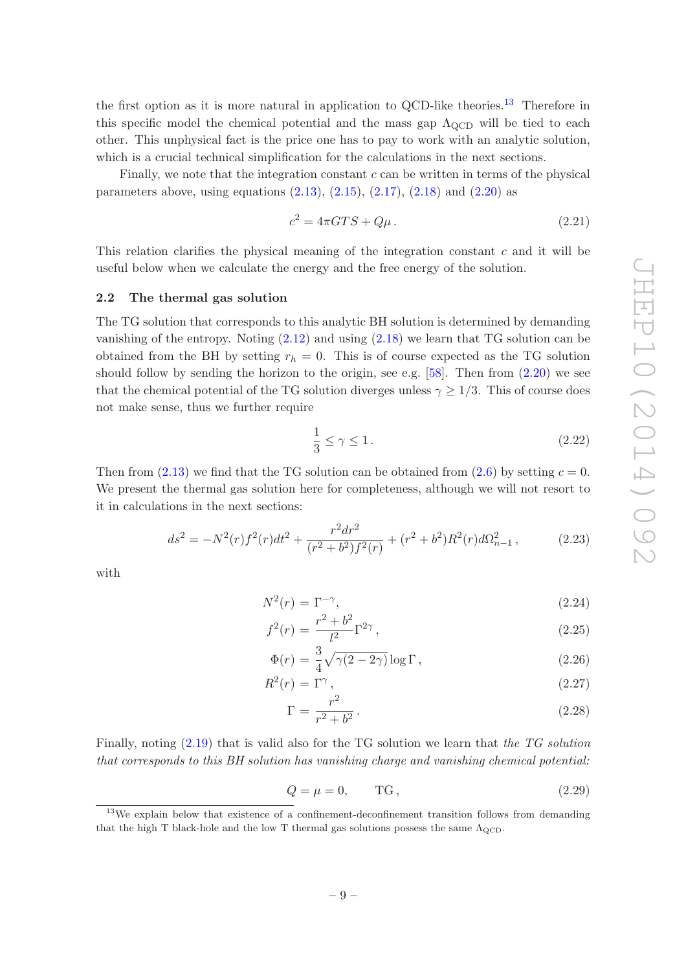the first option as it is more natural in application to QCD-like theories.<sup>[13](#page-9-1)</sup> Therefore in this specific model the chemical potential and the mass gap  $\Lambda_{\text{QCD}}$  will be tied to each other. This unphysical fact is the price one has to pay to work with an analytic solution, which is a crucial technical simplification for the calculations in the next sections.

Finally, we note that the integration constant  $c$  can be written in terms of the physical parameters above, using equations  $(2.13)$ ,  $(2.15)$ ,  $(2.17)$ ,  $(2.18)$  and  $(2.20)$  as

<span id="page-9-2"></span>
$$
c^2 = 4\pi GTS + Q\mu. \tag{2.21}
$$

This relation clarifies the physical meaning of the integration constant c and it will be useful below when we calculate the energy and the free energy of the solution.

#### <span id="page-9-0"></span>2.2 The thermal gas solution

The TG solution that corresponds to this analytic BH solution is determined by demanding vanishing of the entropy. Noting [\(2.12\)](#page-8-7) and using [\(2.18\)](#page-8-5) we learn that TG solution can be obtained from the BH by setting  $r_h = 0$ . This is of course expected as the TG solution should follow by sending the horizon to the origin, see e.g.  $[58]$ . Then from  $(2.20)$  we see that the chemical potential of the TG solution diverges unless  $\gamma \geq 1/3$ . This of course does not make sense, thus we further require

<span id="page-9-3"></span>
$$
\frac{1}{3} \le \gamma \le 1. \tag{2.22}
$$

Then from  $(2.13)$  we find that the TG solution can be obtained from  $(2.6)$  by setting  $c = 0$ . We present the thermal gas solution here for completeness, although we will not resort to it in calculations in the next sections:

$$
ds^{2} = -N^{2}(r)f^{2}(r)dt^{2} + \frac{r^{2}dr^{2}}{(r^{2} + b^{2})f^{2}(r)} + (r^{2} + b^{2})R^{2}(r)d\Omega_{n-1}^{2},
$$
\n(2.23)

with

$$
N^2(r) = \Gamma^{-\gamma},\tag{2.24}
$$

$$
f^{2}(r) = \frac{r^{2} + b^{2}}{l^{2}} \Gamma^{2\gamma},
$$
\n(2.25)

$$
\Phi(r) = \frac{3}{4}\sqrt{\gamma(2-2\gamma)}\log\Gamma\,,\tag{2.26}
$$

$$
R^2(r) = \Gamma^\gamma, \tag{2.27}
$$

$$
\Gamma = \frac{r^2}{r^2 + b^2} \,. \tag{2.28}
$$

Finally, noting [\(2.19\)](#page-8-0) that is valid also for the TG solution we learn that the TG solution that corresponds to this BH solution has vanishing charge and vanishing chemical potential:

$$
Q = \mu = 0, \qquad \text{TG}, \tag{2.29}
$$

<span id="page-9-1"></span><sup>&</sup>lt;sup>13</sup>We explain below that existence of a confinement-deconfinement transition follows from demanding that the high T black-hole and the low T thermal gas solutions possess the same  $\Lambda_{\text{QCD}}$ .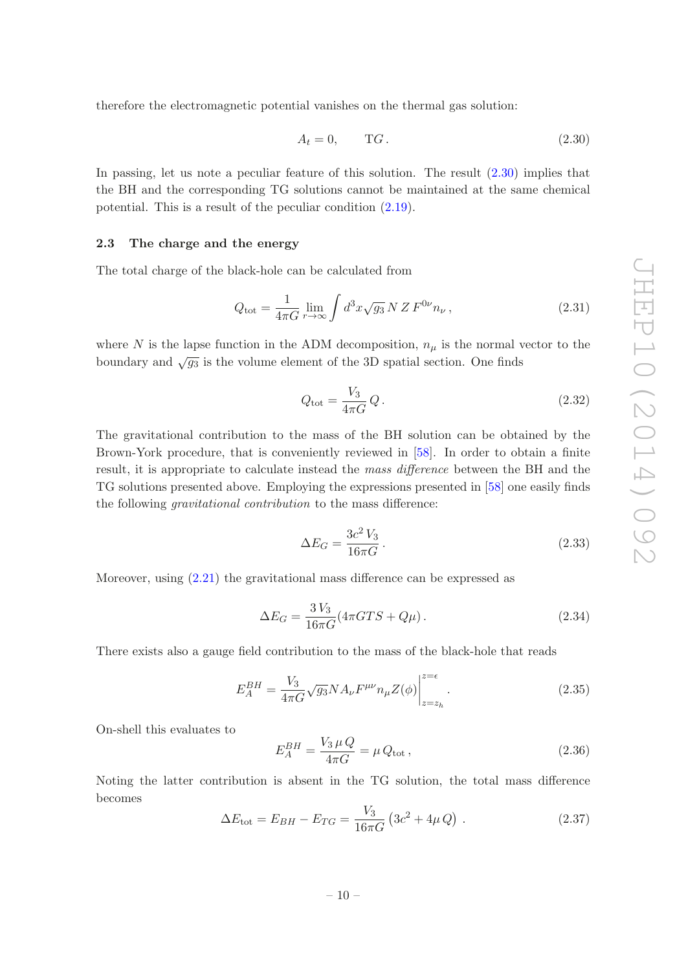therefore the electromagnetic potential vanishes on the thermal gas solution:

<span id="page-10-1"></span>
$$
A_t = 0, \qquad TG. \tag{2.30}
$$

In passing, let us note a peculiar feature of this solution. The result [\(2.30\)](#page-10-1) implies that the BH and the corresponding TG solutions cannot be maintained at the same chemical potential. This is a result of the peculiar condition [\(2.19\)](#page-8-0).

#### <span id="page-10-0"></span>2.3 The charge and the energy

The total charge of the black-hole can be calculated from

$$
Q_{\text{tot}} = \frac{1}{4\pi G} \lim_{r \to \infty} \int d^3x \sqrt{g_3} \, N \, Z \, F^{0\nu} n_{\nu} \,, \tag{2.31}
$$

where N is the lapse function in the ADM decomposition,  $n_{\mu}$  is the normal vector to the boundary and  $\sqrt{g_3}$  is the volume element of the 3D spatial section. One finds

$$
Q_{\text{tot}} = \frac{V_3}{4\pi G} Q. \qquad (2.32)
$$

The gravitational contribution to the mass of the BH solution can be obtained by the Brown-York procedure, that is conveniently reviewed in [\[58](#page-35-2)]. In order to obtain a finite result, it is appropriate to calculate instead the mass difference between the BH and the TG solutions presented above. Employing the expressions presented in [\[58](#page-35-2)] one easily finds the following gravitational contribution to the mass difference:

<span id="page-10-2"></span>
$$
\Delta E_G = \frac{3c^2 V_3}{16\pi G}.
$$
\n
$$
(2.33)
$$

Moreover, using [\(2.21\)](#page-9-2) the gravitational mass difference can be expressed as

$$
\Delta E_G = \frac{3 V_3}{16\pi G} (4\pi G T S + Q\mu). \tag{2.34}
$$

There exists also a gauge field contribution to the mass of the black-hole that reads

$$
E_A^{BH} = \frac{V_3}{4\pi G} \sqrt{g_3} N A_\nu F^{\mu\nu} n_\mu Z(\phi) \Big|_{z=z_h}^{z=\epsilon} . \tag{2.35}
$$

On-shell this evaluates to

$$
E_A^{BH} = \frac{V_3 \,\mu \, Q}{4\pi G} = \mu \, Q_{\text{tot}} \,, \tag{2.36}
$$

Noting the latter contribution is absent in the TG solution, the total mass difference becomes

$$
\Delta E_{\text{tot}} = E_{BH} - E_{TG} = \frac{V_3}{16\pi G} \left( 3c^2 + 4\mu \, Q \right) \,. \tag{2.37}
$$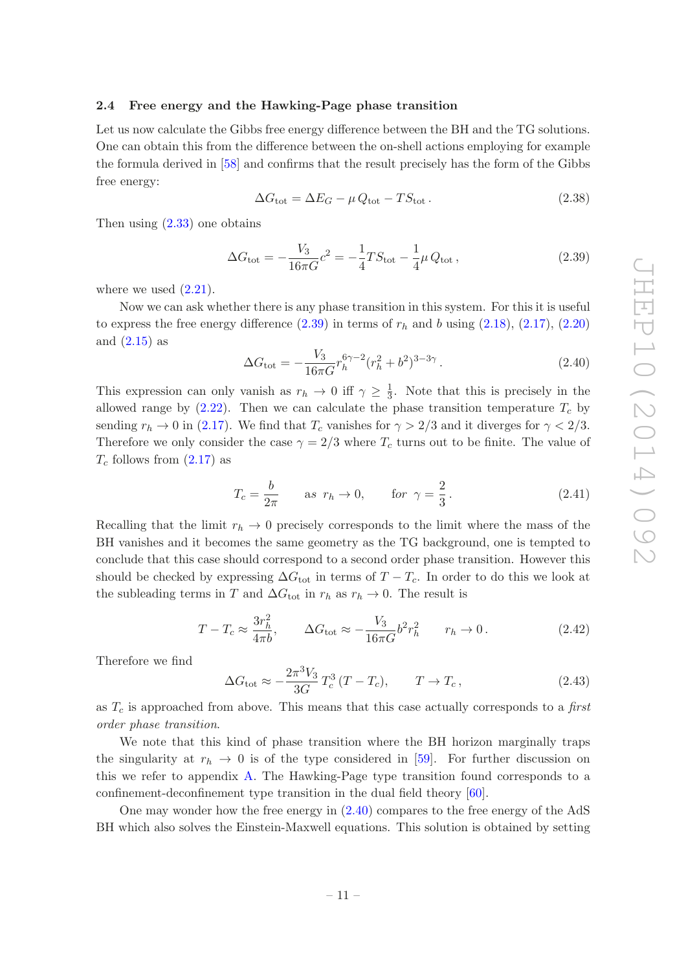#### <span id="page-11-0"></span>2.4 Free energy and the Hawking-Page phase transition

Let us now calculate the Gibbs free energy difference between the BH and the TG solutions. One can obtain this from the difference between the on-shell actions employing for example the formula derived in [\[58](#page-35-2)] and confirms that the result precisely has the form of the Gibbs free energy:

<span id="page-11-3"></span>
$$
\Delta G_{\text{tot}} = \Delta E_G - \mu Q_{\text{tot}} - TS_{\text{tot}}.
$$
\n(2.38)

Then using  $(2.33)$  one obtains

<span id="page-11-1"></span>
$$
\Delta G_{\text{tot}} = -\frac{V_3}{16\pi G}c^2 = -\frac{1}{4}TS_{\text{tot}} - \frac{1}{4}\mu Q_{\text{tot}}\,,\tag{2.39}
$$

where we used  $(2.21)$ .

Now we can ask whether there is any phase transition in this system. For this it is useful to express the free energy difference  $(2.39)$  in terms of  $r_h$  and b using  $(2.18)$ ,  $(2.17)$ ,  $(2.20)$ and  $(2.15)$  as

<span id="page-11-2"></span>
$$
\Delta G_{\text{tot}} = -\frac{V_3}{16\pi G} r_h^{6\gamma - 2} (r_h^2 + b^2)^{3 - 3\gamma} . \tag{2.40}
$$

This expression can only vanish as  $r_h \to 0$  iff  $\gamma \geq \frac{1}{3}$  $\frac{1}{3}$ . Note that this is precisely in the allowed range by  $(2.22)$ . Then we can calculate the phase transition temperature  $T_c$  by sending  $r_h \to 0$  in [\(2.17\)](#page-8-4). We find that  $T_c$  vanishes for  $\gamma > 2/3$  and it diverges for  $\gamma < 2/3$ . Therefore we only consider the case  $\gamma = 2/3$  where  $T_c$  turns out to be finite. The value of  $T_c$  follows from  $(2.17)$  as

$$
T_c = \frac{b}{2\pi} \qquad \text{as } r_h \to 0, \qquad \text{for } \gamma = \frac{2}{3} \,. \tag{2.41}
$$

Recalling that the limit  $r_h \to 0$  precisely corresponds to the limit where the mass of the BH vanishes and it becomes the same geometry as the TG background, one is tempted to conclude that this case should correspond to a second order phase transition. However this should be checked by expressing  $\Delta G_{\text{tot}}$  in terms of  $T - T_c$ . In order to do this we look at the subleading terms in T and  $\Delta G_{\text{tot}}$  in  $r_h$  as  $r_h \to 0$ . The result is

$$
T - T_c \approx \frac{3r_h^2}{4\pi b}, \qquad \Delta G_{\text{tot}} \approx -\frac{V_3}{16\pi G} b^2 r_h^2 \qquad r_h \to 0. \tag{2.42}
$$

Therefore we find

$$
\Delta G_{\text{tot}} \approx -\frac{2\pi^3 V_3}{3G} T_c^3 (T - T_c), \qquad T \to T_c, \qquad (2.43)
$$

as  $T_c$  is approached from above. This means that this case actually corresponds to a first order phase transition.

We note that this kind of phase transition where the BH horizon marginally traps the singularity at  $r_h \to 0$  is of the type considered in [\[59\]](#page-35-3). For further discussion on this we refer to appendix [A.](#page-26-0) The Hawking-Page type transition found corresponds to a confinement-deconfinement type transition in the dual field theory [\[60](#page-35-4)].

One may wonder how the free energy in [\(2.40\)](#page-11-2) compares to the free energy of the AdS BH which also solves the Einstein-Maxwell equations. This solution is obtained by setting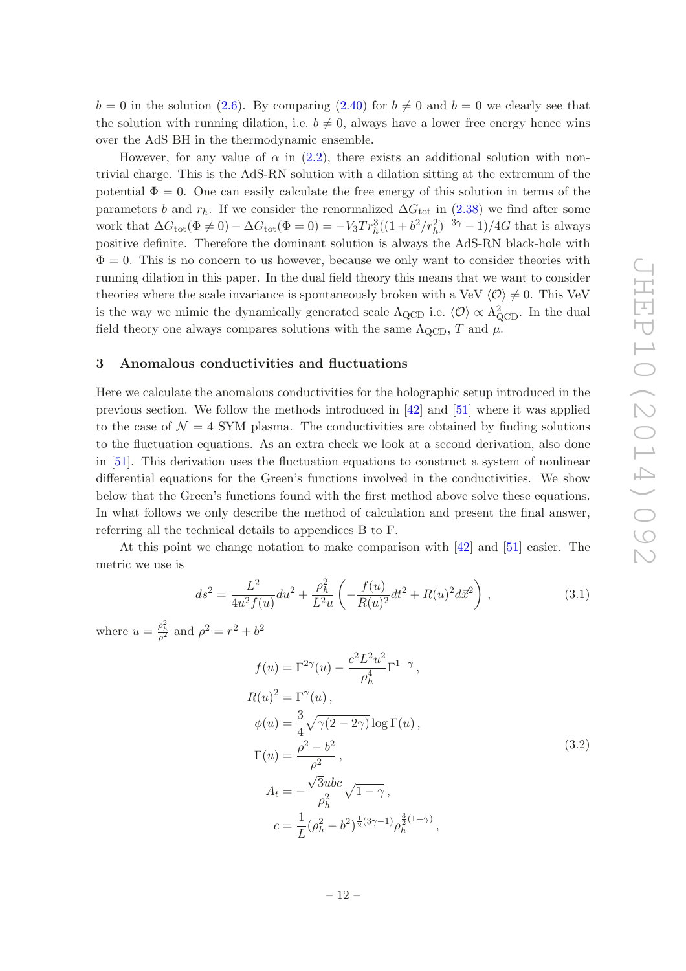$b = 0$  in the solution [\(2.6\)](#page-7-5). By comparing [\(2.40\)](#page-11-2) for  $b \neq 0$  and  $b = 0$  we clearly see that the solution with running dilation, i.e.  $b \neq 0$ , always have a lower free energy hence wins over the AdS BH in the thermodynamic ensemble.

However, for any value of  $\alpha$  in [\(2.2\)](#page-7-2), there exists an additional solution with nontrivial charge. This is the AdS-RN solution with a dilation sitting at the extremum of the potential  $\Phi = 0$ . One can easily calculate the free energy of this solution in terms of the parameters b and  $r_h$ . If we consider the renormalized  $\Delta G_{\text{tot}}$  in [\(2.38\)](#page-11-3) we find after some work that  $\Delta G_{\text{tot}}(\Phi \neq 0) - \Delta G_{\text{tot}}(\Phi = 0) = -V_3 Tr_h^3((1 + b^2/r_h^2)^{-3\gamma} - 1)/4G$  that is always positive definite. Therefore the dominant solution is always the AdS-RN black-hole with  $\Phi = 0$ . This is no concern to us however, because we only want to consider theories with running dilation in this paper. In the dual field theory this means that we want to consider theories where the scale invariance is spontaneously broken with a VeV  $\langle \mathcal{O} \rangle \neq 0$ . This VeV is the way we mimic the dynamically generated scale  $\Lambda_{\rm QCD}$  i.e.  $\langle \mathcal{O} \rangle \propto \Lambda_{\rm QCD}^2$ . In the dual field theory one always compares solutions with the same  $\Lambda_{\rm QCD}$ , T and  $\mu$ .

#### <span id="page-12-0"></span>3 Anomalous conductivities and fluctuations

Here we calculate the anomalous conductivities for the holographic setup introduced in the previous section. We follow the methods introduced in [\[42](#page-34-4)] and [\[51](#page-34-10)] where it was applied to the case of  $\mathcal{N} = 4$  SYM plasma. The conductivities are obtained by finding solutions to the fluctuation equations. As an extra check we look at a second derivation, also done in [\[51](#page-34-10)]. This derivation uses the fluctuation equations to construct a system of nonlinear differential equations for the Green's functions involved in the conductivities. We show below that the Green's functions found with the first method above solve these equations. In what follows we only describe the method of calculation and present the final answer, referring all the technical details to appendices B to F.

At this point we change notation to make comparison with [\[42](#page-34-4)] and [\[51](#page-34-10)] easier. The metric we use is

$$
ds^{2} = \frac{L^{2}}{4u^{2} f(u)} du^{2} + \frac{\rho_{h}^{2}}{L^{2} u} \left( -\frac{f(u)}{R(u)^{2}} dt^{2} + R(u)^{2} d\vec{x}^{2} \right),
$$
\n(3.1)

where  $u = \frac{\rho_h^2}{\rho^2}$  and  $\rho^2 = r^2 + b^2$ 

$$
f(u) = \Gamma^{2\gamma}(u) - \frac{c^2 L^2 u^2}{\rho_h^4} \Gamma^{1-\gamma},
$$
  
\n
$$
R(u)^2 = \Gamma^{\gamma}(u),
$$
  
\n
$$
\phi(u) = \frac{3}{4} \sqrt{\gamma(2 - 2\gamma)} \log \Gamma(u),
$$
  
\n
$$
\Gamma(u) = \frac{\rho^2 - b^2}{\rho^2},
$$
  
\n
$$
A_t = -\frac{\sqrt{3} \mu b c}{\rho_h^2} \sqrt{1 - \gamma},
$$
  
\n
$$
c = \frac{1}{L} (\rho_h^2 - b^2)^{\frac{1}{2}(3\gamma - 1)} \rho_h^{\frac{3}{2}(1 - \gamma)},
$$
\n(3.2)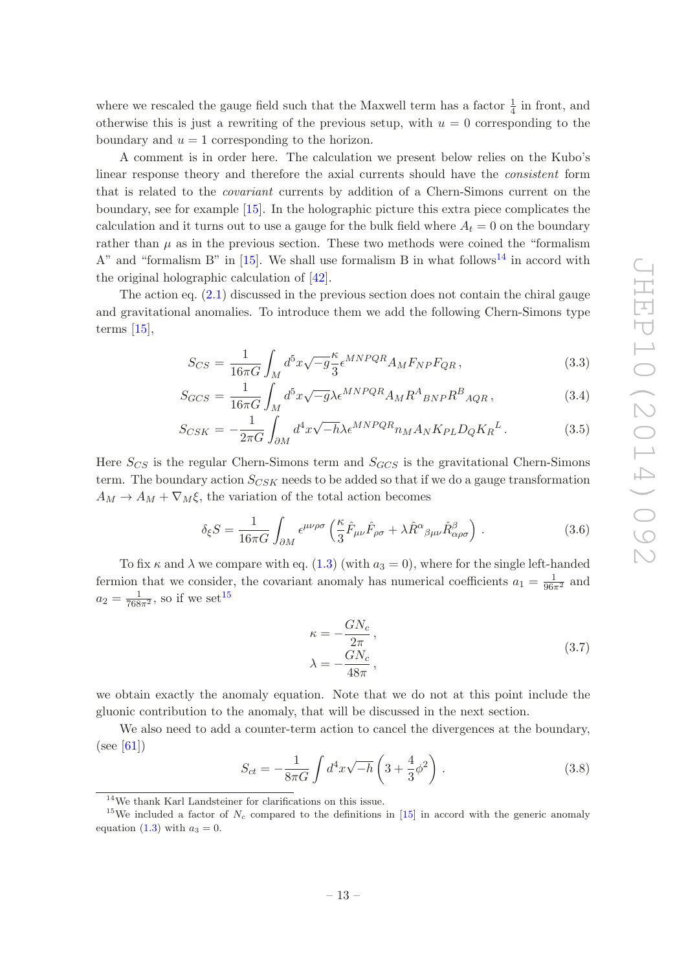where we rescaled the gauge field such that the Maxwell term has a factor  $\frac{1}{4}$  in front, and otherwise this is just a rewriting of the previous setup, with  $u = 0$  corresponding to the boundary and  $u = 1$  corresponding to the horizon.

A comment is in order here. The calculation we present below relies on the Kubo's linear response theory and therefore the axial currents should have the consistent form that is related to the covariant currents by addition of a Chern-Simons current on the boundary, see for example [\[15](#page-32-12)]. In the holographic picture this extra piece complicates the calculation and it turns out to use a gauge for the bulk field where  $A_t = 0$  on the boundary rather than  $\mu$  as in the previous section. These two methods were coined the "formalism" A" and "formalism B" in  $[15]$ . We shall use formalism B in what follows<sup>[14](#page-13-0)</sup> in accord with the original holographic calculation of [\[42\]](#page-34-4).

The action eq. [\(2.1\)](#page-6-4) discussed in the previous section does not contain the chiral gauge and gravitational anomalies. To introduce them we add the following Chern-Simons type terms [\[15\]](#page-32-12),

<span id="page-13-3"></span>
$$
S_{CS} = \frac{1}{16\pi G} \int_M d^5 x \sqrt{-g} \frac{\kappa}{3} \epsilon^{MNPQR} A_M F_{NP} F_{QR} , \qquad (3.3)
$$

$$
S_{GCS} = \frac{1}{16\pi G} \int_M d^5 x \sqrt{-g} \lambda \epsilon^{MNPQR} A_M R^A_{\ BNP} R^B_{\ AQR} \,, \tag{3.4}
$$

$$
S_{CSK} = -\frac{1}{2\pi G} \int_{\partial M} d^4x \sqrt{-h} \lambda \epsilon^{MNPQR} n_M A_N K_{PL} D_Q K_R^L. \tag{3.5}
$$

Here  $S_{CS}$  is the regular Chern-Simons term and  $S_{GCS}$  is the gravitational Chern-Simons term. The boundary action  $S_{CSK}$  needs to be added so that if we do a gauge transformation  $A_M \to A_M + \nabla_M \xi$ , the variation of the total action becomes

$$
\delta_{\xi} S = \frac{1}{16\pi G} \int_{\partial M} \epsilon^{\mu\nu\rho\sigma} \left( \frac{\kappa}{3} \hat{F}_{\mu\nu} \hat{F}_{\rho\sigma} + \lambda \hat{R}^{\alpha}{}_{\beta\mu\nu} \hat{R}^{\beta}_{\alpha\rho\sigma} \right) . \tag{3.6}
$$

To fix  $\kappa$  and  $\lambda$  we compare with eq. [\(1.3\)](#page-3-4) (with  $a_3 = 0$ ), where for the single left-handed fermion that we consider, the covariant anomaly has numerical coefficients  $a_1 = \frac{1}{96\pi^2}$  and  $a_2 = \frac{1}{768\pi^2}$ , so if we set<sup>[15](#page-13-1)</sup>

$$
\kappa = -\frac{GN_c}{2\pi},
$$
  
\n
$$
\lambda = -\frac{GN_c}{48\pi},
$$
\n(3.7)

<span id="page-13-2"></span>we obtain exactly the anomaly equation. Note that we do not at this point include the gluonic contribution to the anomaly, that will be discussed in the next section.

We also need to add a counter-term action to cancel the divergences at the boundary,  $(see [61])$  $(see [61])$  $(see [61])$ 

$$
S_{ct} = -\frac{1}{8\pi G} \int d^4x \sqrt{-h} \left( 3 + \frac{4}{3} \phi^2 \right) . \tag{3.8}
$$

<span id="page-13-0"></span><sup>14</sup>We thank Karl Landsteiner for clarifications on this issue.

<span id="page-13-1"></span><sup>&</sup>lt;sup>15</sup>We included a factor of  $N_c$  compared to the definitions in [\[15](#page-32-12)] in accord with the generic anomaly equation [\(1.3\)](#page-3-4) with  $a_3 = 0$ .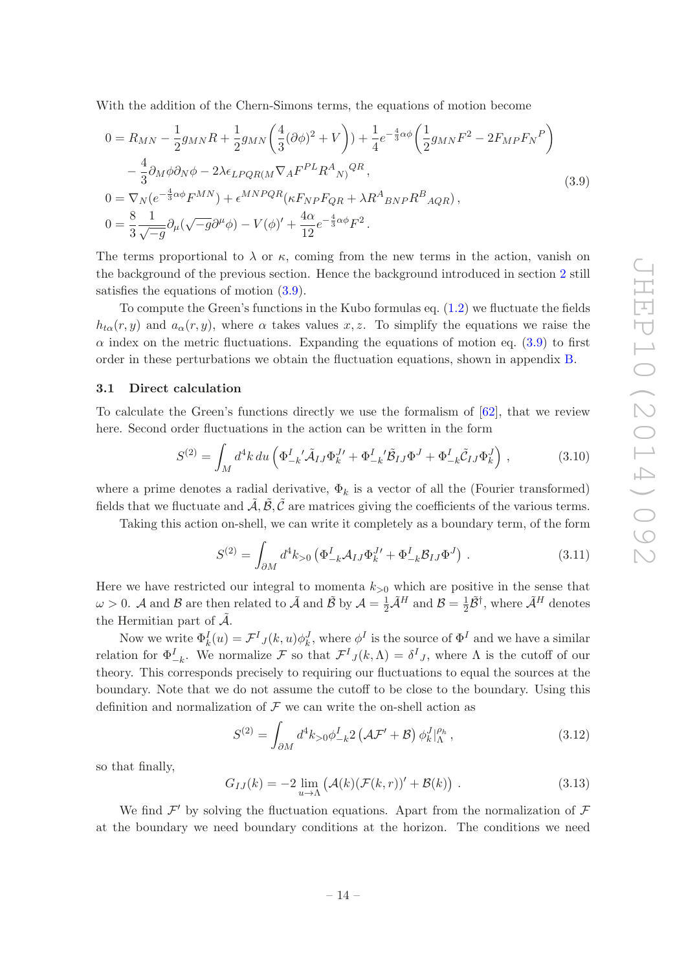With the addition of the Chern-Simons terms, the equations of motion become

<span id="page-14-1"></span>
$$
0 = R_{MN} - \frac{1}{2}g_{MN}R + \frac{1}{2}g_{MN}\left(\frac{4}{3}(\partial\phi)^2 + V\right) + \frac{1}{4}e^{-\frac{4}{3}\alpha\phi}\left(\frac{1}{2}g_{MN}F^2 - 2F_{MP}F_N^P\right)
$$
  

$$
- \frac{4}{3}\partial_M\phi\partial_N\phi - 2\lambda\epsilon_{LPQR(M}\nabla_A F^{PL}R^A{}_{N)}{}^{QR},
$$
  

$$
0 = \nabla_N(e^{-\frac{4}{3}\alpha\phi}F^{MN}) + \epsilon^{MNPQR}(\kappa F_{NP}F_{QR} + \lambda R^A{}_{BNP}R^B{}_{AQR}),
$$
  

$$
0 = \frac{8}{3}\frac{1}{\sqrt{-g}}\partial_\mu(\sqrt{-g}\partial^\mu\phi) - V(\phi)' + \frac{4\alpha}{12}e^{-\frac{4}{3}\alpha\phi}F^2.
$$
 (3.9)

The terms proportional to  $\lambda$  or  $\kappa$ , coming from the new terms in the action, vanish on the background of the previous section. Hence the background introduced in section [2](#page-6-0) still satisfies the equations of motion [\(3.9\)](#page-14-1).

To compute the Green's functions in the Kubo formulas eq. [\(1.2\)](#page-3-0) we fluctuate the fields  $h_{t\alpha}(r, y)$  and  $a_{\alpha}(r, y)$ , where  $\alpha$  takes values x, z. To simplify the equations we raise the  $\alpha$  index on the metric fluctuations. Expanding the equations of motion eq. [\(3.9\)](#page-14-1) to first order in these perturbations we obtain the fluctuation equations, shown in appendix [B.](#page-27-0)

#### <span id="page-14-0"></span>3.1 Direct calculation

To calculate the Green's functions directly we use the formalism of [\[62](#page-35-6)], that we review here. Second order fluctuations in the action can be written in the form

$$
S^{(2)} = \int_M d^4k \, du \left( \Phi_{-k}^I \tilde{\mathcal{A}}_{IJ} \Phi_k^{J\prime} + \Phi_{-k}^I \tilde{\mathcal{B}}_{IJ} \Phi^J + \Phi_{-k}^I \tilde{\mathcal{C}}_{IJ} \Phi_k^J \right) , \tag{3.10}
$$

where a prime denotes a radial derivative,  $\Phi_k$  is a vector of all the (Fourier transformed) fields that we fluctuate and  $A, B, C$  are matrices giving the coefficients of the various terms.

Taking this action on-shell, we can write it completely as a boundary term, of the form

$$
S^{(2)} = \int_{\partial M} d^4 k_{>0} \left( \Phi_{-k}^I \mathcal{A}_{IJ} \Phi_k^{J \prime} + \Phi_{-k}^I \mathcal{B}_{IJ} \Phi^J \right) . \tag{3.11}
$$

Here we have restricted our integral to momenta  $k_{>0}$  which are positive in the sense that  $\omega > 0$ . A and B are then related to  $\tilde{\mathcal{A}}$  and  $\tilde{\mathcal{B}}$  by  $\mathcal{A} = \frac{1}{2} \tilde{\mathcal{A}}^H$  and  $\mathcal{B} = \frac{1}{2}$  $\frac{1}{2}\tilde{\mathcal{B}}^{\dagger}$ , where  $\tilde{\mathcal{A}}^{H}$  denotes the Hermitian part of  $\tilde{\mathcal{A}}$ .

Now we write  $\Phi_k^I(u) = \mathcal{F}^I_{J}(k, u)\phi_k^J$ , where  $\phi^I$  is the source of  $\Phi^I$  and we have a similar relation for  $\Phi^I_{-k}$ . We normalize F so that  $\mathcal{F}^I_{-j}(k,\Lambda) = \delta^I_{-j}$ , where  $\Lambda$  is the cutoff of our theory. This corresponds precisely to requiring our fluctuations to equal the sources at the boundary. Note that we do not assume the cutoff to be close to the boundary. Using this definition and normalization of  $\mathcal F$  we can write the on-shell action as

$$
S^{(2)} = \int_{\partial M} d^4 k_{>0} \phi_{-k}^I 2 \left( \mathcal{A} \mathcal{F}' + \mathcal{B} \right) \phi_k^J \vert_{\Lambda}^{\rho_h}, \tag{3.12}
$$

so that finally,

<span id="page-14-2"></span>
$$
G_{IJ}(k) = -2 \lim_{u \to \Lambda} \left( \mathcal{A}(k) (\mathcal{F}(k,r))' + \mathcal{B}(k) \right) . \tag{3.13}
$$

We find  $\mathcal{F}'$  by solving the fluctuation equations. Apart from the normalization of  $\mathcal F$ at the boundary we need boundary conditions at the horizon. The conditions we need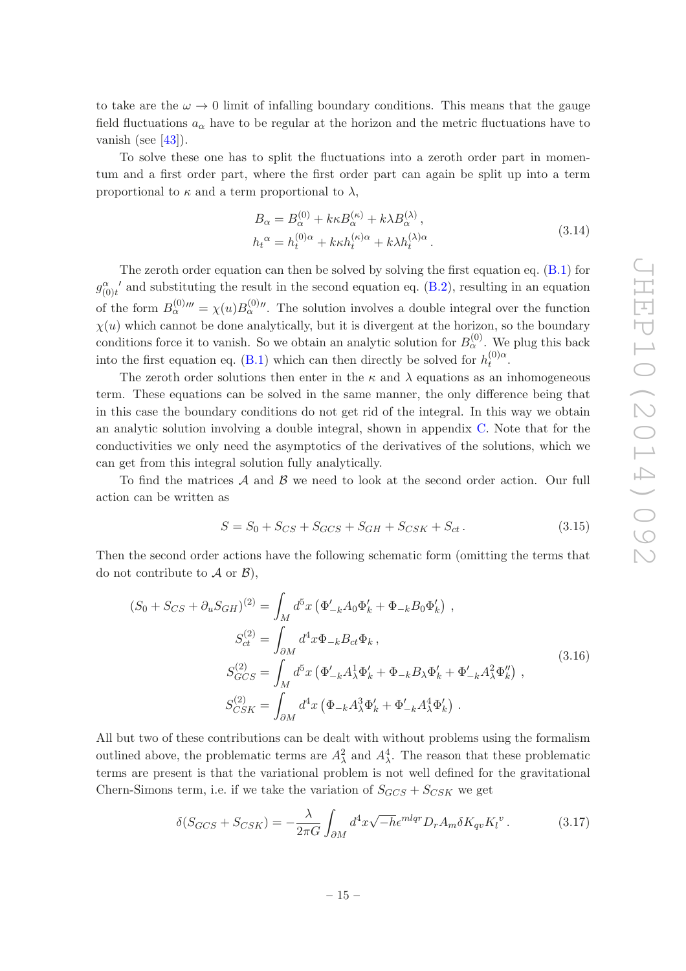to take are the  $\omega \to 0$  limit of infalling boundary conditions. This means that the gauge field fluctuations  $a_{\alpha}$  have to be regular at the horizon and the metric fluctuations have to vanish (see  $[43]$ ).

To solve these one has to split the fluctuations into a zeroth order part in momentum and a first order part, where the first order part can again be split up into a term proportional to  $\kappa$  and a term proportional to  $\lambda$ ,

$$
B_{\alpha} = B_{\alpha}^{(0)} + k\kappa B_{\alpha}^{(\kappa)} + k\lambda B_{\alpha}^{(\lambda)},
$$
  
\n
$$
h_t^{\alpha} = h_t^{(0)\alpha} + k\kappa h_t^{(\kappa)\alpha} + k\lambda h_t^{(\lambda)\alpha}.
$$
\n(3.14)

The zeroth order equation can then be solved by solving the first equation eq. [\(B.1\)](#page-27-3) for  $g_{(0)t}^{\alpha}$  and substituting the result in the second equation eq. [\(B.2\)](#page-27-4), resulting in an equation of the form  $B_{\alpha}^{(0)}''' = \chi(u)B_{\alpha}^{(0)}''$ . The solution involves a double integral over the function  $\chi(u)$  which cannot be done analytically, but it is divergent at the horizon, so the boundary conditions force it to vanish. So we obtain an analytic solution for  $B_{\alpha}^{(0)}$ . We plug this back into the first equation eq. [\(B.1\)](#page-27-3) which can then directly be solved for  $h_t^{(0)\alpha}$  $\int_t^{\left(\mathsf{U}\right)\mathsf{C}\mathsf{L}}$ 

The zeroth order solutions then enter in the  $\kappa$  and  $\lambda$  equations as an inhomogeneous term. These equations can be solved in the same manner, the only difference being that in this case the boundary conditions do not get rid of the integral. In this way we obtain an analytic solution involving a double integral, shown in appendix [C.](#page-27-1) Note that for the conductivities we only need the asymptotics of the derivatives of the solutions, which we can get from this integral solution fully analytically.

To find the matrices  $\mathcal A$  and  $\mathcal B$  we need to look at the second order action. Our full action can be written as

$$
S = S_0 + S_{CS} + S_{GCS} + S_{GH} + S_{CSK} + S_{ct}.
$$
 (3.15)

Then the second order actions have the following schematic form (omitting the terms that do not contribute to  $\mathcal A$  or  $\mathcal B$ ),

$$
(S_0 + S_{CS} + \partial_u S_{GH})^{(2)} = \int_M d^5x \left( \Phi'_{-k} A_0 \Phi'_k + \Phi_{-k} B_0 \Phi'_k \right) ,
$$
  
\n
$$
S_{ct}^{(2)} = \int_{\partial M} d^4x \Phi_{-k} B_{ct} \Phi_k ,
$$
  
\n
$$
S_{GCS}^{(2)} = \int_M d^5x \left( \Phi'_{-k} A_\lambda^1 \Phi'_k + \Phi_{-k} B_\lambda \Phi'_k + \Phi'_{-k} A_\lambda^2 \Phi''_k \right) ,
$$
  
\n
$$
S_{CSK}^{(2)} = \int_{\partial M} d^4x \left( \Phi_{-k} A_\lambda^3 \Phi'_k + \Phi'_{-k} A_\lambda^4 \Phi'_k \right) .
$$
  
\n(3.16)

All but two of these contributions can be dealt with without problems using the formalism outlined above, the problematic terms are  $A_\lambda^2$  and  $A_\lambda^4$ . The reason that these problematic terms are present is that the variational problem is not well defined for the gravitational Chern-Simons term, i.e. if we take the variation of  $S_{GCS} + S_{CSK}$  we get

<span id="page-15-0"></span>
$$
\delta(S_{GCS} + S_{CSK}) = -\frac{\lambda}{2\pi G} \int_{\partial M} d^4x \sqrt{-h} \epsilon^{mlqr} D_r A_m \delta K_{qv} K_l^{\nu} \,. \tag{3.17}
$$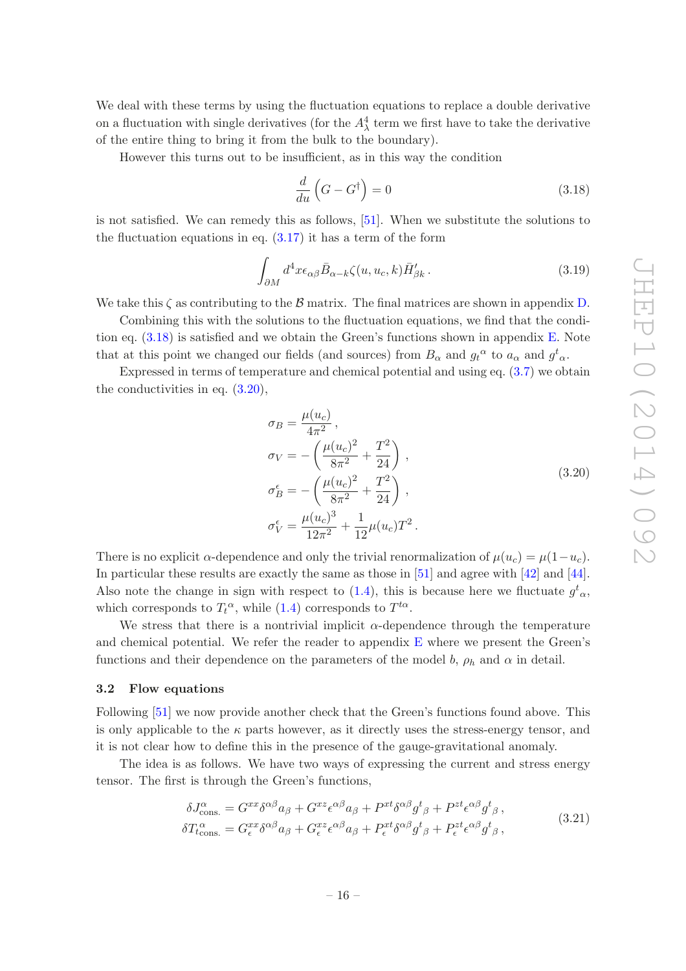We deal with these terms by using the fluctuation equations to replace a double derivative on a fluctuation with single derivatives (for the  $A^4_\lambda$  term we first have to take the derivative of the entire thing to bring it from the bulk to the boundary).

However this turns out to be insufficient, as in this way the condition

<span id="page-16-1"></span>
$$
\frac{d}{du}\left(G - G^{\dagger}\right) = 0\tag{3.18}
$$

is not satisfied. We can remedy this as follows, [\[51\]](#page-34-10). When we substitute the solutions to the fluctuation equations in eq.  $(3.17)$  it has a term of the form

$$
\int_{\partial M} d^4x \epsilon_{\alpha\beta} \bar{B}_{\alpha-k} \zeta(u, u_c, k) \bar{H}'_{\beta k}.
$$
\n(3.19)

We take this  $\zeta$  as contributing to the  $\beta$  matrix. The final matrices are shown in appendix [D.](#page-30-0)

Combining this with the solutions to the fluctuation equations, we find that the condition eq.  $(3.18)$  is satisfied and we obtain the Green's functions shown in appendix [E.](#page-31-0) Note that at this point we changed our fields (and sources) from  $B_{\alpha}$  and  $g_t^{\alpha}$  to  $a_{\alpha}$  and  $g_{\alpha}^t$ .

Expressed in terms of temperature and chemical potential and using eq. [\(3.7\)](#page-13-2) we obtain the conductivities in eq. [\(3.20\)](#page-16-2),

$$
\sigma_B = \frac{\mu(u_c)}{4\pi^2},
$$
  
\n
$$
\sigma_V = -\left(\frac{\mu(u_c)^2}{8\pi^2} + \frac{T^2}{24}\right),
$$
  
\n
$$
\sigma_B^{\epsilon} = -\left(\frac{\mu(u_c)^2}{8\pi^2} + \frac{T^2}{24}\right),
$$
  
\n
$$
\sigma_V^{\epsilon} = \frac{\mu(u_c)^3}{12\pi^2} + \frac{1}{12}\mu(u_c)T^2.
$$
\n(3.20)

<span id="page-16-2"></span>There is no explicit  $\alpha$ -dependence and only the trivial renormalization of  $\mu(u_c) = \mu(1-u_c)$ . In particular these results are exactly the same as those in [\[51\]](#page-34-10) and agree with [\[42](#page-34-4)] and [\[44\]](#page-34-11). Also note the change in sign with respect to [\(1.4\)](#page-4-2), this is because here we fluctuate  $g^t_{\alpha}$ , which corresponds to  $T_t^{\alpha}$ , while [\(1.4\)](#page-4-2) corresponds to  $T^{t\alpha}$ .

We stress that there is a nontrivial implicit  $\alpha$ -dependence through the temperature and chemical potential. We refer the reader to appendix  $E$  where we present the Green's functions and their dependence on the parameters of the model b,  $\rho_h$  and  $\alpha$  in detail.

#### <span id="page-16-0"></span>3.2 Flow equations

Following [\[51\]](#page-34-10) we now provide another check that the Green's functions found above. This is only applicable to the  $\kappa$  parts however, as it directly uses the stress-energy tensor, and it is not clear how to define this in the presence of the gauge-gravitational anomaly.

The idea is as follows. We have two ways of expressing the current and stress energy tensor. The first is through the Green's functions,

$$
\delta J_{\text{cons.}}^{\alpha} = G^{xx} \delta^{\alpha \beta} a_{\beta} + G^{xz} \epsilon^{\alpha \beta} a_{\beta} + P^{xt} \delta^{\alpha \beta} g^{t}_{\beta} + P^{zt} \epsilon^{\alpha \beta} g^{t}_{\beta}, \delta T_{t_{\text{cons.}}}^{\alpha} = G^{xx}_{\epsilon} \delta^{\alpha \beta} a_{\beta} + G^{xz}_{\epsilon} \epsilon^{\alpha \beta} a_{\beta} + P^{xt}_{\epsilon} \delta^{\alpha \beta} g^{t}_{\beta} + P^{zt}_{\epsilon} \epsilon^{\alpha \beta} g^{t}_{\beta},
$$
\n(3.21)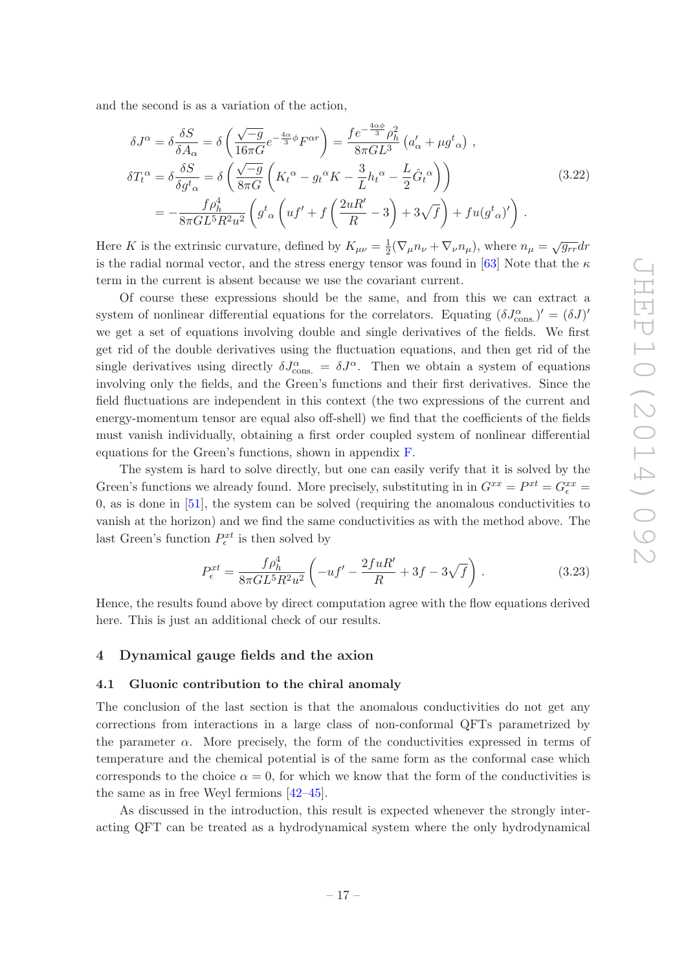and the second is as a variation of the action,

$$
\delta J^{\alpha} = \delta \frac{\delta S}{\delta A_{\alpha}} = \delta \left( \frac{\sqrt{-g}}{16\pi G} e^{-\frac{4\alpha}{3}\phi} F^{\alpha r} \right) = \frac{f e^{-\frac{4\alpha\phi}{3}} \rho_h^2}{8\pi G L^3} \left( a'_{\alpha} + \mu g^t_{\alpha} \right) ,
$$
  
\n
$$
\delta T_t^{\alpha} = \delta \frac{\delta S}{\delta g^t_{\alpha}} = \delta \left( \frac{\sqrt{-g}}{8\pi G} \left( K_t^{\alpha} - g_t^{\alpha} K - \frac{3}{L} h_t^{\alpha} - \frac{L}{2} \hat{G}_t^{\alpha} \right) \right)
$$
  
\n
$$
= -\frac{f \rho_h^4}{8\pi G L^5 R^2 u^2} \left( g^t_{\alpha} \left( u f' + f \left( \frac{2uR'}{R} - 3 \right) + 3\sqrt{f} \right) + fu(g^t_{\alpha})' \right) .
$$
\n(3.22)

Here K is the extrinsic curvature, defined by  $K_{\mu\nu} = \frac{1}{2}$  $\frac{1}{2}(\nabla_{\mu}n_{\nu} + \nabla_{\nu}n_{\mu})$ , where  $n_{\mu} = \sqrt{g_{rr}}dr$ is the radial normal vector, and the stress energy tensor was found in [\[63\]](#page-35-7) Note that the  $\kappa$ term in the current is absent because we use the covariant current.

Of course these expressions should be the same, and from this we can extract a system of nonlinear differential equations for the correlators. Equating  $(\delta J_{\text{cons.}}^{\alpha})' = (\delta J)'$ we get a set of equations involving double and single derivatives of the fields. We first get rid of the double derivatives using the fluctuation equations, and then get rid of the single derivatives using directly  $\delta J_{\text{cons.}}^{\alpha} = \delta J^{\alpha}$ . Then we obtain a system of equations involving only the fields, and the Green's functions and their first derivatives. Since the field fluctuations are independent in this context (the two expressions of the current and energy-momentum tensor are equal also off-shell) we find that the coefficients of the fields must vanish individually, obtaining a first order coupled system of nonlinear differential equations for the Green's functions, shown in appendix [F.](#page-31-1)

The system is hard to solve directly, but one can easily verify that it is solved by the Green's functions we already found. More precisely, substituting in in  $G^{xx} = P^{xt} = G^{xx}_{\epsilon} =$ 0, as is done in [\[51](#page-34-10)], the system can be solved (requiring the anomalous conductivities to vanish at the horizon) and we find the same conductivities as with the method above. The last Green's function  $P_{\epsilon}^{xt}$  is then solved by

$$
P_{\epsilon}^{xt} = \frac{f\rho_h^4}{8\pi G L^5 R^2 u^2} \left( -uf' - \frac{2fuR'}{R} + 3f - 3\sqrt{f} \right).
$$
 (3.23)

Hence, the results found above by direct computation agree with the flow equations derived here. This is just an additional check of our results.

### <span id="page-17-1"></span><span id="page-17-0"></span>4 Dynamical gauge fields and the axion

#### 4.1 Gluonic contribution to the chiral anomaly

The conclusion of the last section is that the anomalous conductivities do not get any corrections from interactions in a large class of non-conformal QFTs parametrized by the parameter  $\alpha$ . More precisely, the form of the conductivities expressed in terms of temperature and the chemical potential is of the same form as the conformal case which corresponds to the choice  $\alpha = 0$ , for which we know that the form of the conductivities is the same as in free Weyl fermions [\[42](#page-34-4)[–45](#page-34-5)].

As discussed in the introduction, this result is expected whenever the strongly interacting QFT can be treated as a hydrodynamical system where the only hydrodynamical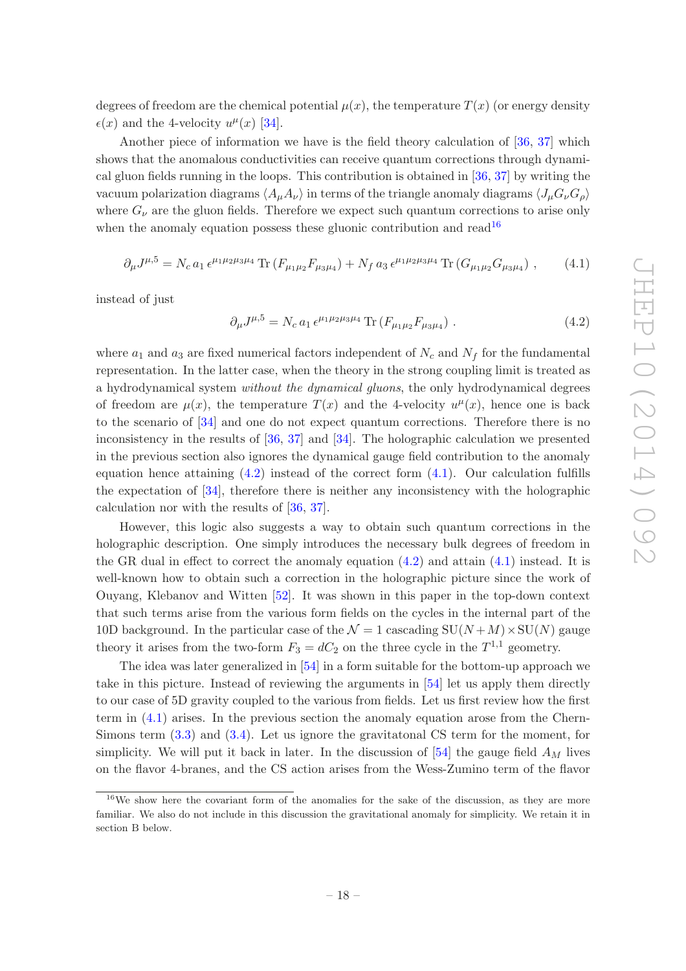degrees of freedom are the chemical potential  $\mu(x)$ , the temperature  $T(x)$  (or energy density  $\epsilon(x)$  and the 4-velocity  $u^{\mu}(x)$  [\[34\]](#page-33-9).

Another piece of information we have is the field theory calculation of [\[36](#page-33-11), [37](#page-34-0)] which shows that the anomalous conductivities can receive quantum corrections through dynamical gluon fields running in the loops. This contribution is obtained in [\[36](#page-33-11), [37\]](#page-34-0) by writing the vacuum polarization diagrams  $\langle A_\mu A_\nu \rangle$  in terms of the triangle anomaly diagrams  $\langle J_\mu G_\nu G_\rho \rangle$ where  $G_{\nu}$  are the gluon fields. Therefore we expect such quantum corrections to arise only when the anomaly equation possess these gluonic contribution and read<sup>[16](#page-18-0)</sup>

<span id="page-18-2"></span>
$$
\partial_{\mu} J^{\mu,5} = N_c a_1 \epsilon^{\mu_1 \mu_2 \mu_3 \mu_4} \operatorname{Tr} \left( F_{\mu_1 \mu_2} F_{\mu_3 \mu_4} \right) + N_f a_3 \epsilon^{\mu_1 \mu_2 \mu_3 \mu_4} \operatorname{Tr} \left( G_{\mu_1 \mu_2} G_{\mu_3 \mu_4} \right) ,\tag{4.1}
$$

instead of just

<span id="page-18-1"></span>
$$
\partial_{\mu} J^{\mu,5} = N_c a_1 \epsilon^{\mu_1 \mu_2 \mu_3 \mu_4} \operatorname{Tr} \left( F_{\mu_1 \mu_2} F_{\mu_3 \mu_4} \right) \,. \tag{4.2}
$$

where  $a_1$  and  $a_3$  are fixed numerical factors independent of  $N_c$  and  $N_f$  for the fundamental representation. In the latter case, when the theory in the strong coupling limit is treated as a hydrodynamical system without the dynamical gluons, the only hydrodynamical degrees of freedom are  $\mu(x)$ , the temperature  $T(x)$  and the 4-velocity  $u^{\mu}(x)$ , hence one is back to the scenario of [\[34](#page-33-9)] and one do not expect quantum corrections. Therefore there is no inconsistency in the results of [\[36,](#page-33-11) [37\]](#page-34-0) and [\[34\]](#page-33-9). The holographic calculation we presented in the previous section also ignores the dynamical gauge field contribution to the anomaly equation hence attaining  $(4.2)$  instead of the correct form  $(4.1)$ . Our calculation fulfills the expectation of [\[34](#page-33-9)], therefore there is neither any inconsistency with the holographic calculation nor with the results of [\[36,](#page-33-11) [37](#page-34-0)].

However, this logic also suggests a way to obtain such quantum corrections in the holographic description. One simply introduces the necessary bulk degrees of freedom in the GR dual in effect to correct the anomaly equation  $(4.2)$  and attain  $(4.1)$  instead. It is well-known how to obtain such a correction in the holographic picture since the work of Ouyang, Klebanov and Witten [\[52\]](#page-34-13). It was shown in this paper in the top-down context that such terms arise from the various form fields on the cycles in the internal part of the 10D background. In the particular case of the  $\mathcal{N} = 1$  cascading  $SU(N + M) \times SU(N)$  gauge theory it arises from the two-form  $F_3 = dC_2$  on the three cycle in the  $T^{1,1}$  geometry.

The idea was later generalized in [\[54](#page-34-14)] in a form suitable for the bottom-up approach we take in this picture. Instead of reviewing the arguments in [\[54](#page-34-14)] let us apply them directly to our case of 5D gravity coupled to the various from fields. Let us first review how the first term in [\(4.1\)](#page-18-2) arises. In the previous section the anomaly equation arose from the Chern-Simons term [\(3.3\)](#page-13-3) and [\(3.4\)](#page-13-3). Let us ignore the gravitatonal CS term for the moment, for simplicity. We will put it back in later. In the discussion of  $[54]$  the gauge field  $A<sub>M</sub>$  lives on the flavor 4-branes, and the CS action arises from the Wess-Zumino term of the flavor

<span id="page-18-0"></span><sup>&</sup>lt;sup>16</sup>We show here the covariant form of the anomalies for the sake of the discussion, as they are more familiar. We also do not include in this discussion the gravitational anomaly for simplicity. We retain it in section B below.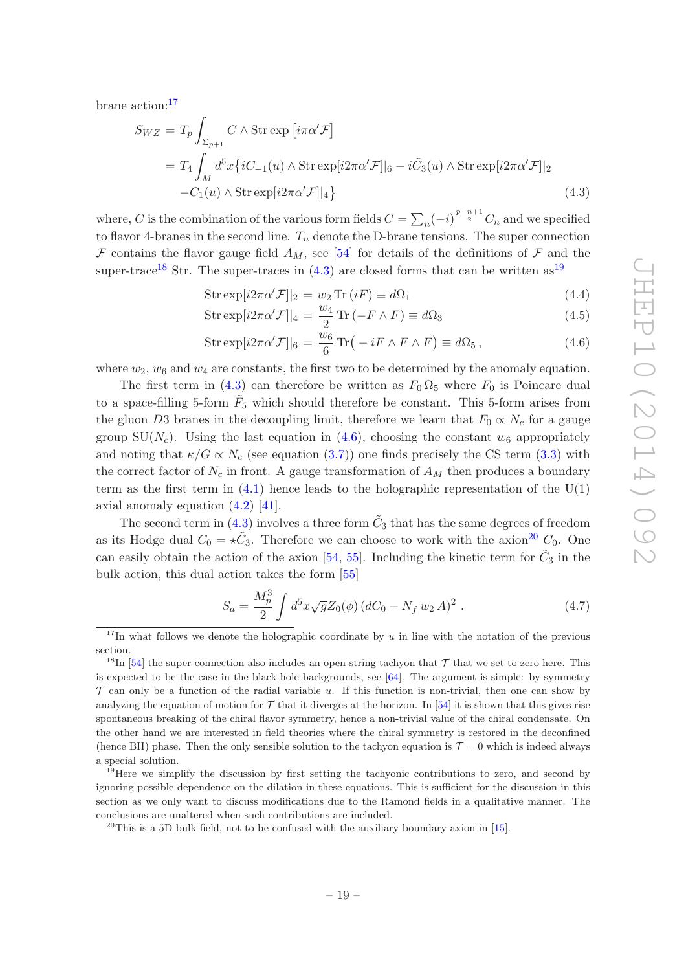brane action:[17](#page-19-0)

<span id="page-19-2"></span>
$$
S_{WZ} = T_p \int_{\Sigma_{p+1}} C \wedge \operatorname{Str} \exp \left[ i \pi \alpha' \mathcal{F} \right]
$$
  
= 
$$
T_4 \int_M d^5 x \{ iC_{-1}(u) \wedge \operatorname{Str} \exp[i2\pi \alpha' \mathcal{F}]|_6 - i \tilde{C}_3(u) \wedge \operatorname{Str} \exp[i2\pi \alpha' \mathcal{F}]|_2
$$
  
-
$$
-C_1(u) \wedge \operatorname{Str} \exp[i2\pi \alpha' \mathcal{F}]|_4 \}
$$
(4.3)

where, C is the combination of the various form fields  $C = \sum_n (-i)^{\frac{p-n+1}{2}} C_n$  and we specified to flavor 4-branes in the second line.  $T_n$  denote the D-brane tensions. The super connection F contains the flavor gauge field  $A_M$ , see [\[54](#page-34-14)] for details of the definitions of F and the super-trace<sup>[18](#page-19-1)</sup> Str. The super-traces in  $(4.3)$  are closed forms that can be written as<sup>[19](#page-19-3)</sup>

<span id="page-19-4"></span>
$$
Str \exp[i2\pi\alpha'\mathcal{F}]]_2 = w_2 \operatorname{Tr}(iF) \equiv d\Omega_1 \tag{4.4}
$$

$$
Str \exp[i2\pi\alpha'\mathcal{F}]]_4 = \frac{w_4}{2} \operatorname{Tr}(-F \wedge F) \equiv d\Omega_3 \tag{4.5}
$$

$$
Str \exp[i2\pi\alpha' \mathcal{F}]|_6 = \frac{w_6}{6} \operatorname{Tr}\left(-iF \wedge F \wedge F\right) \equiv d\Omega_5, \qquad (4.6)
$$

where  $w_2, w_6$  and  $w_4$  are constants, the first two to be determined by the anomaly equation.

The first term in [\(4.3\)](#page-19-2) can therefore be written as  $F_0 \Omega_5$  where  $F_0$  is Poincare dual to a space-filling 5-form  $\tilde{F}_5$  which should therefore be constant. This 5-form arises from the gluon D3 branes in the decoupling limit, therefore we learn that  $F_0 \propto N_c$  for a gauge group SU( $N_c$ ). Using the last equation in [\(4.6\)](#page-19-4), choosing the constant  $w_6$  appropriately and noting that  $\kappa/G \propto N_c$  (see equation [\(3.7\)](#page-13-2)) one finds precisely the CS term [\(3.3\)](#page-13-3) with the correct factor of  $N_c$  in front. A gauge transformation of  $A_M$  then produces a boundary term as the first term in  $(4.1)$  hence leads to the holographic representation of the U(1) axial anomaly equation [\(4.2\)](#page-18-1) [\[41](#page-34-3)].

The second term in [\(4.3\)](#page-19-2) involves a three form  $\tilde{C}_3$  that has the same degrees of freedom as its Hodge dual  $C_0 = \star \tilde{C}_3$ . Therefore we can choose to work with the axion<sup>[20](#page-19-5)</sup>  $C_0$ . One can easily obtain the action of the axion [\[54,](#page-34-14) [55](#page-34-16)]. Including the kinetic term for  $\tilde{C}_3$  in the bulk action, this dual action takes the form [\[55](#page-34-16)]

<span id="page-19-6"></span>
$$
S_a = \frac{M_p^3}{2} \int d^5 x \sqrt{g} Z_0(\phi) (dC_0 - N_f w_2 A)^2 . \qquad (4.7)
$$

<span id="page-19-0"></span><sup>&</sup>lt;sup>17</sup>In what follows we denote the holographic coordinate by u in line with the notation of the previous section.

<span id="page-19-1"></span><sup>&</sup>lt;sup>18</sup>In [\[54\]](#page-34-14) the super-connection also includes an open-string tachyon that  $\mathcal T$  that we set to zero here. This is expected to be the case in the black-hole backgrounds, see [\[64\]](#page-35-8). The argument is simple: by symmetry  $\mathcal T$  can only be a function of the radial variable u. If this function is non-trivial, then one can show by analyzing the equation of motion for  $\mathcal T$  that it diverges at the horizon. In [\[54\]](#page-34-14) it is shown that this gives rise spontaneous breaking of the chiral flavor symmetry, hence a non-trivial value of the chiral condensate. On the other hand we are interested in field theories where the chiral symmetry is restored in the deconfined (hence BH) phase. Then the only sensible solution to the tachyon equation is  $\mathcal{T} = 0$  which is indeed always a special solution.

<span id="page-19-3"></span> $19$  Here we simplify the discussion by first setting the tachyonic contributions to zero, and second by ignoring possible dependence on the dilation in these equations. This is sufficient for the discussion in this section as we only want to discuss modifications due to the Ramond fields in a qualitative manner. The conclusions are unaltered when such contributions are included.

<span id="page-19-5"></span> $^{20}$ This is a 5D bulk field, not to be confused with the auxiliary boundary axion in [\[15\]](#page-32-12).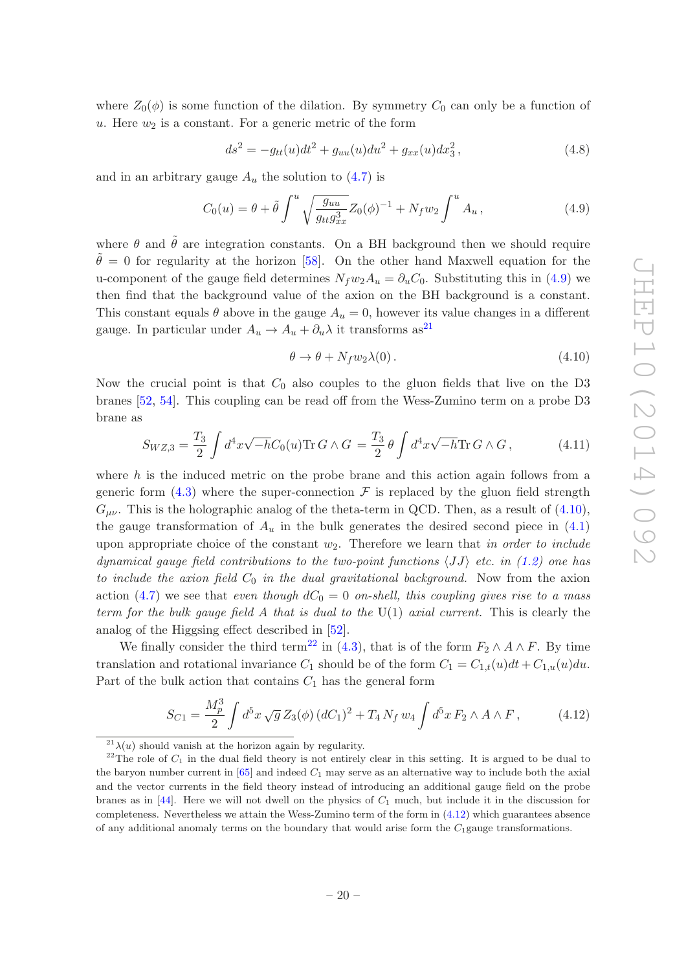where  $Z_0(\phi)$  is some function of the dilation. By symmetry  $C_0$  can only be a function of  $u$ . Here  $w_2$  is a constant. For a generic metric of the form

$$
ds^{2} = -g_{tt}(u)dt^{2} + g_{uu}(u)du^{2} + g_{xx}(u)dx_{3}^{2}, \qquad (4.8)
$$

and in an arbitrary gauge  $A_u$  the solution to  $(4.7)$  is

<span id="page-20-0"></span>
$$
C_0(u) = \theta + \tilde{\theta} \int^u \sqrt{\frac{g_{uu}}{g_{tt} g_{xx}^3}} Z_0(\phi)^{-1} + N_f w_2 \int^u A_u , \qquad (4.9)
$$

where  $\theta$  and  $\tilde{\theta}$  are integration constants. On a BH background then we should require  $\tilde{\theta} = 0$  for regularity at the horizon [\[58\]](#page-35-2). On the other hand Maxwell equation for the u-component of the gauge field determines  $N_fw_2A_u = \partial_u C_0$ . Substituting this in [\(4.9\)](#page-20-0) we then find that the background value of the axion on the BH background is a constant. This constant equals  $\theta$  above in the gauge  $A_u = 0$ , however its value changes in a different gauge. In particular under  $A_u \rightarrow A_u + \partial_u \lambda$  it transforms as<sup>[21](#page-20-1)</sup>

<span id="page-20-2"></span>
$$
\theta \to \theta + N_f w_2 \lambda(0). \tag{4.10}
$$

Now the crucial point is that  $C_0$  also couples to the gluon fields that live on the D3 branes [\[52](#page-34-13), [54\]](#page-34-14). This coupling can be read off from the Wess-Zumino term on a probe D3 brane as

<span id="page-20-5"></span>
$$
S_{WZ,3} = \frac{T_3}{2} \int d^4x \sqrt{-h} C_0(u) \text{Tr} \, G \wedge G = \frac{T_3}{2} \theta \int d^4x \sqrt{-h} \text{Tr} \, G \wedge G, \tag{4.11}
$$

where  $h$  is the induced metric on the probe brane and this action again follows from a generic form  $(4.3)$  where the super-connection F is replaced by the gluon field strength  $G_{\mu\nu}$ . This is the holographic analog of the theta-term in QCD. Then, as a result of [\(4.10\)](#page-20-2), the gauge transformation of  $A_u$  in the bulk generates the desired second piece in  $(4.1)$ upon appropriate choice of the constant  $w_2$ . Therefore we learn that in order to include dynamical gauge field contributions to the two-point functions  $\langle JJ \rangle$  etc. in [\(1.2\)](#page-3-0) one has to include the axion field  $C_0$  in the dual gravitational background. Now from the axion action [\(4.7\)](#page-19-6) we see that even though  $dC_0 = 0$  on-shell, this coupling gives rise to a mass term for the bulk gauge field A that is dual to the  $U(1)$  axial current. This is clearly the analog of the Higgsing effect described in [\[52](#page-34-13)].

We finally consider the third term<sup>[22](#page-20-3)</sup> in [\(4.3\)](#page-19-2), that is of the form  $F_2 \wedge A \wedge F$ . By time translation and rotational invariance  $C_1$  should be of the form  $C_1 = C_{1,t}(u)dt + C_{1,u}(u)du$ . Part of the bulk action that contains  $C_1$  has the general form

<span id="page-20-4"></span>
$$
S_{C1} = \frac{M_p^3}{2} \int d^5 x \sqrt{g} Z_3(\phi) (dC_1)^2 + T_4 N_f w_4 \int d^5 x F_2 \wedge A \wedge F, \qquad (4.12)
$$

<span id="page-20-1"></span> $^{21}\lambda(u)$  should vanish at the horizon again by regularity.

<span id="page-20-3"></span><sup>&</sup>lt;sup>22</sup>The role of  $C_1$  in the dual field theory is not entirely clear in this setting. It is argued to be dual to the baryon number current in  $[65]$  and indeed  $C_1$  may serve as an alternative way to include both the axial and the vector currents in the field theory instead of introducing an additional gauge field on the probe branes as in  $[44]$ . Here we will not dwell on the physics of  $C_1$  much, but include it in the discussion for completeness. Nevertheless we attain the Wess-Zumino term of the form in [\(4.12\)](#page-20-4) which guarantees absence of any additional anomaly terms on the boundary that would arise form the  $C_1$  gauge transformations.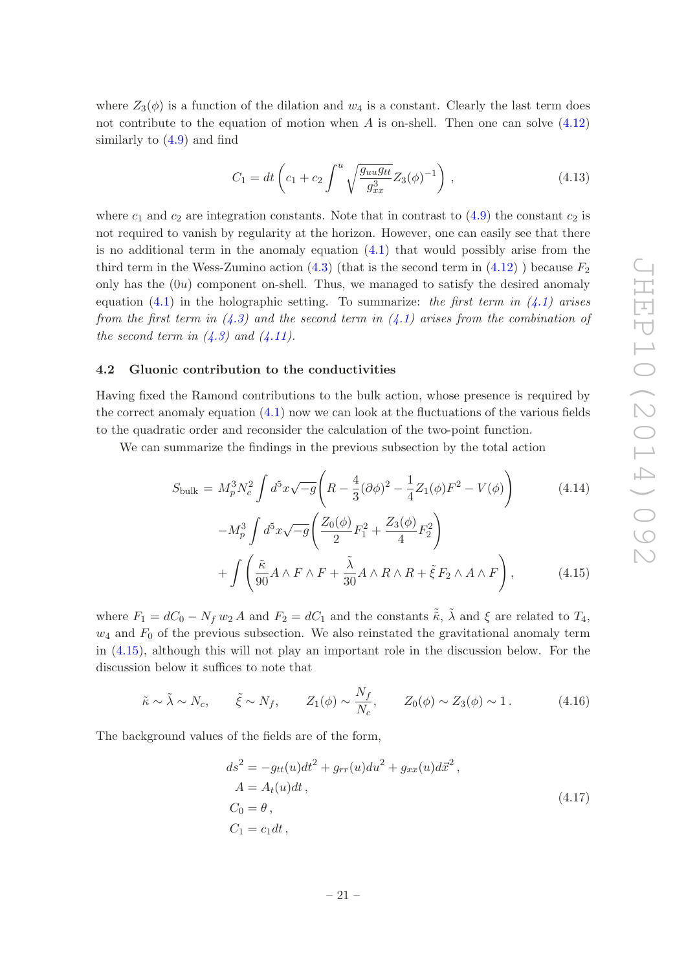where  $Z_3(\phi)$  is a function of the dilation and  $w_4$  is a constant. Clearly the last term does not contribute to the equation of motion when A is on-shell. Then one can solve  $(4.12)$ similarly to [\(4.9\)](#page-20-0) and find

$$
C_1 = dt \left( c_1 + c_2 \int^u \sqrt{\frac{g_{uu} g_{tt}}{g_{xx}^3}} Z_3(\phi)^{-1} \right), \qquad (4.13)
$$

where  $c_1$  and  $c_2$  are integration constants. Note that in contrast to  $(4.9)$  the constant  $c_2$  is not required to vanish by regularity at the horizon. However, one can easily see that there is no additional term in the anomaly equation  $(4.1)$  that would possibly arise from the third term in the Wess-Zumino action  $(4.3)$  (that is the second term in  $(4.12)$ ) because  $F_2$ only has the  $(0u)$  component on-shell. Thus, we managed to satisfy the desired anomaly equation  $(4.1)$  in the holographic setting. To summarize: the first term in  $(4.1)$  arises from the first term in  $(4.3)$  and the second term in  $(4.1)$  arises from the combination of the second term in  $(4.3)$  and  $(4.11)$ .

#### <span id="page-21-0"></span>4.2 Gluonic contribution to the conductivities

Having fixed the Ramond contributions to the bulk action, whose presence is required by the correct anomaly equation [\(4.1\)](#page-18-2) now we can look at the fluctuations of the various fields to the quadratic order and reconsider the calculation of the two-point function.

We can summarize the findings in the previous subsection by the total action

<span id="page-21-1"></span>
$$
S_{\text{bulk}} = M_p^3 N_c^2 \int d^5 x \sqrt{-g} \left( R - \frac{4}{3} (\partial \phi)^2 - \frac{1}{4} Z_1 (\phi) F^2 - V(\phi) \right)
$$
(4.14)

$$
-M_p^3 \int d^5 x \sqrt{-g} \left( \frac{Z_0(\phi)}{2} F_1^2 + \frac{Z_3(\phi)}{4} F_2^2 \right) + \int \left( \frac{\tilde{\kappa}}{90} A \wedge F \wedge F + \frac{\tilde{\lambda}}{30} A \wedge R \wedge R + \tilde{\xi} F_2 \wedge A \wedge F \right), \tag{4.15}
$$

where  $F_1 = dC_0 - N_f w_2 A$  and  $F_2 = dC_1$  and the constants  $\tilde{\tilde{\kappa}}, \tilde{\lambda}$  and  $\xi$  are related to  $T_4$ ,  $w_4$  and  $F_0$  of the previous subsection. We also reinstated the gravitational anomaly term in [\(4.15\)](#page-21-1), although this will not play an important role in the discussion below. For the discussion below it suffices to note that

$$
\tilde{\kappa} \sim \tilde{\lambda} \sim N_c, \qquad \tilde{\xi} \sim N_f, \qquad Z_1(\phi) \sim \frac{N_f}{N_c}, \qquad Z_0(\phi) \sim Z_3(\phi) \sim 1.
$$
\n(4.16)

The background values of the fields are of the form,

$$
ds2 = -gtt(u)dt2 + grr(u)du2 + gxx(u)d\vec{x}2,
$$
  
\n
$$
A = At(u)dt,
$$
  
\n
$$
C0 = \theta,
$$
  
\n
$$
C1 = c1dt,
$$
\n(4.17)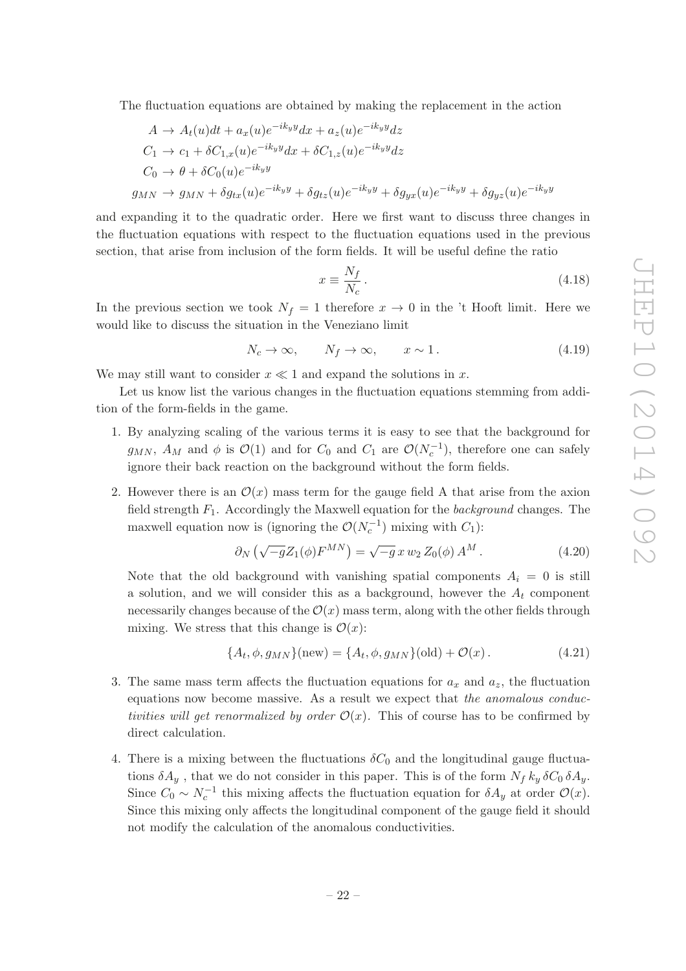The fluctuation equations are obtained by making the replacement in the action

$$
A \rightarrow A_t(u)dt + a_x(u)e^{-ik_yy}dx + a_z(u)e^{-ik_yy}dz
$$
  
\n
$$
C_1 \rightarrow c_1 + \delta C_{1,x}(u)e^{-ik_yy}dx + \delta C_{1,z}(u)e^{-ik_yy}dz
$$
  
\n
$$
C_0 \rightarrow \theta + \delta C_0(u)e^{-ik_yy}
$$
  
\n
$$
g_{MN} \rightarrow g_{MN} + \delta g_{tx}(u)e^{-ik_yy} + \delta g_{tz}(u)e^{-ik_yy} + \delta g_{yx}(u)e^{-ik_yy} + \delta g_{yz}(u)e^{-ik_yy}
$$

and expanding it to the quadratic order. Here we first want to discuss three changes in the fluctuation equations with respect to the fluctuation equations used in the previous section, that arise from inclusion of the form fields. It will be useful define the ratio

$$
x \equiv \frac{N_f}{N_c} \,. \tag{4.18}
$$

In the previous section we took  $N_f = 1$  therefore  $x \to 0$  in the 't Hooft limit. Here we would like to discuss the situation in the Veneziano limit

 $N_c \to \infty$ ,  $N_f \to \infty$ ,  $x \sim 1$ . (4.19)

We may still want to consider  $x \ll 1$  and expand the solutions in x.

Let us know list the various changes in the fluctuation equations stemming from addition of the form-fields in the game.

- 1. By analyzing scaling of the various terms it is easy to see that the background for  $g_{MN}$ ,  $A_M$  and  $\phi$  is  $\mathcal{O}(1)$  and for  $C_0$  and  $C_1$  are  $\mathcal{O}(N_c^{-1})$ , therefore one can safely ignore their back reaction on the background without the form fields.
- 2. However there is an  $\mathcal{O}(x)$  mass term for the gauge field A that arise from the axion field strength  $F_1$ . Accordingly the Maxwell equation for the *background* changes. The maxwell equation now is (ignoring the  $\mathcal{O}(N_c^{-1})$  mixing with  $C_1$ ):

$$
\partial_N \left( \sqrt{-g} Z_1(\phi) F^{MN} \right) = \sqrt{-g} \, x \, w_2 \, Z_0(\phi) \, A^M \,. \tag{4.20}
$$

Note that the old background with vanishing spatial components  $A_i = 0$  is still a solution, and we will consider this as a background, however the  $A_t$  component necessarily changes because of the  $\mathcal{O}(x)$  mass term, along with the other fields through mixing. We stress that this change is  $\mathcal{O}(x)$ :

$$
\{A_t, \phi, g_{MN}\}(\text{new}) = \{A_t, \phi, g_{MN}\}(\text{old}) + \mathcal{O}(x) \,. \tag{4.21}
$$

- 3. The same mass term affects the fluctuation equations for  $a_x$  and  $a_z$ , the fluctuation equations now become massive. As a result we expect that the anomalous conductivities will get renormalized by order  $\mathcal{O}(x)$ . This of course has to be confirmed by direct calculation.
- 4. There is a mixing between the fluctuations  $\delta C_0$  and the longitudinal gauge fluctuations  $\delta A_y$ , that we do not consider in this paper. This is of the form  $N_f k_y \delta C_0 \delta A_y$ . Since  $C_0 \sim N_c^{-1}$  this mixing affects the fluctuation equation for  $\delta A_y$  at order  $\mathcal{O}(x)$ . Since this mixing only affects the longitudinal component of the gauge field it should not modify the calculation of the anomalous conductivities.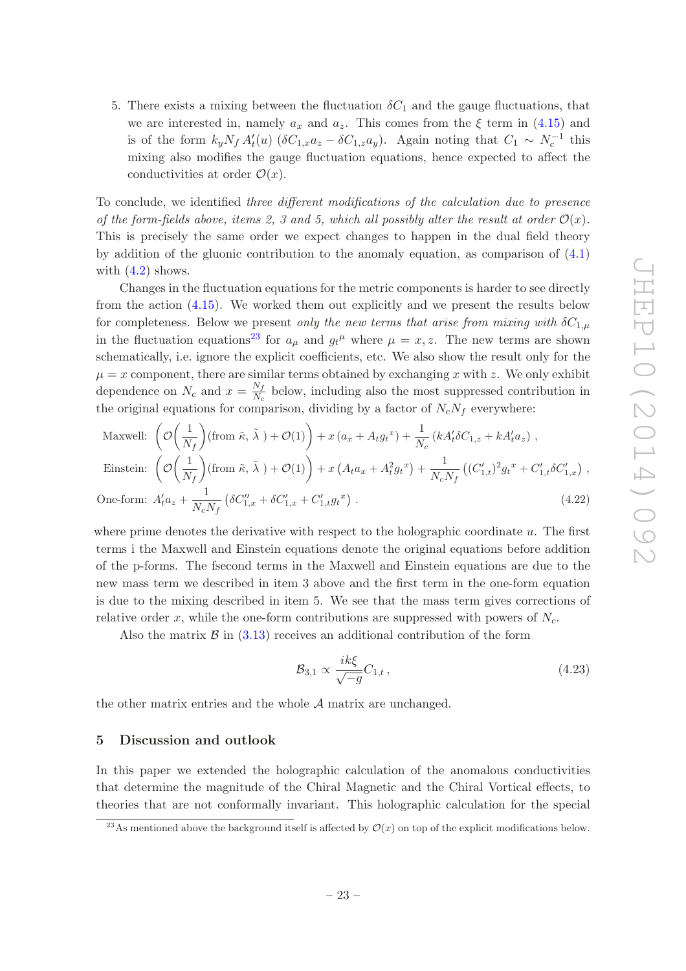5. There exists a mixing between the fluctuation  $\delta C_1$  and the gauge fluctuations, that we are interested in, namely  $a_x$  and  $a_z$ . This comes from the  $\xi$  term in [\(4.15\)](#page-21-1) and is of the form  $k_y N_f A'_t(u)$  ( $\delta C_{1,x} a_z - \delta C_{1,z} a_y$ ). Again noting that  $C_1 \sim N_c^{-1}$  this mixing also modifies the gauge fluctuation equations, hence expected to affect the conductivities at order  $\mathcal{O}(x)$ .

To conclude, we identified three different modifications of the calculation due to presence of the form-fields above, items 2, 3 and 5, which all possibly alter the result at order  $\mathcal{O}(x)$ . This is precisely the same order we expect changes to happen in the dual field theory by addition of the gluonic contribution to the anomaly equation, as comparison of [\(4.1\)](#page-18-2) with  $(4.2)$  shows.

Changes in the fluctuation equations for the metric components is harder to see directly from the action [\(4.15\)](#page-21-1). We worked them out explicitly and we present the results below for completeness. Below we present only the new terms that arise from mixing with  $\delta C_{1,\mu}$ in the fluctuation equations<sup>[23](#page-23-1)</sup> for  $a_{\mu}$  and  $g_t^{\mu}$  where  $\mu = x, z$ . The new terms are shown schematically, i.e. ignore the explicit coefficients, etc. We also show the result only for the  $\mu = x$  component, there are similar terms obtained by exchanging x with z. We only exhibit dependence on  $N_c$  and  $x = \frac{N_f}{N_c}$  $\frac{N_f}{N_c}$  below, including also the most suppressed contribution in the original equations for comparison, dividing by a factor of  $N_cN_f$  everywhere:

Maxwell: 
$$
\left(\mathcal{O}\left(\frac{1}{N_f}\right)(\text{from }\tilde{\kappa}, \tilde{\lambda}) + \mathcal{O}(1)\right) + x\left(a_x + A_t g_t^x\right) + \frac{1}{N_c}\left(kA_t'\delta C_{1,z} + kA_t'a_z\right),
$$
  
\nEinstein:  $\left(\mathcal{O}\left(\frac{1}{N_f}\right)(\text{from }\tilde{\kappa}, \tilde{\lambda}) + \mathcal{O}(1)\right) + x\left(A_t a_x + A_t^2 g_t^x\right) + \frac{1}{N_c N_f}\left((C_{1,t}')^2 g_t^x + C_{1,t}'\delta C_{1,x}'\right),$   
\nOne-form:  $A_t' a_z + \frac{1}{N_c N_f} \left(\delta C_{1,x}'' + \delta C_{1,x}' + C_{1,t}' g_t^x\right).$  (4.22)

where prime denotes the derivative with respect to the holographic coordinate u. The first terms i the Maxwell and Einstein equations denote the original equations before addition of the p-forms. The fsecond terms in the Maxwell and Einstein equations are due to the new mass term we described in item 3 above and the first term in the one-form equation is due to the mixing described in item 5. We see that the mass term gives corrections of relative order x, while the one-form contributions are suppressed with powers of  $N_c$ .

Also the matrix  $\beta$  in [\(3.13\)](#page-14-2) receives an additional contribution of the form

$$
\mathcal{B}_{3,1} \propto \frac{ik\xi}{\sqrt{-g}} C_{1,t} \,, \tag{4.23}
$$

<span id="page-23-0"></span>the other matrix entries and the whole  $A$  matrix are unchanged.

#### 5 Discussion and outlook

In this paper we extended the holographic calculation of the anomalous conductivities that determine the magnitude of the Chiral Magnetic and the Chiral Vortical effects, to theories that are not conformally invariant. This holographic calculation for the special

<span id="page-23-1"></span><sup>&</sup>lt;sup>23</sup>As mentioned above the background itself is affected by  $\mathcal{O}(x)$  on top of the explicit modifications below.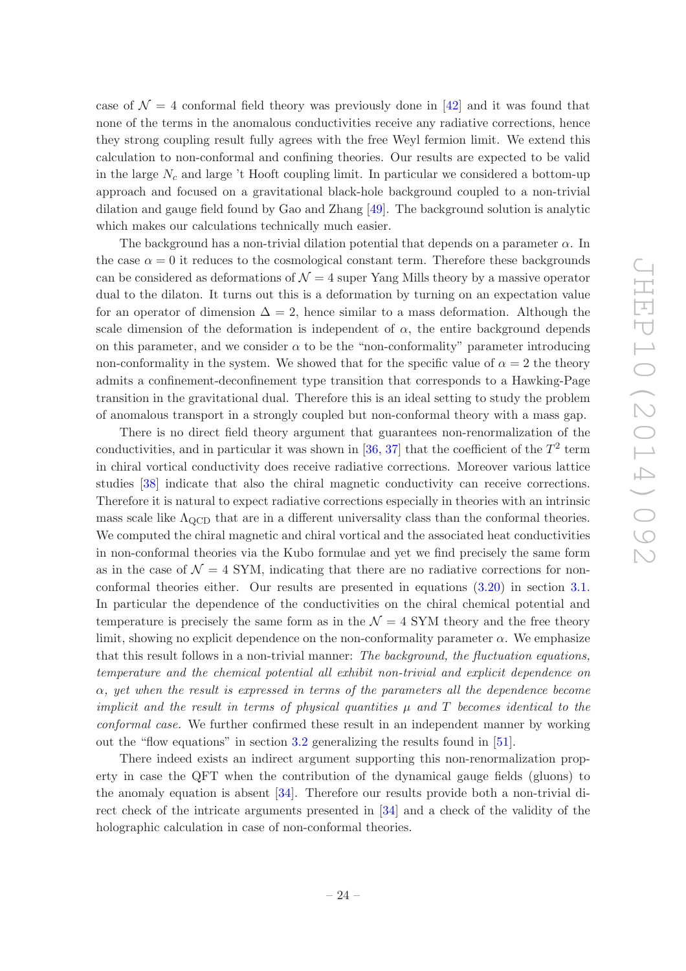case of  $\mathcal{N} = 4$  conformal field theory was previously done in [\[42\]](#page-34-4) and it was found that none of the terms in the anomalous conductivities receive any radiative corrections, hence they strong coupling result fully agrees with the free Weyl fermion limit. We extend this calculation to non-conformal and confining theories. Our results are expected to be valid in the large  $N_c$  and large 't Hooft coupling limit. In particular we considered a bottom-up approach and focused on a gravitational black-hole background coupled to a non-trivial dilation and gauge field found by Gao and Zhang [\[49\]](#page-34-9). The background solution is analytic which makes our calculations technically much easier.

The background has a non-trivial dilation potential that depends on a parameter  $\alpha$ . In the case  $\alpha = 0$  it reduces to the cosmological constant term. Therefore these backgrounds can be considered as deformations of  $\mathcal{N}=4$  super Yang Mills theory by a massive operator dual to the dilaton. It turns out this is a deformation by turning on an expectation value for an operator of dimension  $\Delta = 2$ , hence similar to a mass deformation. Although the scale dimension of the deformation is independent of  $\alpha$ , the entire background depends on this parameter, and we consider  $\alpha$  to be the "non-conformality" parameter introducing non-conformality in the system. We showed that for the specific value of  $\alpha = 2$  the theory admits a confinement-deconfinement type transition that corresponds to a Hawking-Page transition in the gravitational dual. Therefore this is an ideal setting to study the problem of anomalous transport in a strongly coupled but non-conformal theory with a mass gap.

There is no direct field theory argument that guarantees non-renormalization of the conductivities, and in particular it was shown in [\[36](#page-33-11), [37](#page-34-0)] that the coefficient of the  $T^2$  term in chiral vortical conductivity does receive radiative corrections. Moreover various lattice studies [\[38](#page-34-1)] indicate that also the chiral magnetic conductivity can receive corrections. Therefore it is natural to expect radiative corrections especially in theories with an intrinsic mass scale like  $\Lambda_{\text{QCD}}$  that are in a different universality class than the conformal theories. We computed the chiral magnetic and chiral vortical and the associated heat conductivities in non-conformal theories via the Kubo formulae and yet we find precisely the same form as in the case of  $\mathcal{N} = 4$  SYM, indicating that there are no radiative corrections for nonconformal theories either. Our results are presented in equations [\(3.20\)](#page-16-2) in section [3.1.](#page-14-0) In particular the dependence of the conductivities on the chiral chemical potential and temperature is precisely the same form as in the  $\mathcal{N}=4$  SYM theory and the free theory limit, showing no explicit dependence on the non-conformality parameter  $\alpha$ . We emphasize that this result follows in a non-trivial manner: The background, the fluctuation equations, temperature and the chemical potential all exhibit non-trivial and explicit dependence on  $\alpha$ , yet when the result is expressed in terms of the parameters all the dependence become implicit and the result in terms of physical quantities  $\mu$  and  $T$  becomes identical to the conformal case. We further confirmed these result in an independent manner by working out the "flow equations" in section [3.2](#page-16-0) generalizing the results found in [\[51\]](#page-34-10).

There indeed exists an indirect argument supporting this non-renormalization property in case the QFT when the contribution of the dynamical gauge fields (gluons) to the anomaly equation is absent [\[34](#page-33-9)]. Therefore our results provide both a non-trivial direct check of the intricate arguments presented in [\[34\]](#page-33-9) and a check of the validity of the holographic calculation in case of non-conformal theories.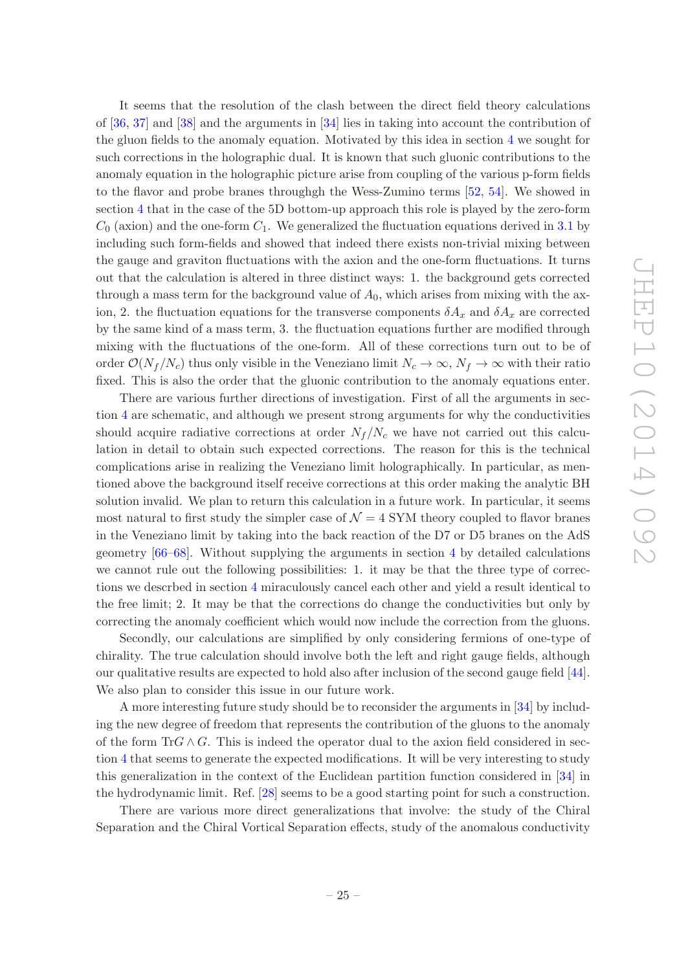It seems that the resolution of the clash between the direct field theory calculations of [\[36](#page-33-11), [37](#page-34-0)] and [\[38](#page-34-1)] and the arguments in [\[34\]](#page-33-9) lies in taking into account the contribution of the gluon fields to the anomaly equation. Motivated by this idea in section [4](#page-17-0) we sought for such corrections in the holographic dual. It is known that such gluonic contributions to the anomaly equation in the holographic picture arise from coupling of the various p-form fields to the flavor and probe branes throughgh the Wess-Zumino terms [\[52,](#page-34-13) [54\]](#page-34-14). We showed in section [4](#page-17-0) that in the case of the 5D bottom-up approach this role is played by the zero-form  $C_0$  (axion) and the one-form  $C_1$ . We generalized the fluctuation equations derived in [3.1](#page-14-0) by including such form-fields and showed that indeed there exists non-trivial mixing between the gauge and graviton fluctuations with the axion and the one-form fluctuations. It turns out that the calculation is altered in three distinct ways: 1. the background gets corrected through a mass term for the background value of  $A_0$ , which arises from mixing with the axion, 2. the fluctuation equations for the transverse components  $\delta A_x$  and  $\delta A_x$  are corrected by the same kind of a mass term, 3. the fluctuation equations further are modified through mixing with the fluctuations of the one-form. All of these corrections turn out to be of order  $\mathcal{O}(N_f/N_c)$  thus only visible in the Veneziano limit  $N_c \to \infty$ ,  $N_f \to \infty$  with their ratio fixed. This is also the order that the gluonic contribution to the anomaly equations enter.

There are various further directions of investigation. First of all the arguments in section [4](#page-17-0) are schematic, and although we present strong arguments for why the conductivities should acquire radiative corrections at order  $N_f / N_c$  we have not carried out this calculation in detail to obtain such expected corrections. The reason for this is the technical complications arise in realizing the Veneziano limit holographically. In particular, as mentioned above the background itself receive corrections at this order making the analytic BH solution invalid. We plan to return this calculation in a future work. In particular, it seems most natural to first study the simpler case of  $\mathcal{N}=4$  SYM theory coupled to flavor branes in the Veneziano limit by taking into the back reaction of the D7 or D5 branes on the AdS geometry [\[66](#page-35-10)[–68\]](#page-35-11). Without supplying the arguments in section [4](#page-17-0) by detailed calculations we cannot rule out the following possibilities: 1. it may be that the three type of corrections we descrbed in section [4](#page-17-0) miraculously cancel each other and yield a result identical to the free limit; 2. It may be that the corrections do change the conductivities but only by correcting the anomaly coefficient which would now include the correction from the gluons.

Secondly, our calculations are simplified by only considering fermions of one-type of chirality. The true calculation should involve both the left and right gauge fields, although our qualitative results are expected to hold also after inclusion of the second gauge field [\[44\]](#page-34-11). We also plan to consider this issue in our future work.

A more interesting future study should be to reconsider the arguments in [\[34](#page-33-9)] by including the new degree of freedom that represents the contribution of the gluons to the anomaly of the form TrG  $\wedge$  G. This is indeed the operator dual to the axion field considered in section [4](#page-17-0) that seems to generate the expected modifications. It will be very interesting to study this generalization in the context of the Euclidean partition function considered in [\[34](#page-33-9)] in the hydrodynamic limit. Ref. [\[28](#page-33-3)] seems to be a good starting point for such a construction.

There are various more direct generalizations that involve: the study of the Chiral Separation and the Chiral Vortical Separation effects, study of the anomalous conductivity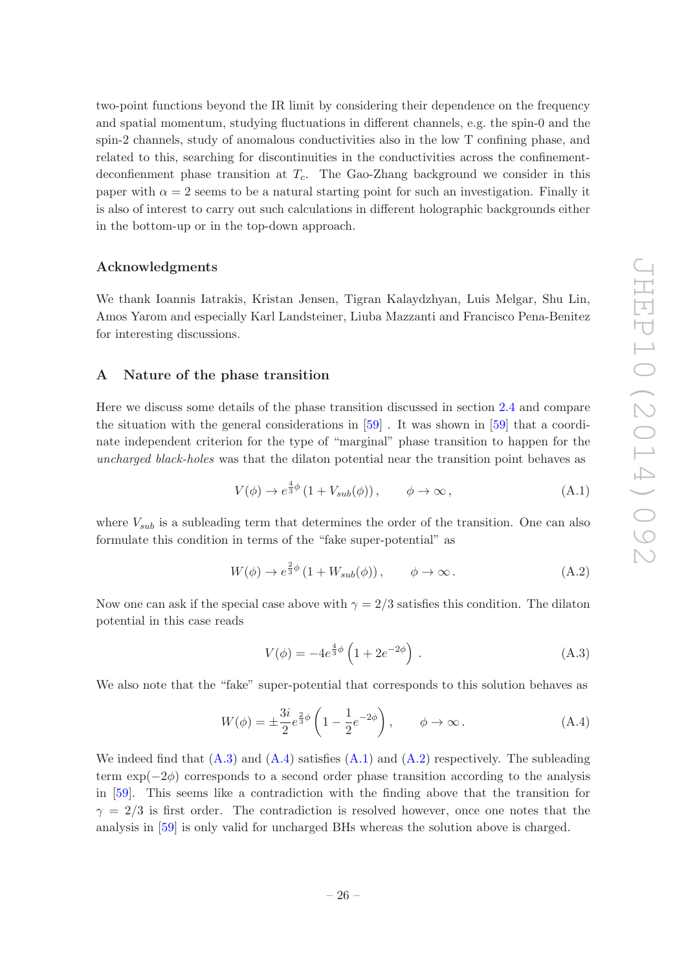two-point functions beyond the IR limit by considering their dependence on the frequency and spatial momentum, studying fluctuations in different channels, e.g. the spin-0 and the spin-2 channels, study of anomalous conductivities also in the low T confining phase, and related to this, searching for discontinuities in the conductivities across the confinementdeconfienment phase transition at  $T_c$ . The Gao-Zhang background we consider in this paper with  $\alpha = 2$  seems to be a natural starting point for such an investigation. Finally it is also of interest to carry out such calculations in different holographic backgrounds either in the bottom-up or in the top-down approach.

#### Acknowledgments

We thank Ioannis Iatrakis, Kristan Jensen, Tigran Kalaydzhyan, Luis Melgar, Shu Lin, Amos Yarom and especially Karl Landsteiner, Liuba Mazzanti and Francisco Pena-Benitez for interesting discussions.

#### <span id="page-26-0"></span>A Nature of the phase transition

Here we discuss some details of the phase transition discussed in section [2.4](#page-11-0) and compare the situation with the general considerations in [\[59\]](#page-35-3) . It was shown in [\[59\]](#page-35-3) that a coordinate independent criterion for the type of "marginal" phase transition to happen for the uncharged black-holes was that the dilaton potential near the transition point behaves as

<span id="page-26-3"></span>
$$
V(\phi) \to e^{\frac{4}{3}\phi} \left(1 + V_{sub}(\phi)\right), \qquad \phi \to \infty, \tag{A.1}
$$

where  $V_{sub}$  is a subleading term that determines the order of the transition. One can also formulate this condition in terms of the "fake super-potential" as

<span id="page-26-4"></span>
$$
W(\phi) \to e^{\frac{2}{3}\phi} \left(1 + W_{sub}(\phi)\right), \qquad \phi \to \infty.
$$
 (A.2)

Now one can ask if the special case above with  $\gamma = 2/3$  satisfies this condition. The dilaton potential in this case reads

<span id="page-26-1"></span>
$$
V(\phi) = -4e^{\frac{4}{3}\phi} \left(1 + 2e^{-2\phi}\right). \tag{A.3}
$$

We also note that the "fake" super-potential that corresponds to this solution behaves as

<span id="page-26-2"></span>
$$
W(\phi) = \pm \frac{3i}{2} e^{\frac{2}{3}\phi} \left( 1 - \frac{1}{2} e^{-2\phi} \right), \qquad \phi \to \infty.
$$
 (A.4)

We indeed find that  $(A.3)$  and  $(A.4)$  satisfies  $(A.1)$  and  $(A.2)$  respectively. The subleading term  $\exp(-2\phi)$  corresponds to a second order phase transition according to the analysis in [\[59](#page-35-3)]. This seems like a contradiction with the finding above that the transition for  $\gamma = 2/3$  is first order. The contradiction is resolved however, once one notes that the analysis in [\[59](#page-35-3)] is only valid for uncharged BHs whereas the solution above is charged.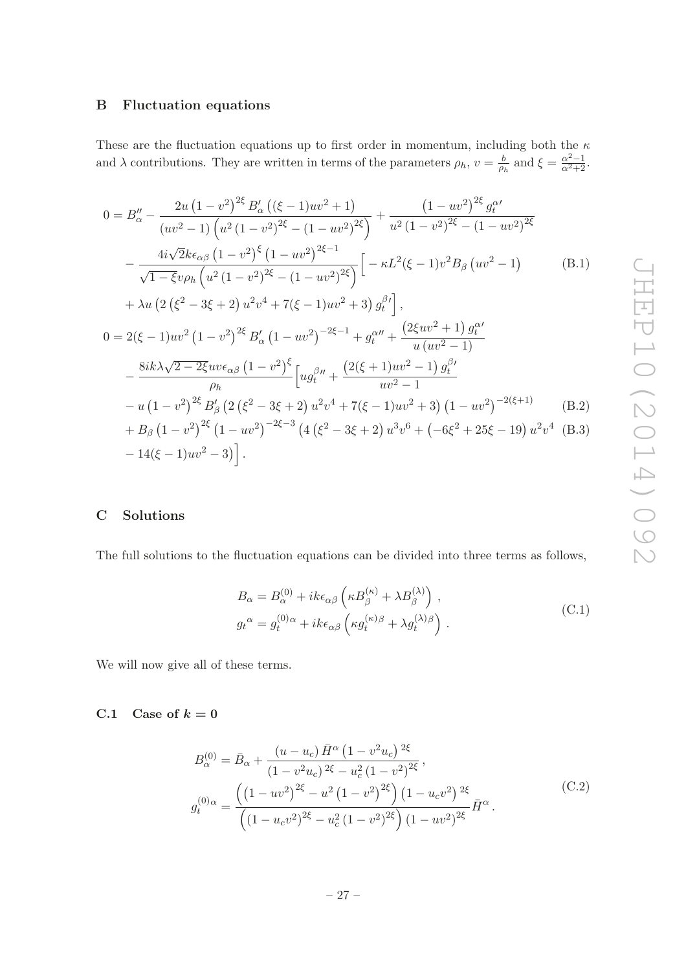## <span id="page-27-0"></span>B Fluctuation equations

These are the fluctuation equations up to first order in momentum, including both the  $\kappa$ and  $\lambda$  contributions. They are written in terms of the parameters  $\rho_h$ ,  $v = \frac{b}{\rho_l}$  $\frac{b}{\rho_h}$  and  $\xi = \frac{\alpha^2 - 1}{\alpha^2 + 2}$ .

$$
0 = B''_{\alpha} - \frac{2u(1 - v^2)^{2\xi} B'_{\alpha}((\xi - 1)uv^2 + 1)}{(uv^2 - 1)\left(u^2(1 - v^2)^{2\xi} - (1 - uv^2)^{2\xi}\right)} + \frac{(1 - uv^2)^{2\xi} g_t^{\alpha'}}{u^2(1 - v^2)^{2\xi} - (1 - uv^2)^{2\xi}}
$$

$$
- \frac{4i\sqrt{2}k\epsilon_{\alpha\beta}(1 - v^2)^{\xi}(1 - uv^2)^{2\xi - 1}}{\sqrt{1 - \xi}v\rho_h\left(u^2(1 - v^2)^{2\xi} - (1 - uv^2)^{2\xi}\right)} \left[-\kappa L^2(\xi - 1)v^2B_\beta(uv^2 - 1) \right] \tag{B.1}
$$

<span id="page-27-3"></span>
$$
+ \lambda u \left( 2 \left( \xi^2 - 3\xi + 2 \right) u^2 v^4 + 7(\xi - 1) u v^2 + 3 \right) g_t^{\beta'} \right],
$$
  
\n
$$
0 = 2(\xi - 1) u v^2 \left( 1 - v^2 \right)^{2\xi} B_\alpha' \left( 1 - u v^2 \right)^{-2\xi - 1} + g_t^{\alpha''} + \frac{\left( 2\xi u v^2 + 1 \right) g_t^{\alpha'}}{u \left( u v^2 - 1 \right)}
$$
  
\n
$$
- \frac{8ik\lambda\sqrt{2 - 2\xi} u v \epsilon_{\alpha\beta} \left( 1 - v^2 \right)^{\xi}}{\rho_h} \left[ u g_t^{\beta''} + \frac{\left( 2(\xi + 1) u v^2 - 1 \right) g_t^{\beta'}}{u v^2 - 1} - u \left( 1 - v^2 \right)^{2\xi} B_\beta' \left( 2 \left( \xi^2 - 3\xi + 2 \right) u^2 v^4 + 7(\xi - 1) u v^2 + 3 \right) \left( 1 - u v^2 \right)^{-2(\xi + 1)} \right] (B.2)
$$
  
\n
$$
+ B_\beta \left( 1 - v^2 \right)^{2\xi} \left( 1 - u v^2 \right)^{-2\xi - 3} \left( 4 \left( \xi^2 - 3\xi + 2 \right) u^3 v^6 + \left( -6\xi^2 + 25\xi - 19 \right) u^2 v^4 \right) (B.3)
$$
  
\n
$$
- 14(\xi - 1) u v^2 - 3 \right].
$$

# <span id="page-27-1"></span>C Solutions

The full solutions to the fluctuation equations can be divided into three terms as follows,

<span id="page-27-4"></span>
$$
B_{\alpha} = B_{\alpha}^{(0)} + ik\epsilon_{\alpha\beta} \left( \kappa B_{\beta}^{(\kappa)} + \lambda B_{\beta}^{(\lambda)} \right) ,
$$
  
\n
$$
g_t^{\alpha} = g_t^{(0)\alpha} + ik\epsilon_{\alpha\beta} \left( \kappa g_t^{(\kappa)\beta} + \lambda g_t^{(\lambda)\beta} \right) .
$$
\n(C.1)

We will now give all of these terms.

## <span id="page-27-2"></span>C.1 Case of  $k = 0$

$$
B_{\alpha}^{(0)} = \bar{B}_{\alpha} + \frac{(u - u_c) \bar{H}^{\alpha} (1 - v^2 u_c)^{2\xi}}{(1 - v^2 u_c)^{2\xi} - u_c^2 (1 - v^2)^{2\xi}},
$$
  

$$
g_t^{(0)\alpha} = \frac{\left((1 - uv^2)^{2\xi} - u^2 (1 - v^2)^{2\xi}\right) (1 - u_c v^2)^{2\xi}}{\left((1 - u_c v^2)^{2\xi} - u_c^2 (1 - v^2)^{2\xi}\right) (1 - uv^2)^{2\xi}} \bar{H}^{\alpha}.
$$
 (C.2)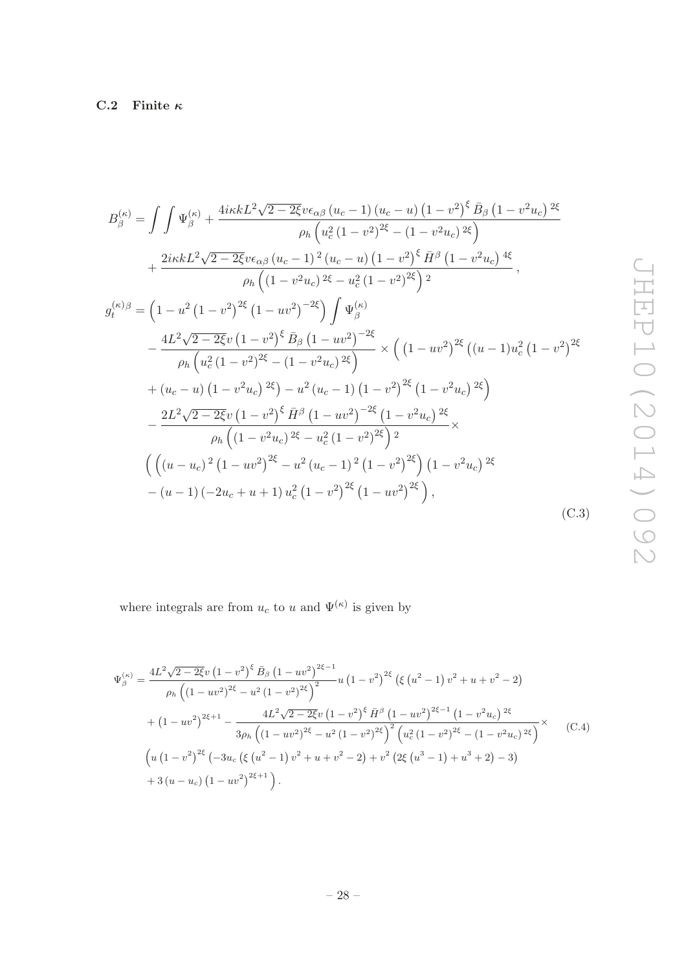<span id="page-28-0"></span>
$$
B_{\beta}^{(\kappa)} = \int \int \Psi_{\beta}^{(\kappa)} + \frac{4i\kappa k L^2 \sqrt{2 - 2\xi} v \epsilon_{\alpha\beta} (u_c - 1) (u_c - u) (1 - v^2)^{\xi} \bar{B}_{\beta} (1 - v^2 u_c)^{2\xi}}{\rho_h (u_c^2 (1 - v^2)^{2\xi} - (1 - v^2 u_c)^{2\xi})} + \frac{2i\kappa k L^2 \sqrt{2 - 2\xi} v \epsilon_{\alpha\beta} (u_c - 1)^2 (u_c - u) (1 - v^2)^{\xi} \bar{H}^{\beta} (1 - v^2 u_c)^{4\xi}}{\rho_h (1 - v^2 u_c)^{2\xi} - u_c^2 (1 - v^2)^{2\xi}} \,,
$$
  

$$
g_t^{(\kappa)\beta} = \left(1 - u^2 (1 - v^2)^{2\xi} (1 - uv^2)^{-2\xi}\right) \int \Psi_{\beta}^{(\kappa)} - \frac{4L^2 \sqrt{2 - 2\xi} v (1 - v^2)^{\xi} \bar{B}_{\beta} (1 - uv^2)^{-2\xi}}{\rho_h (u_c^2 (1 - v^2)^{2\xi} - (1 - v^2 u_c)^{2\xi})} \times \left((1 - uv^2)^{2\xi} ((u - 1)u_c^2 (1 - v^2)^{2\xi} - (1 - v^2 u_c)^{2\xi})(1 - v^2 u_c)^{2\xi}\right) - \frac{2L^2 \sqrt{2 - 2\xi} v (1 - v^2)^{\xi} \bar{H}^{\beta} (1 - uv^2)^{-2\xi} (1 - v^2 u_c)^{2\xi}}{\rho_h (1 - v^2 u_c)^{2\xi} - u_c^2 (1 - v^2)^{2\xi}} \times \left(\left((u - u_c)^2 (1 - uv^2)^{2\xi} - u^2 (u_c - 1)^2 (1 - v^2)^{2\xi}\right) (1 - v^2 u_c)^{2\xi} - (u - 1)(-2u_c + u + 1) u_c^2 (1 - v^2)^{2\xi} (1 - uv^2)^{2\xi}\right),
$$
  
(C.3)

where integrals are from  $u_c$  to u and  $\Psi^{(\kappa)}$  is given by

$$
\Psi_{\beta}^{(\kappa)} = \frac{4L^2\sqrt{2-2\xi}v(1-v^2)^{\xi}\bar{B}_{\beta}(1-uv^2)^{2\xi-1}}{\rho_h\left((1-uv^2)^{2\xi}-u^2(1-v^2)^{2\xi}\right)^2}u(1-v^2)^{2\xi}\left(\xi(u^2-1)v^2+u+v^2-2\right)
$$
  
+ 
$$
(1-uv^2)^{2\xi+1} - \frac{4L^2\sqrt{2-2\xi}v(1-v^2)^{\xi}\bar{H}^{\beta}(1-uv^2)^{2\xi-1}(1-v^2u_c)^{2\xi}}{3\rho_h\left((1-uv^2)^{2\xi}-u^2(1-v^2)^{2\xi}\right)^2\left(u_c^2(1-v^2)^{2\xi}-(1-v^2u_c)^{2\xi}\right)^{\times}} \qquad (C.4)
$$
  

$$
\left(u(1-v^2)^{2\xi}\left(-3u_c\left(\xi(u^2-1)v^2+u+v^2-2\right)+v^2\left(2\xi(u^3-1)+u^3+2\right)-3\right)^{\times} \right)
$$
  
+ 
$$
3(u-u_c)(1-uv^2)^{2\xi+1}.
$$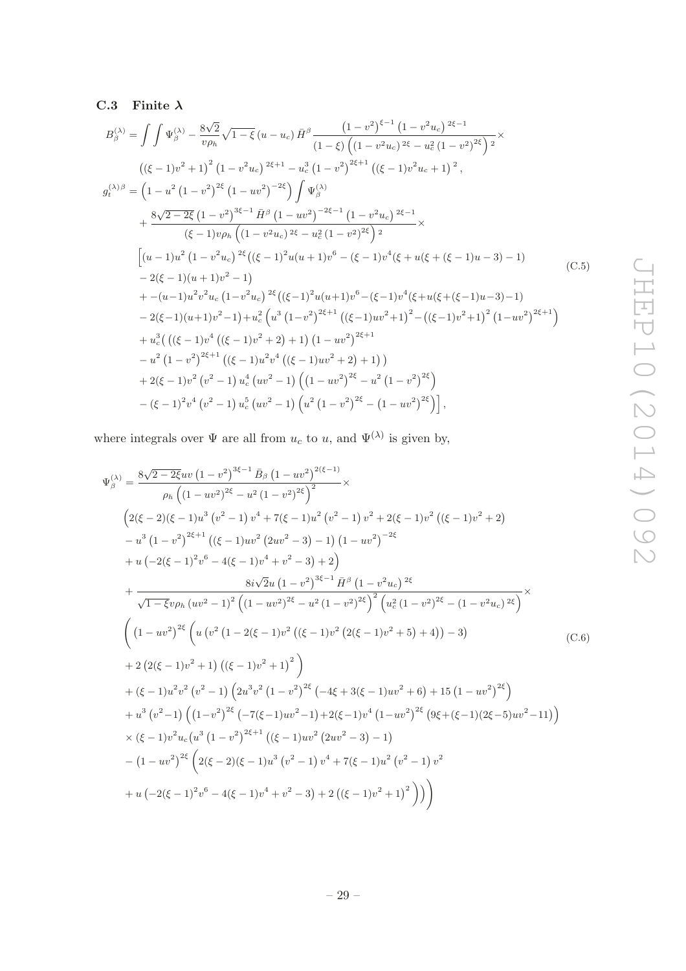# <span id="page-29-0"></span>C.3 Finite  $\lambda$

$$
B_{\beta}^{(\lambda)} = \int \int \Psi_{\beta}^{(\lambda)} - \frac{8\sqrt{2}}{v\rho_h} \sqrt{1-\xi} (u-u_c) \bar{H}^{\beta} \frac{(1-v^2)^{\xi-1} (1-v^2u_c)^{2\xi-1}}{(1-\xi) \left((1-v^2u_c)^{2\xi}-u_c^2(1-v^2)^{2\xi}\right)^2} \times \n= \left((\xi-1)v^2+1\right)^2 (1-v^2u_c)^{2\xi+1} - u_c^3 (1-v^2)^{2\xi+1} ((\xi-1)v^2u_c+1)^2 ,\n= \left(1-u^2 (1-v^2)^{2\xi} (1-uv^2)^{-2\xi}\right) \int \Psi_{\beta}^{(\lambda)} \n+ \frac{8\sqrt{2-2\xi} (1-v^2)^{3\xi-1} \bar{H}^{\beta} (1-uv^2)^{-2\xi-1} (1-v^2u_c)^{2\xi-1}}{(\xi-1)v\rho_h \left((1-v^2u_c)^{2\xi}-u_c^2(1-v^2)^{2\xi}\right)^2} \times \n= 2(\xi-1)(u+1)v^2 - 1) \n+ - (u-1)u^2v^2u_c (1-v^2u_c)^{2\xi} ((\xi-1)^2u(u+1)v^6 - (\xi-1)v^4(\xi+u(\xi+(\xi-1)u-3)-1) \n- 2(\xi-1)(u+1)v^2 - 1) \n+ - u_c^3 (((\xi-1)v^2+u^2) + u_c^2(u^3(1-v^2)^{2\xi+1} ((\xi-1)uv^2+1)^2 - ((\xi-1)v^2+1)^2 (1-uv^2)^{2\xi+1}) \n+ u_c^3 (((\xi-1)v^4 ((\xi-1)v^2+2)+1) (1-uv^2)^{2\xi+1} \n- u^2 (1-v^2)^{2\xi+1} ((\xi-1)u^2v^4 ((\xi-1)uv^2+2)+1)) \n+ 2(\xi-1)v^2 (v^2-1) u_c^4 (uv^2-1) ((1-uv^2)^{2\xi}-u^2 (1-v^2)^{2\xi}) \n- (\xi-1)^2v^4 (v^2-1) u_c^5 (uv^2-1) (u^2 (1-v^2)^{2\xi} - (
$$

where integrals over  $\Psi$  are all from  $u_c$  to  $u$ , and  $\Psi^{(\lambda)}$  is given by,

$$
\Psi_{\beta}^{(\lambda)} = \frac{8\sqrt{2-2\xi}uv(1-v^2)^{3\xi-1}\bar{B}_{\beta}(1-uv^2)^{2(\xi-1)}}{\rho_h((1-uv^2)^{2\xi}-u^2(1-v^2)^{2\xi}} \times
$$
\n
$$
(2(\xi-2)(\xi-1)u^3(v^2-1)v^4+7(\xi-1)u^2(v^2-1)v^2+2(\xi-1)v^2((\xi-1)v^2+2)
$$
\n
$$
-u^3(1-v^2)^{2\xi+1}((\xi-1)uv^2(2uv^2-3)-1)(1-uv^2)^{-2\xi}
$$
\n
$$
+u(-2(\xi-1)^2v^6-4(\xi-1)v^4+v^2-3)+2)
$$
\n
$$
= \frac{8i\sqrt{2}u(1-v^2)^{3\xi-1}\bar{H}^{\beta}(1-v^2u_0)^{2\xi}}{\sqrt{1-\xi}v\rho_h(uv^2-1)^2((1-uv^2)^{2\xi}-u^2(1-v^2)^{2\xi})^2(u_c^2(1-v^2)^{2\xi}-(1-v^2u_c)^{2\xi})} \times
$$
\n
$$
\left((1-uv^2)^{2\xi}\left(u(v^2(1-2(\xi-1)v^2((\xi-1)v^2(2(\xi-1)v^2+5)+4))-3\right) +2(2(\xi-1)v^2+1)((\xi-1)v^2+1)^2\right)
$$
\n
$$
+( \xi-1)u^2v^2(v^2-1)(2u^3v^2(1-v^2)^{2\xi}(-4\xi+3(\xi-1)uv^2+6)+15(1-uv^2)^{2\xi}
$$
\n
$$
+u^3(v^2-1)\left((1-v^2)^{2\xi}(-7(\xi-1)uv^2-1)+2(\xi-1)v^4(1-uv^2)^{2\xi}(9\xi+(\xi-1)(2\xi-5)uv^2-11)\right) \times (\xi-1)v^2u_c(u^3(1-v^2)^{2\xi+1}((\xi-1)uv^2(2uv^2-3)-1)
$$
\n
$$
-(1-uv^2)^{2\xi}\left(2(\xi-2)(\xi-1)u^3(v^2-1)v^4+7(\xi-1)u^2(v^2-1)v^2\right)
$$
\n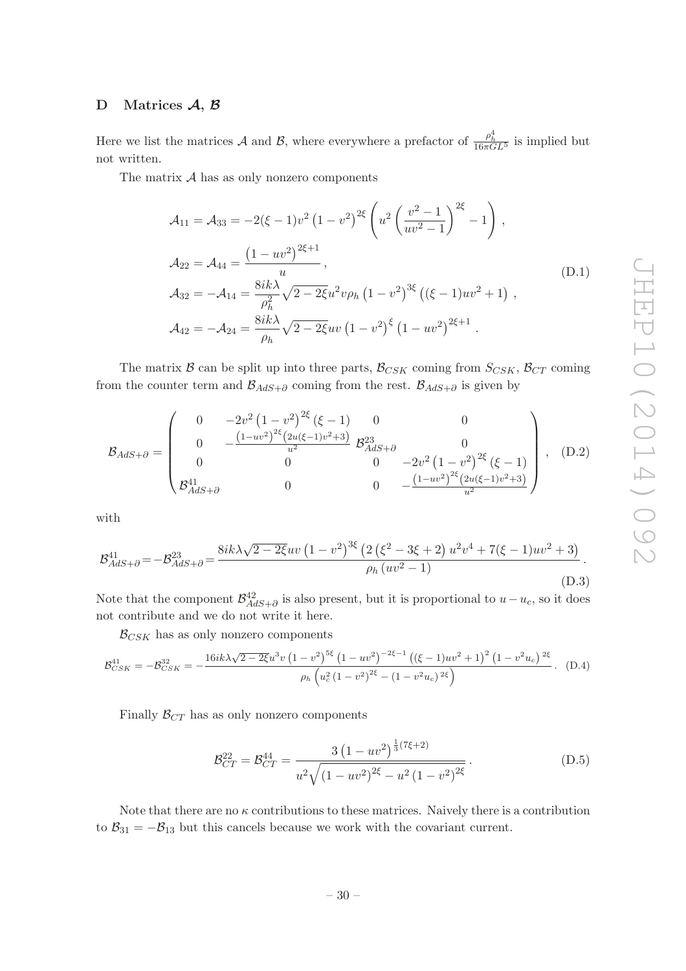## <span id="page-30-0"></span>D Matrices A, B

Here we list the matrices A and B, where everywhere a prefactor of  $\frac{\rho_h^4}{16\pi G L^5}$  is implied but not written.

The matrix  $A$  has as only nonzero components

$$
\mathcal{A}_{11} = \mathcal{A}_{33} = -2(\xi - 1)v^2 (1 - v^2)^{2\xi} \left( u^2 \left( \frac{v^2 - 1}{uv^2 - 1} \right)^{2\xi} - 1 \right),
$$
  
\n
$$
\mathcal{A}_{22} = \mathcal{A}_{44} = \frac{(1 - uv^2)^{2\xi + 1}}{u},
$$
  
\n
$$
\mathcal{A}_{32} = -\mathcal{A}_{14} = \frac{8ik\lambda}{\rho_h^2} \sqrt{2 - 2\xi} u^2 v \rho_h (1 - v^2)^{3\xi} ((\xi - 1)uv^2 + 1),
$$
  
\n
$$
\mathcal{A}_{42} = -\mathcal{A}_{24} = \frac{8ik\lambda}{\rho_h} \sqrt{2 - 2\xi} uv (1 - v^2)^{\xi} (1 - uv^2)^{2\xi + 1}.
$$
\n(D.1)

The matrix  $\beta$  can be split up into three parts,  $\beta_{CSK}$  coming from  $S_{CSK}$ ,  $\beta_{CT}$  coming from the counter term and  $\mathcal{B}_{AdS+\partial}$  coming from the rest.  $\mathcal{B}_{AdS+ \partial}$  is given by

$$
\mathcal{B}_{AdS+\partial} = \begin{pmatrix} 0 & -2v^2 (1 - v^2)^{2\xi} (\xi - 1) & 0 & 0 \\ 0 & -\frac{(1 - uv^2)^{2\xi} (2u(\xi - 1)v^2 + 3)}{u^2} & \mathcal{B}_{AdS+\partial}^{23} & 0 \\ 0 & 0 & 0 & -2v^2 (1 - v^2)^{2\xi} (\xi - 1) \\ \mathcal{B}_{AdS+\partial}^{41} & 0 & 0 & -\frac{(1 - uv^2)^{2\xi} (2u(\xi - 1)v^2 + 3)}{u^2} \end{pmatrix}, \quad (D.2)
$$

with

$$
\mathcal{B}^{41}_{AdS+\partial} = -\mathcal{B}^{23}_{AdS+\partial} = \frac{8ik\lambda\sqrt{2 - 2\xi}uv\left(1 - v^2\right)^{3\xi}\left(2\left(\xi^2 - 3\xi + 2\right)u^2v^4 + 7(\xi - 1)uv^2 + 3\right)}{\rho_h(uv^2 - 1)}.
$$
\n(D.3)

Note that the component  $\mathcal{B}^{42}_{AdS+ \partial}$  is also present, but it is proportional to  $u-u_c$ , so it does not contribute and we do not write it here.

 $\mathcal{B}_{CSK}$  has as only nonzero components

$$
\mathcal{B}_{CSK}^{41} = -\mathcal{B}_{CSK}^{32} = -\frac{16ik\lambda\sqrt{2 - 2\xi}u^3v(1 - v^2)^{5\xi}(1 - uv^2)^{-2\xi - 1}((\xi - 1)uv^2 + 1)^2(1 - v^2u_c)^{2\xi}}{\rho_h\left(u_c^2(1 - v^2)^{2\xi} - (1 - v^2u_c)^{2\xi}\right)}.
$$
 (D.4)

Finally  $\mathcal{B}_{CT}$  has as only nonzero components

$$
\mathcal{B}_{CT}^{22} = \mathcal{B}_{CT}^{44} = \frac{3\left(1 - uv^2\right)^{\frac{1}{3}\left(7\xi + 2\right)}}{u^2 \sqrt{\left(1 - uv^2\right)^{2\xi} - u^2 \left(1 - v^2\right)^{2\xi}}}.
$$
\n(D.5)

Note that there are no  $\kappa$  contributions to these matrices. Naively there is a contribution to  $B_{31} = -B_{13}$  but this cancels because we work with the covariant current.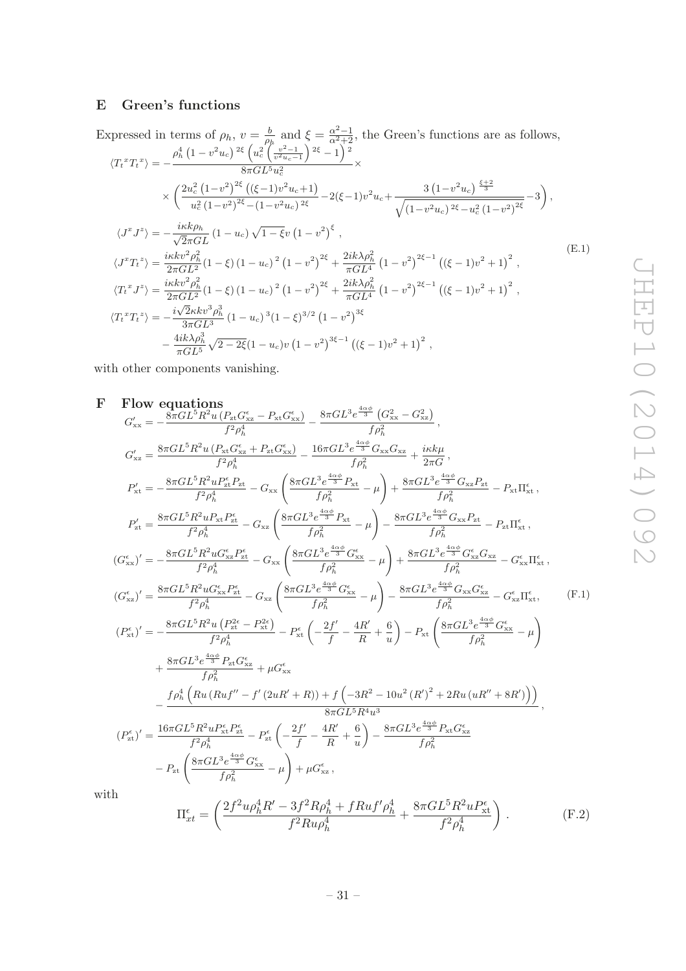# <span id="page-31-0"></span>E Green's functions

Expressed in terms of  $\rho_h$ ,  $v = \frac{b}{\rho_l}$  $\frac{b}{\rho_h}$  and  $\xi = \frac{\alpha^2 - 1}{\alpha^2 + 2}$ , the Green's functions are as follows,  $\rho_h^4\left(1-v^2u_c\right){}^{2\xi}\left(u_c^2\!\left(\!\frac{v^2-1}{v^2u_c-1}\right){}^{2\xi}-1\right){}^2$ 

$$
\langle T_t^T T_t^x \rangle = -\frac{\kappa \left( \frac{2u_c^2}{\sigma^2 L^5 u_c^2} \right)}{8\pi G L^5 u_c^2} \times
$$
  
\n
$$
\times \left( \frac{2u_c^2 (1 - v^2)^{2\xi} ((\xi - 1)v^2 u_c + 1)}{u_c^2 (1 - v^2)^{2\xi} - (1 - v^2 u_c)^{2\xi}} - 2(\xi - 1)v^2 u_c + \frac{3(1 - v^2 u_c)^{\frac{\xi + 2}{3}}}{\sqrt{(1 - v^2 u_c)^{2\xi} - u_c^2 (1 - v^2)^{2\xi}}} - 3 \right),
$$
  
\n
$$
\langle J^T J^z \rangle = -\frac{i\kappa k \rho_h}{\sqrt{2\pi G L}} (1 - u_c) \sqrt{1 - \xi} v (1 - v^2)^{\xi},
$$
  
\n
$$
\langle J^T T_t^z \rangle = \frac{i\kappa k v^2 \rho_h^2}{2\pi G L^2} (1 - \xi) (1 - u_c)^2 (1 - v^2)^{2\xi} + \frac{2i k \lambda \rho_h^2}{\pi G L^4} (1 - v^2)^{2\xi - 1} ((\xi - 1)v^2 + 1)^2,
$$
  
\n
$$
\langle T_t^T J^z \rangle = \frac{i\kappa k v^2 \rho_h^2}{2\pi G L^2} (1 - \xi) (1 - u_c)^2 (1 - v^2)^{2\xi} + \frac{2i k \lambda \rho_h^2}{\pi G L^4} (1 - v^2)^{2\xi - 1} ((\xi - 1)v^2 + 1)^2,
$$
  
\n
$$
\langle T_t^T T_t^z \rangle = -\frac{i\sqrt{2\kappa k v^3 \rho_h^3}}{3\pi G L^3} (1 - u_c)^3 (1 - \xi)^{3/2} (1 - v^2)^{3\xi}
$$
  
\n
$$
- \frac{4i k \lambda \rho_h^3}{\pi G L^3} \sqrt{2 - 2\xi} (1 - u_c) v (1 - v^2)^{3\xi - 1} ((\xi - 1)v^2 + 1)^2,
$$
 (12.1)

<span id="page-31-1"></span>with other components vanishing.

F Flow equations  
\n
$$
G'_{xx} = -\frac{8\pi G L^5 R^2 u (P_{x1}C_{xx}^{\epsilon} - P_{x1}G_{xx}^{\epsilon})}{f^2 \rho_h^4} - \frac{8\pi G L^3 e^{\frac{4\alpha \phi}{3}} (G_{xx}^2 - G_{xx}^2)}{f \rho_h^2},
$$
\n
$$
G'_{xz} = \frac{8\pi G L^5 R^2 u (P_{x1}C_{xx}^{\epsilon} + P_{z1}G_{xx}^{\epsilon})}{f^2 \rho_h^4} - G_{xx} \left( \frac{8\pi G L^3 e^{\frac{4\alpha \phi}{3}} P_{x1}^{\epsilon}}{f \rho_h^2} - \mu \right) + \frac{8\pi G L^3 e^{\frac{4\alpha \phi}{3}} G_{xx}P_{xx}}{f \rho_h^2} - P_{x1} \Gamma_{xx}^{\epsilon},
$$
\n
$$
P'_{xt} = -\frac{8\pi G L^5 R^2 u P_{x1} P_{x1}^{\epsilon}}{f^2 \rho_h^4} - G_{xx} \left( \frac{8\pi G L^3 e^{\frac{4\alpha \phi}{3}} P_{x1}^{\epsilon}}{f \rho_h^2} - \mu \right) - \frac{8\pi G L^3 e^{\frac{4\alpha \phi}{3}} G_{xx} P_{x1}^{\epsilon}}{f \rho_h^2} - P_{x1} \Gamma_{xx}^{\epsilon},
$$
\n
$$
(G_{xx}^{\epsilon})' = -\frac{8\pi G L^5 R^2 u G_{xx}^{\epsilon} P_{x1}^{\epsilon}}{f^2 \rho_h^4} - G_{xx} \left( \frac{8\pi G L^3 e^{\frac{4\alpha \phi}{3}} G_{xx}^{\epsilon}}{f \rho_h^2} - \mu \right) + \frac{8\pi G L^3 e^{\frac{4\alpha \phi}{3}} G_{xx} P_{x1}^{\epsilon}}{f \rho_h^2} - P_{x1} \Gamma_{xx}^{\epsilon},
$$
\n
$$
(G_{xx}^{\epsilon})' = \frac{8\pi G L^5 R^2 u G_{xx}^{\epsilon} P_{x1}^{\epsilon}}{f^2 \rho_h^4} - G_{xx} \left( \frac{8\pi G L^3 e^{\frac{4\alpha \phi}{3}} G_{xx}^{\epsilon}}{f \rho_h^2} - \mu \right) - \frac{8\pi G L^3
$$

 $\overline{W}$ 

$$
\Pi_{xt}^{\epsilon} = \left(\frac{2f^2 u \rho_h^4 R' - 3f^2 R \rho_h^4 + f R u f' \rho_h^4}{f^2 R u \rho_h^4} + \frac{8\pi G L^5 R^2 u P_{xt}^{\epsilon}}{f^2 \rho_h^4}\right). \tag{F.2}
$$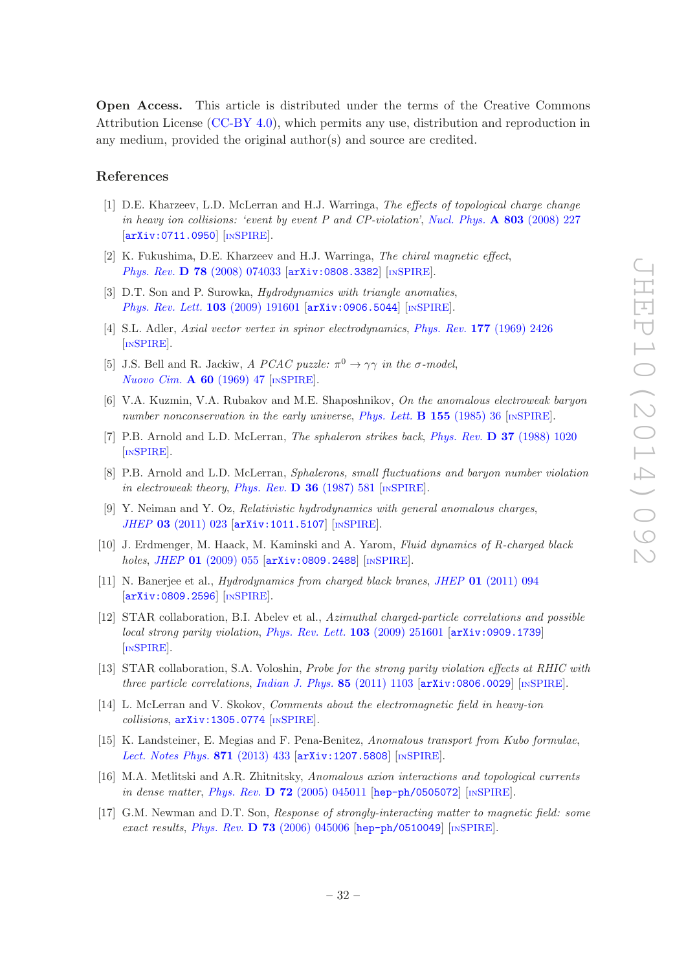Open Access. This article is distributed under the terms of the Creative Commons Attribution License [\(CC-BY 4.0\)](http://creativecommons.org/licenses/by/4.0/), which permits any use, distribution and reproduction in any medium, provided the original author(s) and source are credited.

#### References

- <span id="page-32-0"></span>[1] D.E. Kharzeev, L.D. McLerran and H.J. Warringa, The effects of topological charge change in heavy ion collisions: 'event by event P and CP-violation', [Nucl. Phys.](http://dx.doi.org/10.1016/j.nuclphysa.2008.02.298)  $\bf{A} 803$  (2008) 227 [[arXiv:0711.0950](http://arxiv.org/abs/0711.0950)] [IN[SPIRE](http://inspirehep.net/search?p=find+EPRINT+arXiv:0711.0950)].
- <span id="page-32-1"></span>[2] K. Fukushima, D.E. Kharzeev and H.J. Warringa, The chiral magnetic effect, Phys. Rev. D 78 [\(2008\) 074033](http://dx.doi.org/10.1103/PhysRevD.78.074033) [[arXiv:0808.3382](http://arxiv.org/abs/0808.3382)] [IN[SPIRE](http://inspirehep.net/search?p=find+EPRINT+arXiv:0808.3382)].
- <span id="page-32-2"></span>[3] D.T. Son and P. Surowka, *Hydrodynamics with triangle anomalies*, [Phys. Rev. Lett.](http://dx.doi.org/10.1103/PhysRevLett.103.191601) 103 (2009) 191601 [[arXiv:0906.5044](http://arxiv.org/abs/0906.5044)] [IN[SPIRE](http://inspirehep.net/search?p=find+EPRINT+arXiv:0906.5044)].
- <span id="page-32-3"></span>[4] S.L. Adler, Axial vector vertex in spinor electrodynamics, Phys. Rev. 177 [\(1969\) 2426](http://dx.doi.org/10.1103/PhysRev.177.2426) [IN[SPIRE](http://inspirehep.net/search?p=find+J+Phys.Rev.,177,2426)].
- <span id="page-32-4"></span>[5] J.S. Bell and R. Jackiw, A PCAC puzzle:  $\pi^0 \to \gamma \gamma$  in the  $\sigma$ -model, [Nuovo Cim.](http://dx.doi.org/10.1007/BF02823296) A 60 (1969) 47 [IN[SPIRE](http://inspirehep.net/search?p=find+J+NuovoCim.,A60,47)].
- <span id="page-32-5"></span>[6] V.A. Kuzmin, V.A. Rubakov and M.E. Shaposhnikov, On the anomalous electroweak baryon number nonconservation in the early universe, [Phys. Lett.](http://dx.doi.org/10.1016/0370-2693(85)91028-7)  $\bf{B}$  155 (1985) 36 [IN[SPIRE](http://inspirehep.net/search?p=find+J+Phys.Lett.,B155,36)].
- [7] P.B. Arnold and L.D. McLerran, *The sphaleron strikes back, Phys. Rev.* **D 37** [\(1988\) 1020](http://dx.doi.org/10.1103/PhysRevD.37.1020) [IN[SPIRE](http://inspirehep.net/search?p=find+J+Phys.Rev.,D37,1020)].
- <span id="page-32-6"></span>[8] P.B. Arnold and L.D. McLerran, Sphalerons, small fluctuations and baryon number violation in electroweak theory, [Phys. Rev.](http://dx.doi.org/10.1103/PhysRevD.36.581) D 36 (1987) 581 [IN[SPIRE](http://inspirehep.net/search?p=find+J+Phys.Rev.,D36,581)].
- <span id="page-32-7"></span>[9] Y. Neiman and Y. Oz, Relativistic hydrodynamics with general anomalous charges, JHEP 03 [\(2011\) 023](http://dx.doi.org/10.1007/JHEP03(2011)023) [[arXiv:1011.5107](http://arxiv.org/abs/1011.5107)] [IN[SPIRE](http://inspirehep.net/search?p=find+EPRINT+arXiv:1011.5107)].
- <span id="page-32-8"></span>[10] J. Erdmenger, M. Haack, M. Kaminski and A. Yarom, Fluid dynamics of R-charged black holes, JHEP 01 [\(2009\) 055](http://dx.doi.org/10.1088/1126-6708/2009/01/055) [[arXiv:0809.2488](http://arxiv.org/abs/0809.2488)] [IN[SPIRE](http://inspirehep.net/search?p=find+EPRINT+arXiv:0809.2488)].
- <span id="page-32-9"></span>[11] N. Banerjee et al., Hydrodynamics from charged black branes, JHEP 01 [\(2011\) 094](http://dx.doi.org/10.1007/JHEP01(2011)094) [[arXiv:0809.2596](http://arxiv.org/abs/0809.2596)] [IN[SPIRE](http://inspirehep.net/search?p=find+EPRINT+arXiv:0809.2596)].
- <span id="page-32-10"></span>[12] STAR collaboration, B.I. Abelev et al., Azimuthal charged-particle correlations and possible local strong parity violation, [Phys. Rev. Lett.](http://dx.doi.org/10.1103/PhysRevLett.103.251601) **103** (2009) 251601 [[arXiv:0909.1739](http://arxiv.org/abs/0909.1739)] [IN[SPIRE](http://inspirehep.net/search?p=find+EPRINT+arXiv:0909.1739)].
- [13] STAR collaboration, S.A. Voloshin, Probe for the strong parity violation effects at RHIC with three particle correlations, [Indian J. Phys.](http://dx.doi.org/10.1007/s12648-011-0137-0) 85 (2011) 1103  $\left[$ [arXiv:0806.0029](http://arxiv.org/abs/0806.0029) $\right]$  [IN[SPIRE](http://inspirehep.net/search?p=find+EPRINT+arXiv:0806.0029)].
- <span id="page-32-11"></span>[14] L. McLerran and V. Skokov, Comments about the electromagnetic field in heavy-ion  $collisions$ ,  $arXiv:1305.0774$  [IN[SPIRE](http://inspirehep.net/search?p=find+EPRINT+arXiv:1305.0774)].
- <span id="page-32-12"></span>[15] K. Landsteiner, E. Megias and F. Pena-Benitez, Anomalous transport from Kubo formulae, [Lect. Notes Phys.](http://dx.doi.org/10.1007/978-3-642-37305-3_17) 871 (2013) 433 [[arXiv:1207.5808](http://arxiv.org/abs/1207.5808)] [IN[SPIRE](http://inspirehep.net/search?p=find+EPRINT+arXiv:1207.5808)].
- <span id="page-32-13"></span>[16] M.A. Metlitski and A.R. Zhitnitsky, Anomalous axion interactions and topological currents in dense matter, Phys. Rev. D  $72$  [\(2005\) 045011](http://dx.doi.org/10.1103/PhysRevD.72.045011) [[hep-ph/0505072](http://arxiv.org/abs/hep-ph/0505072)] [IN[SPIRE](http://inspirehep.net/search?p=find+EPRINT+hep-ph/0505072)].
- [17] G.M. Newman and D.T. Son, Response of strongly-interacting matter to magnetic field: some exact results, Phys. Rev. D 73 [\(2006\) 045006](http://dx.doi.org/10.1103/PhysRevD.73.045006) [[hep-ph/0510049](http://arxiv.org/abs/hep-ph/0510049)]  $\text{[INSPIRE]}$  $\text{[INSPIRE]}$  $\text{[INSPIRE]}$ .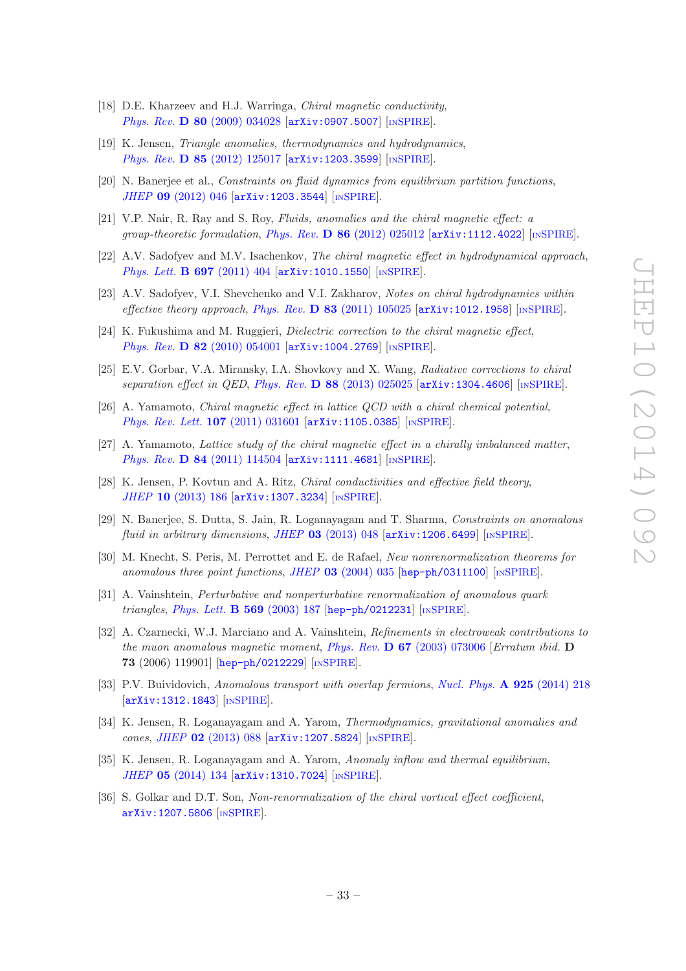- [18] D.E. Kharzeev and H.J. Warringa, *Chiral magnetic conductivity*, Phys. Rev. **D 80** [\(2009\) 034028](http://dx.doi.org/10.1103/PhysRevD.80.034028) [[arXiv:0907.5007](http://arxiv.org/abs/0907.5007)] [IN[SPIRE](http://inspirehep.net/search?p=find+EPRINT+arXiv:0907.5007)].
- <span id="page-33-8"></span>[19] K. Jensen, Triangle anomalies, thermodynamics and hydrodynamics, Phys. Rev. D 85 [\(2012\) 125017](http://dx.doi.org/10.1103/PhysRevD.85.125017) [[arXiv:1203.3599](http://arxiv.org/abs/1203.3599)] [IN[SPIRE](http://inspirehep.net/search?p=find+EPRINT+arXiv:1203.3599)].
- [20] N. Banerjee et al., Constraints on fluid dynamics from equilibrium partition functions, JHEP 09 [\(2012\) 046](http://dx.doi.org/10.1007/JHEP09(2012)046) [[arXiv:1203.3544](http://arxiv.org/abs/1203.3544)] [IN[SPIRE](http://inspirehep.net/search?p=find+EPRINT+arXiv:1203.3544)].
- <span id="page-33-12"></span>[21] V.P. Nair, R. Ray and S. Roy, Fluids, anomalies and the chiral magnetic effect: a group-theoretic formulation, Phys. Rev.  $\bf{D} 86 (2012) 025012$  $\bf{D} 86 (2012) 025012$  [[arXiv:1112.4022](http://arxiv.org/abs/1112.4022)] [IN[SPIRE](http://inspirehep.net/search?p=find+EPRINT+arXiv:1112.4022)].
- [22] A.V. Sadofyev and M.V. Isachenkov, The chiral magnetic effect in hydrodynamical approach, [Phys. Lett.](http://dx.doi.org/10.1016/j.physletb.2011.02.041) **B 697** (2011) 404 [[arXiv:1010.1550](http://arxiv.org/abs/1010.1550)] [IN[SPIRE](http://inspirehep.net/search?p=find+EPRINT+arXiv:1010.1550)].
- <span id="page-33-0"></span>[23] A.V. Sadofyev, V.I. Shevchenko and V.I. Zakharov, Notes on chiral hydrodynamics within effective theory approach, Phys. Rev.  $\bf{D}$  83 [\(2011\) 105025](http://dx.doi.org/10.1103/PhysRevD.83.105025) [[arXiv:1012.1958](http://arxiv.org/abs/1012.1958)] [IN[SPIRE](http://inspirehep.net/search?p=find+EPRINT+arXiv:1012.1958)].
- <span id="page-33-1"></span>[24] K. Fukushima and M. Ruggieri, Dielectric correction to the chiral magnetic effect, Phys. Rev. D 82 [\(2010\) 054001](http://dx.doi.org/10.1103/PhysRevD.82.054001) [[arXiv:1004.2769](http://arxiv.org/abs/1004.2769)] [IN[SPIRE](http://inspirehep.net/search?p=find+EPRINT+arXiv:1004.2769)].
- [25] E.V. Gorbar, V.A. Miransky, I.A. Shovkovy and X. Wang, Radiative corrections to chiral separation effect in QED, Phys. Rev.  $\bf{D}$  88 [\(2013\) 025025](http://dx.doi.org/10.1103/PhysRevD.88.025025) [[arXiv:1304.4606](http://arxiv.org/abs/1304.4606)] [IN[SPIRE](http://inspirehep.net/search?p=find+EPRINT+arXiv:1304.4606)].
- <span id="page-33-2"></span>[26] A. Yamamoto, Chiral magnetic effect in lattice QCD with a chiral chemical potential, [Phys. Rev. Lett.](http://dx.doi.org/10.1103/PhysRevLett.107.031601) 107 (2011) 031601 [[arXiv:1105.0385](http://arxiv.org/abs/1105.0385)] [IN[SPIRE](http://inspirehep.net/search?p=find+EPRINT+arXiv:1105.0385)].
- [27] A. Yamamoto, Lattice study of the chiral magnetic effect in a chirally imbalanced matter, Phys. Rev. D 84 [\(2011\) 114504](http://dx.doi.org/10.1103/PhysRevD.84.114504) [[arXiv:1111.4681](http://arxiv.org/abs/1111.4681)] [IN[SPIRE](http://inspirehep.net/search?p=find+EPRINT+arXiv:1111.4681)].
- <span id="page-33-3"></span>[28] K. Jensen, P. Kovtun and A. Ritz, Chiral conductivities and effective field theory, JHEP 10 [\(2013\) 186](http://dx.doi.org/10.1007/JHEP10(2013)186) [[arXiv:1307.3234](http://arxiv.org/abs/1307.3234)] [IN[SPIRE](http://inspirehep.net/search?p=find+EPRINT+arXiv:1307.3234)].
- <span id="page-33-4"></span>[29] N. Banerjee, S. Dutta, S. Jain, R. Loganayagam and T. Sharma, Constraints on anomalous fluid in arbitrary dimensions, JHEP  $03$  [\(2013\) 048](http://dx.doi.org/10.1007/JHEP03(2013)048)  $\text{arXiv:1206.6499}$  $\text{arXiv:1206.6499}$  $\text{arXiv:1206.6499}$  [IN[SPIRE](http://inspirehep.net/search?p=find+EPRINT+arXiv:1206.6499)].
- <span id="page-33-5"></span>[30] M. Knecht, S. Peris, M. Perrottet and E. de Rafael, New nonrenormalization theorems for anomalous three point functions, JHEP  $03$  [\(2004\) 035](http://dx.doi.org/10.1088/1126-6708/2004/03/035) [[hep-ph/0311100](http://arxiv.org/abs/hep-ph/0311100)] [IN[SPIRE](http://inspirehep.net/search?p=find+EPRINT+hep-ph/0311100)].
- [31] A. Vainshtein, Perturbative and nonperturbative renormalization of anomalous quark triangles, [Phys. Lett.](http://dx.doi.org/10.1016/j.physletb.2003.07.038) **B 569** (2003) 187 [[hep-ph/0212231](http://arxiv.org/abs/hep-ph/0212231)] [IN[SPIRE](http://inspirehep.net/search?p=find+EPRINT+hep-ph/0212231)].
- <span id="page-33-6"></span>[32] A. Czarnecki, W.J. Marciano and A. Vainshtein, Refinements in electroweak contributions to the muon anomalous magnetic moment, Phys. Rev.  $\bf{D} 67$  [\(2003\) 073006](http://dx.doi.org/10.1103/PhysRevD.67.073006) [Erratum ibid.  $\bf{D}$ 73 (2006) 119901] [[hep-ph/0212229](http://arxiv.org/abs/hep-ph/0212229)] [IN[SPIRE](http://inspirehep.net/search?p=find+EPRINT+hep-ph/0212229)].
- <span id="page-33-7"></span>[33] P.V. Buividovich, Anomalous transport with overlap fermions, [Nucl. Phys.](http://dx.doi.org/10.1016/j.nuclphysa.2014.02.022) A 925 (2014) 218 [[arXiv:1312.1843](http://arxiv.org/abs/1312.1843)] [IN[SPIRE](http://inspirehep.net/search?p=find+EPRINT+arXiv:1312.1843)].
- <span id="page-33-9"></span>[34] K. Jensen, R. Loganayagam and A. Yarom, Thermodynamics, gravitational anomalies and cones, JHEP 02 [\(2013\) 088](http://dx.doi.org/10.1007/JHEP02(2013)088) [[arXiv:1207.5824](http://arxiv.org/abs/1207.5824)] [IN[SPIRE](http://inspirehep.net/search?p=find+EPRINT+arXiv:1207.5824)].
- <span id="page-33-10"></span>[35] K. Jensen, R. Loganayagam and A. Yarom, Anomaly inflow and thermal equilibrium, JHEP 05 [\(2014\) 134](http://dx.doi.org/10.1007/JHEP05(2014)134) [[arXiv:1310.7024](http://arxiv.org/abs/1310.7024)] [IN[SPIRE](http://inspirehep.net/search?p=find+EPRINT+arXiv:1310.7024)].
- <span id="page-33-11"></span>[36] S. Golkar and D.T. Son, Non-renormalization of the chiral vortical effect coefficient, [arXiv:1207.5806](http://arxiv.org/abs/1207.5806) [IN[SPIRE](http://inspirehep.net/search?p=find+EPRINT+arXiv:1207.5806)].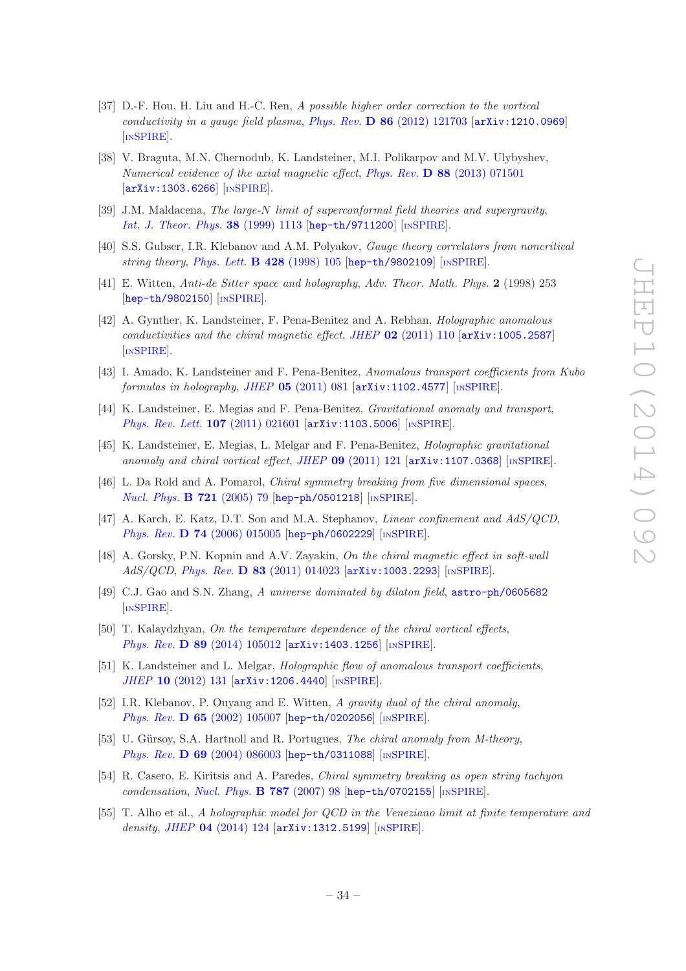- <span id="page-34-0"></span>[37] D.-F. Hou, H. Liu and H.-C. Ren, A possible higher order correction to the vortical conductivity in a gauge field plasma, Phys. Rev.  $\bf{D} 86$  [\(2012\) 121703](http://dx.doi.org/10.1103/PhysRevD.86.121703)  $\bf{arXiv:1210.0969}$  $\bf{arXiv:1210.0969}$  $\bf{arXiv:1210.0969}$ [IN[SPIRE](http://inspirehep.net/search?p=find+EPRINT+arXiv:1210.0969)].
- <span id="page-34-1"></span>[38] V. Braguta, M.N. Chernodub, K. Landsteiner, M.I. Polikarpov and M.V. Ulybyshev, Numerical evidence of the axial magnetic effect, Phys. Rev. D 88 [\(2013\) 071501](http://dx.doi.org/10.1103/PhysRevD.88.071501) [[arXiv:1303.6266](http://arxiv.org/abs/1303.6266)] [IN[SPIRE](http://inspirehep.net/search?p=find+EPRINT+arXiv:1303.6266)].
- <span id="page-34-2"></span>[39] J.M. Maldacena, The large-N limit of superconformal field theories and supergravity, [Int. J. Theor. Phys.](http://dx.doi.org/10.1023/A:1026654312961) 38 (1999) 1113 [[hep-th/9711200](http://arxiv.org/abs/hep-th/9711200)] [IN[SPIRE](http://inspirehep.net/search?p=find+EPRINT+hep-th/9711200)].
- [40] S.S. Gubser, I.R. Klebanov and A.M. Polyakov, Gauge theory correlators from noncritical string theory, [Phys. Lett.](http://dx.doi.org/10.1016/S0370-2693(98)00377-3) **B 428** (1998) 105 [[hep-th/9802109](http://arxiv.org/abs/hep-th/9802109)] [IN[SPIRE](http://inspirehep.net/search?p=find+EPRINT+hep-th/9802109)].
- <span id="page-34-3"></span>[41] E. Witten, Anti-de Sitter space and holography, Adv. Theor. Math. Phys. 2 (1998) 253 [[hep-th/9802150](http://arxiv.org/abs/hep-th/9802150)] [IN[SPIRE](http://inspirehep.net/search?p=find+EPRINT+hep-th/9802150)].
- <span id="page-34-4"></span>[42] A. Gynther, K. Landsteiner, F. Pena-Benitez and A. Rebhan, Holographic anomalous conductivities and the chiral magnetic effect, JHEP  $02$  [\(2011\) 110](http://dx.doi.org/10.1007/JHEP02(2011)110) [[arXiv:1005.2587](http://arxiv.org/abs/1005.2587)] [IN[SPIRE](http://inspirehep.net/search?p=find+EPRINT+arXiv:1005.2587)].
- <span id="page-34-17"></span>[43] I. Amado, K. Landsteiner and F. Pena-Benitez, Anomalous transport coefficients from Kubo formulas in holography, JHEP  $05$  [\(2011\) 081](http://dx.doi.org/10.1007/JHEP05(2011)081)  $\left[$ [arXiv:1102.4577](http://arxiv.org/abs/1102.4577) $\right]$   $\left[$ IN[SPIRE](http://inspirehep.net/search?p=find+EPRINT+arXiv:1102.4577) $\right]$ .
- <span id="page-34-11"></span>[44] K. Landsteiner, E. Megias and F. Pena-Benitez, Gravitational anomaly and transport, [Phys. Rev. Lett.](http://dx.doi.org/10.1103/PhysRevLett.107.021601) 107 (2011) 021601 [[arXiv:1103.5006](http://arxiv.org/abs/1103.5006)] [IN[SPIRE](http://inspirehep.net/search?p=find+EPRINT+arXiv:1103.5006)].
- <span id="page-34-5"></span>[45] K. Landsteiner, E. Megias, L. Melgar and F. Pena-Benitez, Holographic gravitational anomaly and chiral vortical effect, JHEP 09 [\(2011\) 121](http://dx.doi.org/10.1007/JHEP09(2011)121) [[arXiv:1107.0368](http://arxiv.org/abs/1107.0368)] [IN[SPIRE](http://inspirehep.net/search?p=find+EPRINT+arXiv:1107.0368)].
- <span id="page-34-6"></span>[46] L. Da Rold and A. Pomarol, Chiral symmetry breaking from five dimensional spaces, [Nucl. Phys.](http://dx.doi.org/10.1016/j.nuclphysb.2005.05.009) **B 721** (2005) 79 [[hep-ph/0501218](http://arxiv.org/abs/hep-ph/0501218)] [IN[SPIRE](http://inspirehep.net/search?p=find+EPRINT+hep-ph/0501218)].
- <span id="page-34-7"></span>[47] A. Karch, E. Katz, D.T. Son and M.A. Stephanov, Linear confinement and AdS/QCD, Phys. Rev. D 74 [\(2006\) 015005](http://dx.doi.org/10.1103/PhysRevD.74.015005) [[hep-ph/0602229](http://arxiv.org/abs/hep-ph/0602229)] [IN[SPIRE](http://inspirehep.net/search?p=find+EPRINT+hep-ph/0602229)].
- <span id="page-34-8"></span>[48] A. Gorsky, P.N. Kopnin and A.V. Zayakin, On the chiral magnetic effect in soft-wall  $AdS/QCD$ , *Phys. Rev.* **D 83** [\(2011\) 014023](http://dx.doi.org/10.1103/PhysRevD.83.014023) [[arXiv:1003.2293](http://arxiv.org/abs/1003.2293)] [IN[SPIRE](http://inspirehep.net/search?p=find+EPRINT+arXiv:1003.2293)].
- <span id="page-34-9"></span>[49] C.J. Gao and S.N. Zhang, A universe dominated by dilaton field, [astro-ph/0605682](http://arxiv.org/abs/astro-ph/0605682) [IN[SPIRE](http://inspirehep.net/search?p=find+EPRINT+astro-ph/0605682)].
- <span id="page-34-12"></span>[50] T. Kalaydzhyan, On the temperature dependence of the chiral vortical effects, Phys. Rev. D 89 [\(2014\) 105012](http://dx.doi.org/10.1103/PhysRevD.89.105012) [[arXiv:1403.1256](http://arxiv.org/abs/1403.1256)] [IN[SPIRE](http://inspirehep.net/search?p=find+EPRINT+arXiv:1403.1256)].
- <span id="page-34-10"></span>[51] K. Landsteiner and L. Melgar, *Holographic flow of anomalous transport coefficients*, JHEP 10 [\(2012\) 131](http://dx.doi.org/10.1007/JHEP10(2012)131) [[arXiv:1206.4440](http://arxiv.org/abs/1206.4440)] [IN[SPIRE](http://inspirehep.net/search?p=find+EPRINT+arXiv:1206.4440)].
- <span id="page-34-13"></span>[52] I.R. Klebanov, P. Ouyang and E. Witten, A gravity dual of the chiral anomaly, Phys. Rev. **D 65** [\(2002\) 105007](http://dx.doi.org/10.1103/PhysRevD.65.105007) [[hep-th/0202056](http://arxiv.org/abs/hep-th/0202056)] [IN[SPIRE](http://inspirehep.net/search?p=find+EPRINT+hep-th/0202056)].
- <span id="page-34-15"></span>[53] U. Gürsoy, S.A. Hartnoll and R. Portugues, The chiral anomaly from M-theory, Phys. Rev. D 69 [\(2004\) 086003](http://dx.doi.org/10.1103/PhysRevD.69.086003) [[hep-th/0311088](http://arxiv.org/abs/hep-th/0311088)] [IN[SPIRE](http://inspirehep.net/search?p=find+EPRINT+hep-th/0311088)].
- <span id="page-34-14"></span>[54] R. Casero, E. Kiritsis and A. Paredes, Chiral symmetry breaking as open string tachyon condensation, [Nucl. Phys.](http://dx.doi.org/10.1016/j.nuclphysb.2007.07.009)  $\bf{B}$  787 (2007) 98 [[hep-th/0702155](http://arxiv.org/abs/hep-th/0702155)] [IN[SPIRE](http://inspirehep.net/search?p=find+EPRINT+hep-th/0702155)].
- <span id="page-34-16"></span>[55] T. Alho et al., A holographic model for QCD in the Veneziano limit at finite temperature and density, JHEP  $04$  [\(2014\) 124](http://dx.doi.org/10.1007/JHEP04(2014)124)  $\text{arXiv:1312.5199}$  $\text{arXiv:1312.5199}$  $\text{arXiv:1312.5199}$  [IN[SPIRE](http://inspirehep.net/search?p=find+EPRINT+arXiv:1312.5199)].